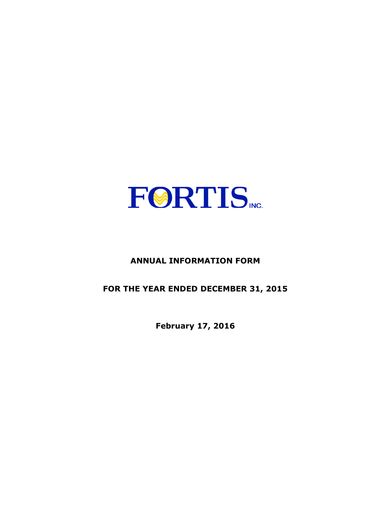

# **ANNUAL INFORMATION FORM**

**FOR THE YEAR ENDED DECEMBER 31, 2015** 

**February 17, 2016**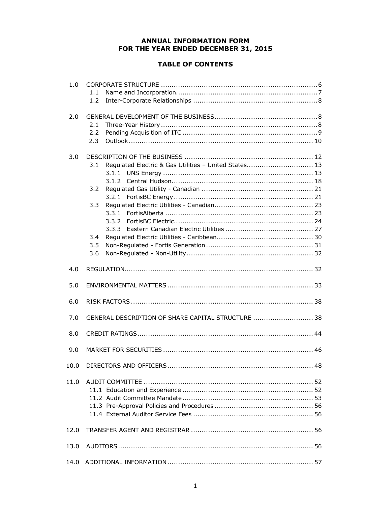# **ANNUAL INFORMATION FORM FOR THE YEAR ENDED DECEMBER 31, 2015**

# **TABLE OF CONTENTS**

| 1.0  | 1.1<br>1.2                                                                                      |
|------|-------------------------------------------------------------------------------------------------|
| 2.0  | 2.1<br>2.2<br>2.3                                                                               |
| 3.0  | Regulated Electric & Gas Utilities - United States 13<br>3.1<br>3.2<br>3.3<br>3.4<br>3.5<br>3.6 |
| 4.0  |                                                                                                 |
| 5.0  |                                                                                                 |
| 6.0  |                                                                                                 |
| 7.0  | GENERAL DESCRIPTION OF SHARE CAPITAL STRUCTURE  38                                              |
| 8.0  |                                                                                                 |
| 9.0  |                                                                                                 |
|      | 48                                                                                              |
| 11.0 |                                                                                                 |
| 12.0 |                                                                                                 |
| 13.0 |                                                                                                 |
| 14.0 |                                                                                                 |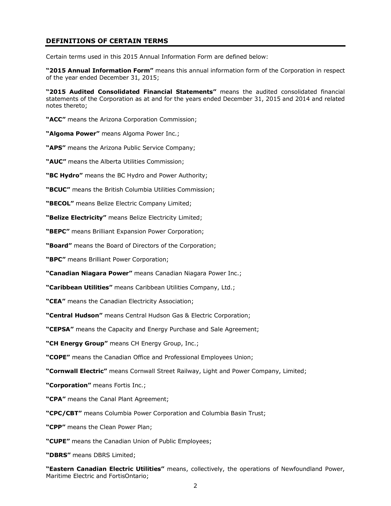### **DEFINITIONS OF CERTAIN TERMS**

Certain terms used in this 2015 Annual Information Form are defined below:

**"2015 Annual Information Form"** means this annual information form of the Corporation in respect of the year ended December 31, 2015;

**"2015 Audited Consolidated Financial Statements"** means the audited consolidated financial statements of the Corporation as at and for the years ended December 31, 2015 and 2014 and related notes thereto;

**"ACC"** means the Arizona Corporation Commission;

**"Algoma Power"** means Algoma Power Inc.;

**"APS"** means the Arizona Public Service Company;

**"AUC"** means the Alberta Utilities Commission;

**"BC Hydro"** means the BC Hydro and Power Authority;

**"BCUC"** means the British Columbia Utilities Commission;

**"BECOL"** means Belize Electric Company Limited;

**"Belize Electricity"** means Belize Electricity Limited;

**"BEPC"** means Brilliant Expansion Power Corporation;

**"Board"** means the Board of Directors of the Corporation;

**"BPC"** means Brilliant Power Corporation;

**"Canadian Niagara Power"** means Canadian Niagara Power Inc.;

**"Caribbean Utilities"** means Caribbean Utilities Company, Ltd.;

**"CEA"** means the Canadian Electricity Association;

**"Central Hudson"** means Central Hudson Gas & Electric Corporation;

**"CEPSA"** means the Capacity and Energy Purchase and Sale Agreement;

**"CH Energy Group"** means CH Energy Group, Inc.;

**"COPE"** means the Canadian Office and Professional Employees Union;

**"Cornwall Electric"** means Cornwall Street Railway, Light and Power Company, Limited;

**"Corporation"** means Fortis Inc.;

**"CPA"** means the Canal Plant Agreement;

**"CPC/CBT"** means Columbia Power Corporation and Columbia Basin Trust;

**"CPP"** means the Clean Power Plan;

**"CUPE"** means the Canadian Union of Public Employees;

**"DBRS"** means DBRS Limited;

**"Eastern Canadian Electric Utilities"** means, collectively, the operations of Newfoundland Power, Maritime Electric and FortisOntario;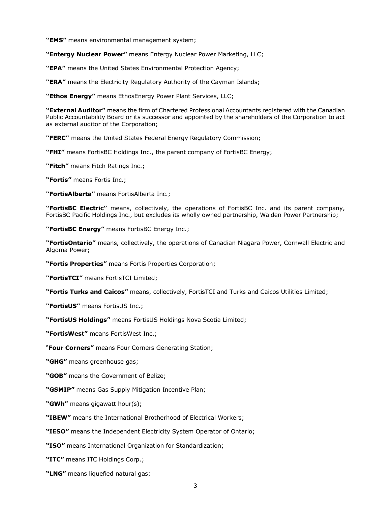**"EMS"** means environmental management system;

**"Entergy Nuclear Power"** means Entergy Nuclear Power Marketing, LLC;

**"EPA"** means the United States Environmental Protection Agency;

**"ERA"** means the Electricity Regulatory Authority of the Cayman Islands;

**"Ethos Energy"** means EthosEnergy Power Plant Services, LLC;

**"External Auditor"** means the firm of Chartered Professional Accountants registered with the Canadian Public Accountability Board or its successor and appointed by the shareholders of the Corporation to act as external auditor of the Corporation;

**"FERC"** means the United States Federal Energy Regulatory Commission;

**"FHI"** means FortisBC Holdings Inc., the parent company of FortisBC Energy;

**"Fitch"** means Fitch Ratings Inc.;

**"Fortis"** means Fortis Inc.;

**"FortisAlberta"** means FortisAlberta Inc.;

**"FortisBC Electric"** means, collectively, the operations of FortisBC Inc. and its parent company, FortisBC Pacific Holdings Inc., but excludes its wholly owned partnership, Walden Power Partnership;

**"FortisBC Energy"** means FortisBC Energy Inc.;

**"FortisOntario"** means, collectively, the operations of Canadian Niagara Power, Cornwall Electric and Algoma Power;

**"Fortis Properties"** means Fortis Properties Corporation;

**"FortisTCI"** means FortisTCI Limited;

**"Fortis Turks and Caicos"** means, collectively, FortisTCI and Turks and Caicos Utilities Limited;

**"FortisUS"** means FortisUS Inc.;

**"FortisUS Holdings"** means FortisUS Holdings Nova Scotia Limited;

**"FortisWest"** means FortisWest Inc.;

"**Four Corners"** means Four Corners Generating Station;

**"GHG"** means greenhouse gas;

**"GOB"** means the Government of Belize;

**"GSMIP"** means Gas Supply Mitigation Incentive Plan;

**"GWh"** means gigawatt hour(s);

**"IBEW"** means the International Brotherhood of Electrical Workers;

**"IESO"** means the Independent Electricity System Operator of Ontario;

**"ISO"** means International Organization for Standardization;

**"ITC"** means ITC Holdings Corp.;

**"LNG"** means liquefied natural gas;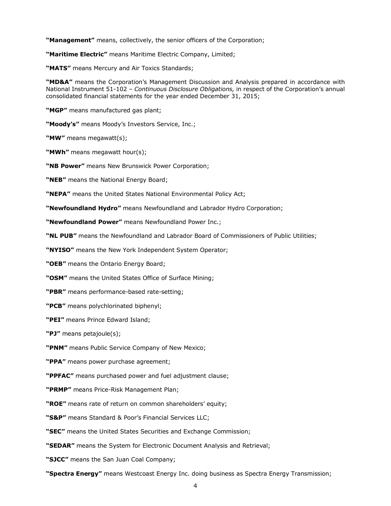**"Management"** means, collectively, the senior officers of the Corporation;

**"Maritime Electric"** means Maritime Electric Company, Limited;

**"MATS"** means Mercury and Air Toxics Standards;

**"MD&A"** means the Corporation's Management Discussion and Analysis prepared in accordance with National Instrument 51-102 – *Continuous Disclosure Obligations,* in respect of the Corporation's annual consolidated financial statements for the year ended December 31, 2015;

**"MGP"** means manufactured gas plant;

**"Moody's"** means Moody's Investors Service, Inc.;

**"MW"** means megawatt(s);

**"MWh"** means megawatt hour(s);

**"NB Power"** means New Brunswick Power Corporation;

**"NEB"** means the National Energy Board;

**"NEPA"** means the United States National Environmental Policy Act;

**"Newfoundland Hydro"** means Newfoundland and Labrador Hydro Corporation;

**"Newfoundland Power"** means Newfoundland Power Inc.;

**"NL PUB"** means the Newfoundland and Labrador Board of Commissioners of Public Utilities;

**"NYISO"** means the New York Independent System Operator;

**"OEB"** means the Ontario Energy Board;

**"OSM"** means the United States Office of Surface Mining;

**"PBR"** means performance-based rate-setting;

**"PCB"** means polychlorinated biphenyl;

**"PEI"** means Prince Edward Island;

**"PJ"** means petajoule(s);

**"PNM"** means Public Service Company of New Mexico;

**"PPA"** means power purchase agreement;

**"PPFAC"** means purchased power and fuel adjustment clause;

**"PRMP"** means Price-Risk Management Plan;

**"ROE"** means rate of return on common shareholders' equity;

**"S&P"** means Standard & Poor's Financial Services LLC;

**"SEC"** means the United States Securities and Exchange Commission;

**"SEDAR"** means the System for Electronic Document Analysis and Retrieval;

**"SJCC"** means the San Juan Coal Company;

**"Spectra Energy"** means Westcoast Energy Inc. doing business as Spectra Energy Transmission;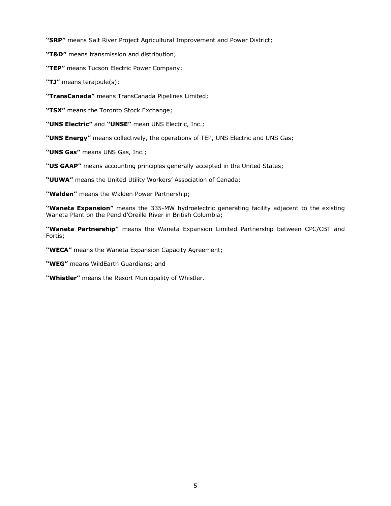**"SRP"** means Salt River Project Agricultural Improvement and Power District;

**"T&D"** means transmission and distribution;

**"TEP"** means Tucson Electric Power Company;

**"TJ"** means terajoule(s);

**"TransCanada"** means TransCanada Pipelines Limited;

**"TSX"** means the Toronto Stock Exchange;

**"UNS Electric"** and **"UNSE"** mean UNS Electric, Inc.;

**"UNS Energy"** means collectively, the operations of TEP, UNS Electric and UNS Gas;

**"UNS Gas"** means UNS Gas, Inc.;

**"US GAAP"** means accounting principles generally accepted in the United States;

**"UUWA"** means the United Utility Workers' Association of Canada;

**"Walden"** means the Walden Power Partnership;

**"Waneta Expansion"** means the 335-MW hydroelectric generating facility adjacent to the existing Waneta Plant on the Pend d'Oreille River in British Columbia;

**"Waneta Partnership"** means the Waneta Expansion Limited Partnership between CPC/CBT and Fortis;

**"WECA"** means the Waneta Expansion Capacity Agreement;

**"WEG"** means WildEarth Guardians; and

**"Whistler"** means the Resort Municipality of Whistler.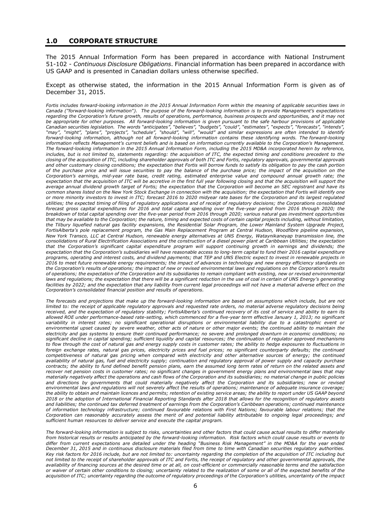#### **1.0 CORPORATE STRUCTURE**

The 2015 Annual Information Form has been prepared in accordance with National Instrument 51-102 - *Continuous Disclosure Obligations*. Financial information has been prepared in accordance with US GAAP and is presented in Canadian dollars unless otherwise specified.

Except as otherwise stated, the information in the 2015 Annual Information Form is given as of December 31, 2015.

*Fortis includes forward-looking information in the 2015 Annual Information Form within the meaning of applicable securities laws in Canada ("forward-looking information"). The purpose of the forward-looking information is to provide Management's expectations regarding the Corporation's future growth, results of operations, performance, business prospects and opportunities, and it may not be appropriate for other purposes. All forward-looking information is given pursuant to the safe harbour provisions of applicable Canadian securities legislation. The words "anticipates", "believes", "budgets", "could", "estimates", "expects", "forecasts", "intends", "may", "might", "plans", "projects", "schedule", "should", "will", "would" and similar expressions are often intended to identify forward-looking information, although not all forward-looking information contains these identifying words. The forward-looking information reflects Management's current beliefs and is based on information currently available to the Corporation's Management. The forward-looking information in the 2015 Annual Information Form, including the 2015 MD&A incorporated herein by reference,*  includes, but is not limited to, statements regarding: the acquisition of ITC, the expected timing and conditions precedent to the *closing of the acquisition of ITC, including shareholder approvals of both ITC and Fortis, regulatory approvals, governmental approvals and other customary closing conditions; the expectation that Fortis will borrow funds to satisfy its obligation to pay the cash portion of the purchase price and will issue securities to pay the balance of the purchase price; the impact of the acquisition on the Corporation's earnings, mid-year rate base, credit rating, estimated enterprise value and compound annual growth rate; the expectation that the acquisition of ITC will be accretive in the first full year following closing and that the acquisition will support the average annual dividend growth target of Fortis; the expectation that the Corporation will become an SEC registrant and have its common shares listed on the New York Stock Exchange in connection with the acquisition; the expectation that Fortis will identify one or more minority investors to invest in ITC; forecast 2016 to 2020 midyear rate bases for the Corporation and its largest regulated utilities; the expected timing of filing of regulatory applications and of receipt of regulatory decisions; the Corporations consolidated forecast gross capital expenditures for 2016 and total capital spending over the five-year period from 2016 through 2020; the breakdown of total capital spending over the five-year period from 2016 through 2020; various natural gas investment opportunities that may be available to the Corporation; the nature, timing and expected costs of certain capital projects including, without limitation, the Tilbury liquefied natural gas facility expansions, the Residential Solar Program, the Lower Mainland System Upgrade Project, FortisAlberta's pole replacement program, the Gas Main Replacement Program at Central Hudson, Woodfibre pipeline expansion, New York Transco, LLC at Central Hudson, renewable energy alternatives at UNS Energy, Wataynikaneyap transmission line, the consolidations of Rural Electrification Associations and the construction of a diesel power plant at Caribbean Utilities; the expectation that the Corporation's significant capital expenditure program will support continuing growth in earnings and dividends; the expectation that the Corporation's subsidiaries will have reasonable access to long-term capital to fund their 2016 capital expenditure programs, operating and interest costs, and dividend payments; that TEP and UNS Electric expect to invest in renewable projects in 2016 to meet future renewable energy requirements; the impact of advances in technology and new energy efficiency standards on the Corporation's results of operations; the impact of new or revised environmental laws and regulations on the Corporation's results of operations; the expectation of the Corporation and its subsidiaries to remain compliant with existing, new or revised environmental*  laws and regulations; the expectation that there will be a significant reduction in the use of coal in certain of UNS Energy's generating facilities by 2022; and the expectation that any liability from current legal proceedings will not have a material adverse effect on the *Corporation's consolidated financial position and results of operations.* 

*The forecasts and projections that make up the forward-looking information are based on assumptions which include, but are not*  limited to: the receipt of applicable regulatory approvals and requested rate orders, no material adverse regulatory decisions being *received, and the expectation of regulatory stability; FortisAlberta's continued recovery of its cost of service and ability to earn its allowed ROE under performance-based rate-setting, which commenced for a five-year term effective January 1, 2013; no significant variability in interest rates; no significant operational disruptions or environmental liability due to a catastrophic event or environmental upset caused by severe weather, other acts of nature or other major events; the continued ability to maintain the electricity and gas systems to ensure their continued performance; no severe and prolonged downturn in economic conditions; no significant decline in capital spending; sufficient liquidity and capital resources; the continuation of regulator approved mechanisms to flow through the cost of natural gas and energy supply costs in customer rates; the ability to hedge exposures to fluctuations in foreign exchange rates, natural gas prices, electricity prices and fuel prices; no significant counterparty defaults; the continued competitiveness of natural gas pricing when compared with electricity and other alternative sources of energy; the continued availability of natural gas, fuel and electricity supply; continuation and regulatory approval of power supply and capacity purchase contracts; the ability to fund defined benefit pension plans, earn the assumed long term rates of return on the related assets and recover net pension costs in customer rates; no significant changes in government energy plans and environmental laws that may materially negatively affect the operations and cash flows of the Corporation and its subsidiaries; no material change in public policies*  and directions by governments that could materially negatively affect the Corporation and its subsidiaries; new or revised *environmental laws and regulations will not severely affect the results of operations; maintenance of adequate insurance coverage; the ability to obtain and maintain licences and permits; retention of existing service areas; the ability to report under US GAAP beyond 2018 or the adoption of International Financial Reporting Standards after 2018 that allows for the recognition of regulatory assets and liabilities; the continued tax deferred treatment of earnings from the Corporation's Caribbean operations; continued maintenance of information technology infrastructure; continued favourable relations with First Nations; favourable labour relations; that the Corporation can reasonably accurately assess the merit of and potential liability attributable to ongoing legal proceedings; and sufficient human resources to deliver service and execute the capital program.* 

*The forward-looking information is subject to risks, uncertainties and other factors that could cause actual results to differ materially from historical results or results anticipated by the forward-looking information. Risk factors which could cause results or events to differ from current expectations are detailed under the heading "Business Risk Management" in the MD&A for the year ended December 31, 2015 and in continuous disclosure materials filed from time to time with Canadian securities regulatory authorities. Key risk factors for 2016 include, but are not limited to: uncertainty regarding the completion of the acquisition of ITC including but not limited to the receipt of shareholder approvals of ITC and Fortis, the receipt of regulatory and other governmental approvals, the availability of financing sources at the desired time or at all, on cost-efficient or commercially reasonable terms and the satisfaction or waiver of certain other conditions to closing; uncertainty related to the realization of some or all of the expected benefits of the acquisition of ITC; uncertainty regarding the outcome of regulatory proceedings of the Corporation's utilities, uncertainty of the impact*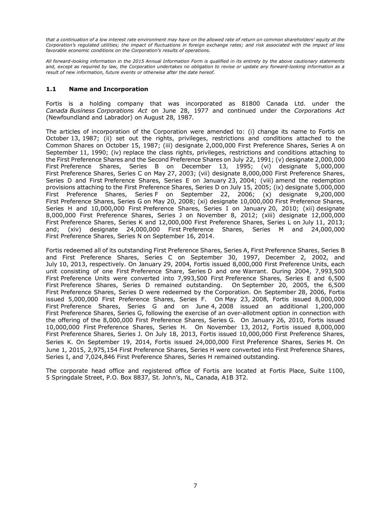*that a continuation of a low interest rate environment may have on the allowed rate of return on common shareholders' equity at the Corporation's regulated utilities; the impact of fluctuations in foreign exchange rates; and risk associated with the impact of less favorable economic conditions on the Corporation's results of operations.* 

*All forward-looking information in the 2015 Annual Information Form is qualified in its entirety by the above cautionary statements and, except as required by law, the Corporation undertakes no obligation to revise or update any forward-looking information as a result of new information, future events or otherwise after the date hereof.* 

### **1.1 Name and Incorporation**

Fortis is a holding company that was incorporated as 81800 Canada Ltd. under the *Canada Business Corporations Act* on June 28, 1977 and continued under the *Corporations Act* (Newfoundland and Labrador) on August 28, 1987.

The articles of incorporation of the Corporation were amended to: (i) change its name to Fortis on October 13, 1987; (ii) set out the rights, privileges, restrictions and conditions attached to the Common Shares on October 15, 1987; (iii) designate 2,000,000 First Preference Shares, Series A on September 11, 1990; (iv) replace the class rights, privileges, restrictions and conditions attaching to the First Preference Shares and the Second Preference Shares on July 22, 1991; (v) designate 2,000,000 First Preference Shares, Series B on December 13, 1995; (vi) designate 5,000,000 First Preference Shares, Series C on May 27, 2003; (vii) designate 8,000,000 First Preference Shares, Series D and First Preference Shares, Series E on January 23, 2004; (viii) amend the redemption provisions attaching to the First Preference Shares, Series D on July 15, 2005; (ix) designate 5,000,000 First Preference Shares, Series F on September 22, 2006; (x) designate 9,200,000 First Preference Shares, Series G on May 20, 2008; (xi) designate 10,000,000 First Preference Shares, Series H and 10,000,000 First Preference Shares, Series I on January 20, 2010; (xii) designate 8,000,000 First Preference Shares, Series J on November 8, 2012; (xiii) designate 12,000,000 First Preference Shares, Series K and 12,000,000 First Preference Shares, Series L on July 11, 2013; and; (xiv) designate 24,000,000 First Preference Shares, Series M and 24,000,000 First Preference Shares, Series N on September 16, 2014.

Fortis redeemed all of its outstanding First Preference Shares, Series A, First Preference Shares, Series B and First Preference Shares, Series C on September 30, 1997, December 2, 2002, and July 10, 2013, respectively. On January 29, 2004, Fortis issued 8,000,000 First Preference Units, each unit consisting of one First Preference Share, Series D and one Warrant. During 2004, 7,993,500 First Preference Units were converted into 7,993,500 First Preference Shares, Series E and 6,500 First Preference Shares, Series D remained outstanding. On September 20, 2005, the 6,500 First Preference Shares, Series D were redeemed by the Corporation. On September 28, 2006, Fortis issued 5,000,000 First Preference Shares, Series F. On May 23, 2008, Fortis issued 8,000,000 First Preference Shares, Series G and on June 4, 2008 issued an additional 1,200,000 First Preference Shares, Series G, following the exercise of an over-allotment option in connection with the offering of the 8,000,000 First Preference Shares, Series G. On January 26, 2010, Fortis issued 10,000,000 First Preference Shares, Series H. On November 13, 2012, Fortis issued 8,000,000 First Preference Shares, Series J. On July 18, 2013, Fortis issued 10,000,000 First Preference Shares, Series K. On September 19, 2014, Fortis issued 24,000,000 First Preference Shares, Series M. On June 1, 2015, 2,975,154 First Preference Shares, Series H were converted into First Preference Shares, Series I, and 7,024,846 First Preference Shares, Series H remained outstanding.

The corporate head office and registered office of Fortis are located at Fortis Place, Suite 1100, 5 Springdale Street, P.O. Box 8837, St. John's, NL, Canada, A1B 3T2.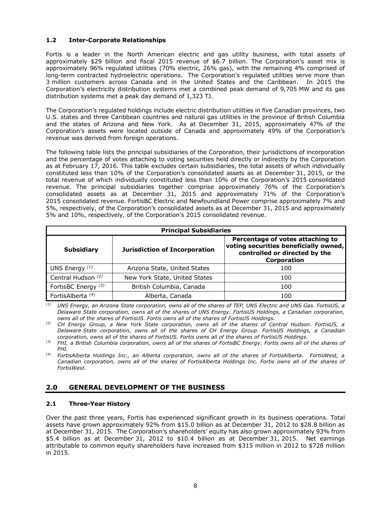# **1.2 Inter-Corporate Relationships**

Fortis is a leader in the North American electric and gas utility business, with total assets of approximately \$29 billion and fiscal 2015 revenue of \$6.7 billion. The Corporation's asset mix is approximately 96% regulated utilities (70% electric, 26% gas), with the remaining 4% comprised of long-term contracted hydroelectric operations. The Corporation's regulated utilities serve more than 3 million customers across Canada and in the United States and the Caribbean. In 2015 the Corporation's electricity distribution systems met a combined peak demand of 9,705 MW and its gas distribution systems met a peak day demand of 1,323 TJ.

The Corporation's regulated holdings include electric distribution utilities in five Canadian provinces, two U.S. states and three Caribbean countries and natural gas utilities in the province of British Columbia and the states of Arizona and New York. As at December 31, 2015, approximately 47% of the Corporation's assets were located outside of Canada and approximately 49% of the Corporation's revenue was derived from foreign operations.

The following table lists the principal subsidiaries of the Corporation, their jurisdictions of incorporation and the percentage of votes attaching to voting securities held directly or indirectly by the Corporation as at February 17, 2016. This table excludes certain subsidiaries, the total assets of which individually constituted less than 10% of the Corporation's consolidated assets as at December 31, 2015, or the total revenue of which individually constituted less than 10% of the Corporation's 2015 consolidated revenue. The principal subsidiaries together comprise approximately 76% of the Corporation's consolidated assets as at December 31, 2015 and approximately 71% of the Corporation's 2015 consolidated revenue. FortisBC Electric and Newfoundland Power comprise approximately 7% and 5%, respectively, of the Corporation's consolidated assets as at December 31, 2015 and approximately 5% and 10%, respectively, of the Corporation's 2015 consolidated revenue.

| <b>Principal Subsidiaries</b>  |                                      |                                                                                                                           |  |  |  |  |
|--------------------------------|--------------------------------------|---------------------------------------------------------------------------------------------------------------------------|--|--|--|--|
| <b>Subsidiary</b>              | <b>Jurisdiction of Incorporation</b> | Percentage of votes attaching to<br>voting securities beneficially owned,<br>controlled or directed by the<br>Corporation |  |  |  |  |
| UNS Energy $(1)$               | Arizona State, United States         | 100                                                                                                                       |  |  |  |  |
| Central Hudson <sup>(2)</sup>  | New York State, United States        | 100                                                                                                                       |  |  |  |  |
| FortisBC Energy <sup>(3)</sup> | British Columbia, Canada             | 100                                                                                                                       |  |  |  |  |
| FortisAlberta <sup>(4)</sup>   | Alberta, Canada                      | 100                                                                                                                       |  |  |  |  |

*(1) UNS Energy, an Arizona State corporation, owns all of the shares of TEP, UNS Electric and UNS Gas. FortisUS, a Delaware State corporation, owns all of the shares of UNS Energy. FortisUS Holdings, a Canadian corporation, owns all of the shares of FortisUS. Fortis owns all of the shares of FortisUS Holdings.* 

*(2) CH Energy Group, a New York State corporation, owns all of the shares of Central Hudson. FortisUS, a Delaware State corporation, owns all of the shares of CH Energy Group. FortisUS Holdings, a Canadian corporation, owns all of the shares of FortisUS. Fortis owns all of the shares of FortisUS Holdings.* 

*(3) FHI, a British Columbia corporation, owns all of the shares of FortisBC Energy. Fortis owns all of the shares of FHI.* 

*(4) FortisAlberta Holdings Inc., an Alberta corporation, owns all of the shares of FortisAlberta. FortisWest, a Canadian corporation, owns all of the shares of FortisAlberta Holdings Inc. Fortis owns all of the shares of FortisWest.* 

# **2.0 GENERAL DEVELOPMENT OF THE BUSINESS**

### **2.1 Three-Year History**

Over the past three years, Fortis has experienced significant growth in its business operations. Total assets have grown approximately 92% from \$15.0 billion as at December 31, 2012 to \$28.8 billion as at December 31, 2015. The Corporation's shareholders' equity has also grown approximately 93% from \$5.4 billion as at December 31, 2012 to \$10.4 billion as at December 31, 2015. Net earnings attributable to common equity shareholders have increased from \$315 million in 2012 to \$728 million in 2015.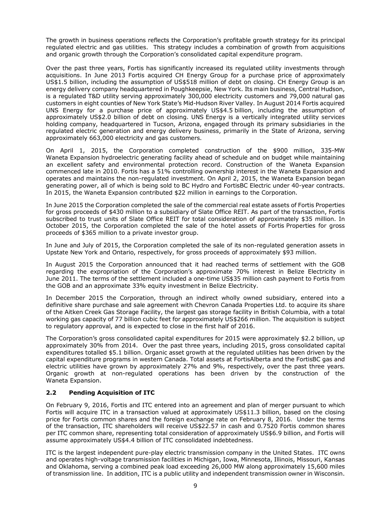The growth in business operations reflects the Corporation's profitable growth strategy for its principal regulated electric and gas utilities. This strategy includes a combination of growth from acquisitions and organic growth through the Corporation's consolidated capital expenditure program.

Over the past three years, Fortis has significantly increased its regulated utility investments through acquisitions. In June 2013 Fortis acquired CH Energy Group for a purchase price of approximately US\$1.5 billion, including the assumption of US\$518 million of debt on closing. CH Energy Group is an energy delivery company headquartered in Poughkeepsie, New York. Its main business, Central Hudson, is a regulated T&D utility serving approximately 300,000 electricity customers and 79,000 natural gas customers in eight counties of New York State's Mid-Hudson River Valley. In August 2014 Fortis acquired UNS Energy for a purchase price of approximately US\$4.5 billion, including the assumption of approximately US\$2.0 billion of debt on closing. UNS Energy is a vertically integrated utility services holding company, headquartered in Tucson, Arizona, engaged through its primary subsidiaries in the regulated electric generation and energy delivery business, primarily in the State of Arizona, serving approximately 663,000 electricity and gas customers.

On April 1, 2015, the Corporation completed construction of the \$900 million, 335-MW Waneta Expansion hydroelectric generating facility ahead of schedule and on budget while maintaining an excellent safety and environmental protection record. Construction of the Waneta Expansion commenced late in 2010. Fortis has a 51% controlling ownership interest in the Waneta Expansion and operates and maintains the non-regulated investment. On April 2, 2015, the Waneta Expansion began generating power, all of which is being sold to BC Hydro and FortisBC Electric under 40-year contracts. In 2015, the Waneta Expansion contributed \$22 million in earnings to the Corporation.

In June 2015 the Corporation completed the sale of the commercial real estate assets of Fortis Properties for gross proceeds of \$430 million to a subsidiary of Slate Office REIT. As part of the transaction, Fortis subscribed to trust units of Slate Office REIT for total consideration of approximately \$35 million. In October 2015, the Corporation completed the sale of the hotel assets of Fortis Properties for gross proceeds of \$365 million to a private investor group.

In June and July of 2015, the Corporation completed the sale of its non-regulated generation assets in Upstate New York and Ontario, respectively, for gross proceeds of approximately \$93 million.

In August 2015 the Corporation announced that it had reached terms of settlement with the GOB regarding the expropriation of the Corporation's approximate 70% interest in Belize Electricity in June 2011. The terms of the settlement included a one-time US\$35 million cash payment to Fortis from the GOB and an approximate 33% equity investment in Belize Electricity.

In December 2015 the Corporation, through an indirect wholly owned subsidiary, entered into a definitive share purchase and sale agreement with Chevron Canada Properties Ltd. to acquire its share of the Aitken Creek Gas Storage Facility, the largest gas storage facility in British Columbia, with a total working gas capacity of 77 billion cubic feet for approximately US\$266 million. The acquisition is subject to regulatory approval, and is expected to close in the first half of 2016.

The Corporation's gross consolidated capital expenditures for 2015 were approximately \$2.2 billion, up approximately 30% from 2014. Over the past three years, including 2015, gross consolidated capital expenditures totalled \$5.1 billion. Organic asset growth at the regulated utilities has been driven by the capital expenditure programs in western Canada. Total assets at FortisAlberta and the FortisBC gas and electric utilities have grown by approximately 27% and 9%, respectively, over the past three years. Organic growth at non-regulated operations has been driven by the construction of the Waneta Expansion.

### **2.2 Pending Acquisition of ITC**

On February 9, 2016, Fortis and ITC entered into an agreement and plan of merger pursuant to which Fortis will acquire ITC in a transaction valued at approximately US\$11.3 billion, based on the closing price for Fortis common shares and the foreign exchange rate on February 8, 2016. Under the terms of the transaction, ITC shareholders will receive US\$22.57 in cash and 0.7520 Fortis common shares per ITC common share, representing total consideration of approximately US\$6.9 billion, and Fortis will assume approximately US\$4.4 billion of ITC consolidated indebtedness.

ITC is the largest independent pure-play electric transmission company in the United States. ITC owns and operates high-voltage transmission facilities in Michigan, Iowa, Minnesota, Illinois, Missouri, Kansas and Oklahoma, serving a combined peak load exceeding 26,000 MW along approximately 15,600 miles of transmission line. In addition, ITC is a public utility and independent transmission owner in Wisconsin.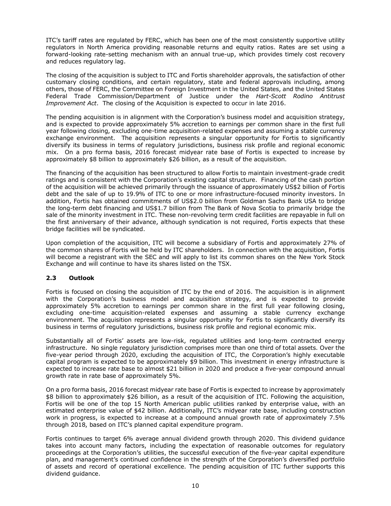ITC's tariff rates are regulated by FERC, which has been one of the most consistently supportive utility regulators in North America providing reasonable returns and equity ratios. Rates are set using a forward-looking rate-setting mechanism with an annual true-up, which provides timely cost recovery and reduces regulatory lag.

The closing of the acquisition is subject to ITC and Fortis shareholder approvals, the satisfaction of other customary closing conditions, and certain regulatory, state and federal approvals including, among others, those of FERC, the Committee on Foreign Investment in the United States, and the United States Federal Trade Commission/Department of Justice under the *Hart-Scott Rodino Antitrust Improvement Act*. The closing of the Acquisition is expected to occur in late 2016.

The pending acquisition is in alignment with the Corporation's business model and acquisition strategy, and is expected to provide approximately 5% accretion to earnings per common share in the first full year following closing, excluding one-time acquisition-related expenses and assuming a stable currency exchange environment. The acquisition represents a singular opportunity for Fortis to significantly diversify its business in terms of regulatory jurisdictions, business risk profile and regional economic mix. On a pro forma basis, 2016 forecast midyear rate base of Fortis is expected to increase by approximately \$8 billion to approximately \$26 billion, as a result of the acquisition.

The financing of the acquisition has been structured to allow Fortis to maintain investment-grade credit ratings and is consistent with the Corporation's existing capital structure. Financing of the cash portion of the acquisition will be achieved primarily through the issuance of approximately US\$2 billion of Fortis debt and the sale of up to 19.9% of ITC to one or more infrastructure-focused minority investors. In addition, Fortis has obtained commitments of US\$2.0 billion from Goldman Sachs Bank USA to bridge the long-term debt financing and US\$1.7 billion from The Bank of Nova Scotia to primarily bridge the sale of the minority investment in ITC. These non-revolving term credit facilities are repayable in full on the first anniversary of their advance, although syndication is not required, Fortis expects that these bridge facilities will be syndicated.

Upon completion of the acquisition, ITC will become a subsidiary of Fortis and approximately 27% of the common shares of Fortis will be held by ITC shareholders. In connection with the acquisition, Fortis will become a registrant with the SEC and will apply to list its common shares on the New York Stock Exchange and will continue to have its shares listed on the TSX.

# **2.3 Outlook**

Fortis is focused on closing the acquisition of ITC by the end of 2016. The acquisition is in alignment with the Corporation's business model and acquisition strategy, and is expected to provide approximately 5% accretion to earnings per common share in the first full year following closing, excluding one-time acquisition-related expenses and assuming a stable currency exchange environment. The acquisition represents a singular opportunity for Fortis to significantly diversify its business in terms of regulatory jurisdictions, business risk profile and regional economic mix.

Substantially all of Fortis' assets are low-risk, regulated utilities and long-term contracted energy infrastructure. No single regulatory jurisdiction comprises more than one third of total assets. Over the five-year period through 2020, excluding the acquisition of ITC, the Corporation's highly executable capital program is expected to be approximately \$9 billion. This investment in energy infrastructure is expected to increase rate base to almost \$21 billion in 2020 and produce a five-year compound annual growth rate in rate base of approximately 5%.

On a pro forma basis, 2016 forecast midyear rate base of Fortis is expected to increase by approximately \$8 billion to approximately \$26 billion, as a result of the acquisition of ITC. Following the acquisition, Fortis will be one of the top 15 North American public utilities ranked by enterprise value, with an estimated enterprise value of \$42 billion. Additionally, ITC's midyear rate base, including construction work in progress, is expected to increase at a compound annual growth rate of approximately 7.5% through 2018, based on ITC's planned capital expenditure program.

Fortis continues to target 6% average annual dividend growth through 2020. This dividend guidance takes into account many factors, including the expectation of reasonable outcomes for regulatory proceedings at the Corporation's utilities, the successful execution of the five-year capital expenditure plan, and management's continued confidence in the strength of the Corporation's diversified portfolio of assets and record of operational excellence. The pending acquisition of ITC further supports this dividend guidance.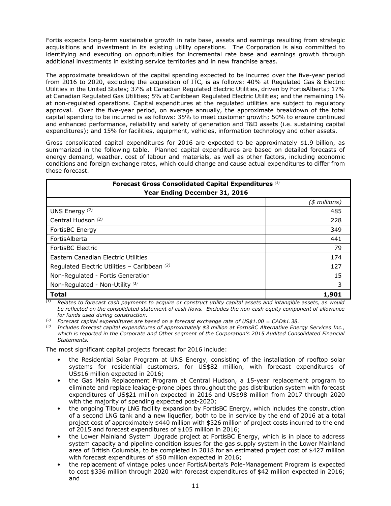Fortis expects long-term sustainable growth in rate base, assets and earnings resulting from strategic acquisitions and investment in its existing utility operations. The Corporation is also committed to identifying and executing on opportunities for incremental rate base and earnings growth through additional investments in existing service territories and in new franchise areas.

The approximate breakdown of the capital spending expected to be incurred over the five-year period from 2016 to 2020, excluding the acquisition of ITC, is as follows: 40% at Regulated Gas & Electric Utilities in the United States; 37% at Canadian Regulated Electric Utilities, driven by FortisAlberta; 17% at Canadian Regulated Gas Utilities; 5% at Caribbean Regulated Electric Utilities; and the remaining 1% at non-regulated operations. Capital expenditures at the regulated utilities are subject to regulatory approval. Over the five-year period, on average annually, the approximate breakdown of the total capital spending to be incurred is as follows: 35% to meet customer growth; 50% to ensure continued and enhanced performance, reliability and safety of generation and T&D assets (i.e. sustaining capital expenditures); and 15% for facilities, equipment, vehicles, information technology and other assets.

Gross consolidated capital expenditures for 2016 are expected to be approximately \$1.9 billion, as summarized in the following table. Planned capital expenditures are based on detailed forecasts of energy demand, weather, cost of labour and materials, as well as other factors, including economic conditions and foreign exchange rates, which could change and cause actual expenditures to differ from those forecast.

| Forecast Gross Consolidated Capital Expenditures (1)<br>Year Ending December 31, 2016 |                 |  |  |  |
|---------------------------------------------------------------------------------------|-----------------|--|--|--|
|                                                                                       | $(*)$ millions) |  |  |  |
| UNS Energy $(2)$                                                                      | 485             |  |  |  |
| Central Hudson (2)                                                                    | 228             |  |  |  |
| FortisBC Energy                                                                       | 349             |  |  |  |
| FortisAlberta                                                                         | 441             |  |  |  |
| FortisBC Electric                                                                     | 79              |  |  |  |
| Eastern Canadian Electric Utilities                                                   | 174             |  |  |  |
| Regulated Electric Utilities - Caribbean (2)                                          | 127             |  |  |  |
| Non-Regulated - Fortis Generation                                                     | 15              |  |  |  |
| Non-Regulated - Non-Utility (3)                                                       | 3               |  |  |  |
| <b>Total</b>                                                                          | 1,901           |  |  |  |

*(1) Relates to forecast cash payments to acquire or construct utility capital assets and intangible assets, as would be reflected on the consolidated statement of cash flows. Excludes the non-cash equity component of allowance for funds used during construction.* 

*(2) Forecast capital expenditures are based on a forecast exchange rate of US\$1.00 = CAD\$1.38.* 

*(3) Includes forecast capital expenditures of approximately \$3 million at FortisBC Alternative Energy Services Inc.,*  which is reported in the Corporate and Other segment of the Corporation's 2015 Audited Consolidated Financial *Statements.* 

The most significant capital projects forecast for 2016 include:

- the Residential Solar Program at UNS Energy, consisting of the installation of rooftop solar systems for residential customers, for US\$82 million, with forecast expenditures of US\$16 million expected in 2016;
- the Gas Main Replacement Program at Central Hudson, a 15-year replacement program to eliminate and replace leakage-prone pipes throughout the gas distribution system with forecast expenditures of US\$21 million expected in 2016 and US\$98 million from 2017 through 2020 with the majority of spending expected post-2020;
- the ongoing Tilbury LNG facility expansion by FortisBC Energy, which includes the construction of a second LNG tank and a new liquefier, both to be in service by the end of 2016 at a total project cost of approximately \$440 million with \$326 million of project costs incurred to the end of 2015 and forecast expenditures of \$105 million in 2016;
- the Lower Mainland System Upgrade project at FortisBC Energy, which is in place to address system capacity and pipeline condition issues for the gas supply system in the Lower Mainland area of British Columbia, to be completed in 2018 for an estimated project cost of \$427 million with forecast expenditures of \$50 million expected in 2016;
- the replacement of vintage poles under FortisAlberta's Pole-Management Program is expected to cost \$336 million through 2020 with forecast expenditures of \$42 million expected in 2016; and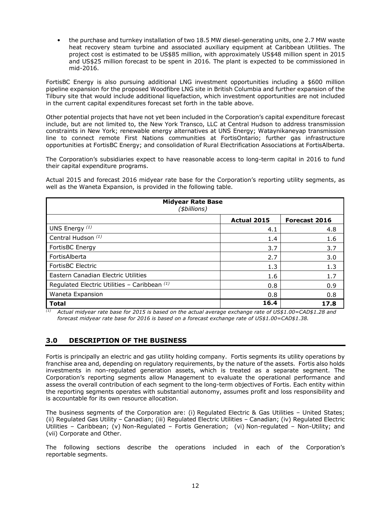• the purchase and turnkey installation of two 18.5 MW diesel-generating units, one 2.7 MW waste heat recovery steam turbine and associated auxiliary equipment at Caribbean Utilities. The project cost is estimated to be US\$85 million, with approximately US\$48 million spent in 2015 and US\$25 million forecast to be spent in 2016. The plant is expected to be commissioned in mid-2016.

FortisBC Energy is also pursuing additional LNG investment opportunities including a \$600 million pipeline expansion for the proposed Woodfibre LNG site in British Columbia and further expansion of the Tilbury site that would include additional liquefaction, which investment opportunities are not included in the current capital expenditures forecast set forth in the table above.

Other potential projects that have not yet been included in the Corporation's capital expenditure forecast include, but are not limited to, the New York Transco, LLC at Central Hudson to address transmission constraints in New York; renewable energy alternatives at UNS Energy; Wataynikaneyap transmission line to connect remote First Nations communities at FortisOntario; further gas infrastructure opportunities at FortisBC Energy; and consolidation of Rural Electrification Associations at FortisAlberta.

The Corporation's subsidiaries expect to have reasonable access to long-term capital in 2016 to fund their capital expenditure programs.

Actual 2015 and forecast 2016 midyear rate base for the Corporation's reporting utility segments, as well as the Waneta Expansion, is provided in the following table.

| <b>Midyear Rate Base</b><br>(\$billions)       |                    |               |  |  |  |  |
|------------------------------------------------|--------------------|---------------|--|--|--|--|
|                                                | <b>Actual 2015</b> | Forecast 2016 |  |  |  |  |
| UNS Energy $(1)$                               | 4.1                | 4.8           |  |  |  |  |
| Central Hudson <sup>(1)</sup>                  | 1.4                | 1.6           |  |  |  |  |
| FortisBC Energy                                | 3.7                | 3.7           |  |  |  |  |
| FortisAlberta                                  | 2.7                | 3.0           |  |  |  |  |
| <b>FortisBC Electric</b>                       | 1.3                | 1.3           |  |  |  |  |
| Eastern Canadian Electric Utilities            | 1.6                | 1.7           |  |  |  |  |
| Regulated Electric Utilities - Caribbean $(1)$ | 0.8                | 0.9           |  |  |  |  |
| Waneta Expansion                               | 0.8                | 0.8           |  |  |  |  |
| <b>Total</b>                                   | 16.4               | 17.8          |  |  |  |  |

*(1) Actual midyear rate base for 2015 is based on the actual average exchange rate of US\$1.00=CAD\$1.28 and forecast midyear rate base for 2016 is based on a forecast exchange rate of US\$1.00=CAD\$1.38.* 

# **3.0 DESCRIPTION OF THE BUSINESS**

Fortis is principally an electric and gas utility holding company. Fortis segments its utility operations by franchise area and, depending on regulatory requirements, by the nature of the assets. Fortis also holds investments in non-regulated generation assets, which is treated as a separate segment. The Corporation's reporting segments allow Management to evaluate the operational performance and assess the overall contribution of each segment to the long-term objectives of Fortis. Each entity within the reporting segments operates with substantial autonomy, assumes profit and loss responsibility and is accountable for its own resource allocation.

The business segments of the Corporation are: (i) Regulated Electric & Gas Utilities – United States; (ii) Regulated Gas Utility – Canadian; (iii) Regulated Electric Utilities – Canadian; (iv) Regulated Electric Utilities – Caribbean; (v) Non-Regulated – Fortis Generation; (vi) Non-regulated – Non-Utility; and (vii) Corporate and Other.

The following sections describe the operations included in each of the Corporation's reportable segments.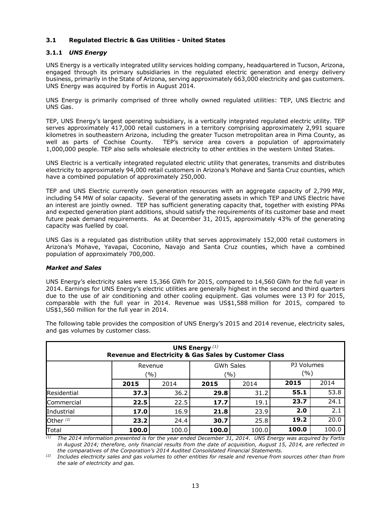## **3.1 Regulated Electric & Gas Utilities - United States**

### **3.1.1** *UNS Energy*

UNS Energy is a vertically integrated utility services holding company, headquartered in Tucson, Arizona, engaged through its primary subsidiaries in the regulated electric generation and energy delivery business, primarily in the State of Arizona, serving approximately 663,000 electricity and gas customers. UNS Energy was acquired by Fortis in August 2014.

UNS Energy is primarily comprised of three wholly owned regulated utilities: TEP, UNS Electric and UNS Gas.

TEP, UNS Energy's largest operating subsidiary, is a vertically integrated regulated electric utility. TEP serves approximately 417,000 retail customers in a territory comprising approximately 2,991 square kilometres in southeastern Arizona, including the greater Tucson metropolitan area in Pima County, as well as parts of Cochise County. TEP's service area covers a population of approximately 1,000,000 people. TEP also sells wholesale electricity to other entities in the western United States.

UNS Electric is a vertically integrated regulated electric utility that generates, transmits and distributes electricity to approximately 94,000 retail customers in Arizona's Mohave and Santa Cruz counties, which have a combined population of approximately 250,000.

TEP and UNS Electric currently own generation resources with an aggregate capacity of 2,799 MW, including 54 MW of solar capacity. Several of the generating assets in which TEP and UNS Electric have an interest are jointly owned. TEP has sufficient generating capacity that, together with existing PPAs and expected generation plant additions, should satisfy the requirements of its customer base and meet future peak demand requirements. As at December 31, 2015, approximately 43% of the generating capacity was fuelled by coal.

UNS Gas is a regulated gas distribution utility that serves approximately 152,000 retail customers in Arizona's Mohave, Yavapai, Coconino, Navajo and Santa Cruz counties, which have a combined population of approximately 700,000.

### *Market and Sales*

UNS Energy's electricity sales were 15,366 GWh for 2015, compared to 14,560 GWh for the full year in 2014. Earnings for UNS Energy's electric utilities are generally highest in the second and third quarters due to the use of air conditioning and other cooling equipment. Gas volumes were 13 PJ for 2015, comparable with the full year in 2014. Revenue was US\$1,588 million for 2015, compared to US\$1,560 million for the full year in 2014.

| <b>UNS Energy</b> $(1)$<br>Revenue and Electricity & Gas Sales by Customer Class |                                                                 |       |       |       |       |       |  |
|----------------------------------------------------------------------------------|-----------------------------------------------------------------|-------|-------|-------|-------|-------|--|
|                                                                                  | PJ Volumes<br><b>GWh Sales</b><br>Revenue<br>(%)<br>( %)<br>(%) |       |       |       |       |       |  |
|                                                                                  | 2015                                                            | 2014  | 2015  | 2014  | 2015  | 2014  |  |
| Residential                                                                      | 37.3                                                            | 36.2  | 29.8  | 31.2  | 55.1  | 53.8  |  |
| Commercial                                                                       | 22.5                                                            | 22.5  | 17.7  | 19.1  | 23.7  | 24.1  |  |
| Industrial                                                                       | 17.0                                                            | 16.9  | 21.8  | 23.9  | 2.0   | 2.1   |  |
| Other <sup>(2)</sup>                                                             | 23.2                                                            | 24.4  | 30.7  | 25.8  | 19.2  | 20.0  |  |
| Total                                                                            | 100.0                                                           | 100.0 | 100.0 | 100.0 | 100.0 | 100.0 |  |

The following table provides the composition of UNS Energy's 2015 and 2014 revenue, electricity sales, and gas volumes by customer class.

*(1) The 2014 information presented is for the year ended December 31, 2014. UNS Energy was acquired by Fortis in August 2014; therefore, only financial results from the date of acquisition, August 15, 2014, are reflected in the comparatives of the Corporation's 2014 Audited Consolidated Financial Statements.* 

*(2) Includes electricity sales and gas volumes to other entities for resale and revenue from sources other than from the sale of electricity and gas.*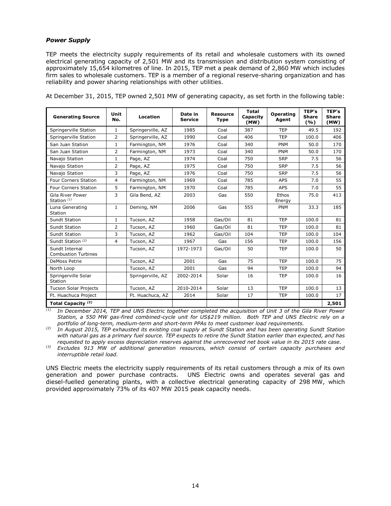### *Power Supply*

TEP meets the electricity supply requirements of its retail and wholesale customers with its owned electrical generating capacity of 2,501 MW and its transmission and distribution system consisting of approximately 15,654 kilometres of line. In 2015, TEP met a peak demand of 2,860 MW which includes firm sales to wholesale customers. TEP is a member of a regional reserve-sharing organization and has reliability and power sharing relationships with other utilities.

At December 31, 2015, TEP owned 2,501 MW of generating capacity, as set forth in the following table:

| <b>Generating Source</b>                          | Unit<br>No.    | Location          | Date in<br><b>Service</b> | <b>Resource</b><br><b>Type</b> | <b>Total</b><br>Capacity<br>(MW) | Operating<br>Agent | TEP's<br><b>Share</b><br>(%) | TEP's<br><b>Share</b><br>(MW) |
|---------------------------------------------------|----------------|-------------------|---------------------------|--------------------------------|----------------------------------|--------------------|------------------------------|-------------------------------|
| Springerville Station                             | $\mathbf{1}$   | Springerville, AZ | 1985                      | Coal                           | 387                              | <b>TEP</b>         | 49.5                         | 192                           |
| Springerville Station                             | $\overline{2}$ | Springerville, AZ | 1990                      | Coal                           | 406                              | <b>TEP</b>         | 100.0                        | 406                           |
| San Juan Station                                  | $\mathbf{1}$   | Farmington, NM    | 1976                      | Coal                           | 340                              | <b>PNM</b>         | 50.0                         | 170                           |
| San Juan Station                                  | 2              | Farmington, NM    | 1973                      | Coal                           | 340                              | <b>PNM</b>         | 50.0                         | 170                           |
| Navajo Station                                    | $\mathbf{1}$   | Page, AZ          | 1974                      | Coal                           | 750                              | <b>SRP</b>         | 7.5                          | 56                            |
| Navajo Station                                    | $\overline{2}$ | Page, AZ          | 1975                      | Coal                           | 750                              | <b>SRP</b>         | 7.5                          | 56                            |
| Navajo Station                                    | 3              | Page, AZ          | 1976                      | Coal                           | 750                              | <b>SRP</b>         | 7.5                          | 56                            |
| <b>Four Corners Station</b>                       | 4              | Farmington, NM    | 1969                      | Coal                           | 785                              | <b>APS</b>         | 7.0                          | 55                            |
| <b>Four Corners Station</b>                       | 5              | Farmington, NM    | 1970                      | Coal                           | 785                              | <b>APS</b>         | 7.0                          | 55                            |
| <b>Gila River Power</b><br>Station <sup>(1)</sup> | 3              | Gila Bend, AZ     | 2003                      | Gas                            | 550                              | Ethos<br>Energy    | 75.0                         | 413                           |
| Luna Generating<br>Station                        | $\mathbf{1}$   | Deming, NM        | 2006                      | Gas                            | 555                              | <b>PNM</b>         | 33.3                         | 185                           |
| Sundt Station                                     | $\mathbf{1}$   | Tucson, AZ        | 1958                      | Gas/Oil                        | 81                               | <b>TEP</b>         | 100.0                        | 81                            |
| <b>Sundt Station</b>                              | $\overline{2}$ | Tucson, AZ        | 1960                      | Gas/Oil                        | 81                               | <b>TEP</b>         | 100.0                        | 81                            |
| Sundt Station                                     | 3              | Tucson, AZ        | 1962                      | Gas/Oil                        | 104                              | <b>TEP</b>         | 100.0                        | 104                           |
| Sundt Station (2)                                 | $\overline{4}$ | Tucson, AZ        | 1967                      | Gas                            | 156                              | <b>TEP</b>         | 100.0                        | 156                           |
| Sundt Internal<br><b>Combustion Turbines</b>      |                | Tucson, AZ        | 1972-1973                 | Gas/Oil                        | 50                               | <b>TEP</b>         | 100.0                        | 50                            |
| <b>DeMoss Petrie</b>                              |                | Tucson, AZ        | 2001                      | Gas                            | 75                               | <b>TEP</b>         | 100.0                        | 75                            |
| North Loop                                        |                | Tucson, AZ        | 2001                      | Gas                            | 94                               | <b>TEP</b>         | 100.0                        | 94                            |
| Springerville Solar<br>Station                    |                | Springerville, AZ | 2002-2014                 | Solar                          | 16                               | <b>TEP</b>         | 100.0                        | 16                            |
| <b>Tucson Solar Projects</b>                      |                | Tucson, AZ        | 2010-2014                 | Solar                          | 13                               | <b>TEP</b>         | 100.0                        | 13                            |
| Ft. Huachuca Project                              |                | Ft. Huachuca, AZ  | 2014                      | Solar                          | 17                               | <b>TEP</b>         | 100.0                        | 17                            |
| Total Capacity (3)                                |                |                   |                           |                                |                                  |                    |                              | 2,501                         |

*(1) In December 2014, TEP and UNS Electric together completed the acquisition of Unit 3 of the Gila River Power Station, a 550 MW gas-fired combined-cycle unit for US\$219 million. Both TEP and UNS Electric rely on a portfolio of long-term, medium-term and short-term PPAs to meet customer load requirements.* 

*(2) In August 2015, TEP exhausted its existing coal supply at Sundt Station and has been operating Sundt Station with natural gas as a primary fuel source. TEP expects to retire the Sundt Station earlier than expected, and has requested to apply excess depreciation reserves against the unrecovered net book value in its 2015 rate case.* 

*(3) Excludes 913 MW of additional generation resources, which consist of certain capacity purchases and interruptible retail load.* 

UNS Electric meets the electricity supply requirements of its retail customers through a mix of its own generation and power purchase contracts. UNS Electric owns and operates several gas and diesel-fuelled generating plants, with a collective electrical generating capacity of 298 MW, which provided approximately 73% of its 407 MW 2015 peak capacity needs.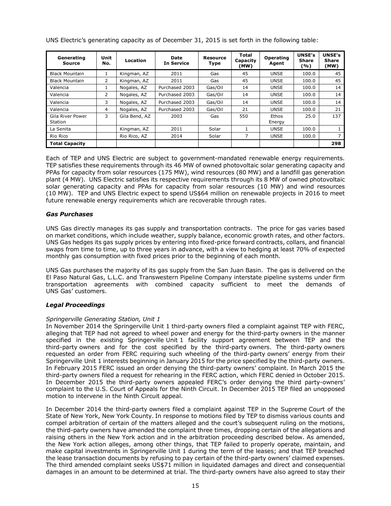| Generating<br>Source        | Unit<br>No.    | <b>Location</b> | <b>Date</b><br><b>In Service</b> | <b>Resource</b><br>Type | <b>Total</b><br>Capacity<br>(MW) | <b>Operating</b><br>Agent | <b>UNSE's</b><br><b>Share</b><br>(%) | <b>UNSE's</b><br><b>Share</b><br>(MW) |
|-----------------------------|----------------|-----------------|----------------------------------|-------------------------|----------------------------------|---------------------------|--------------------------------------|---------------------------------------|
| <b>Black Mountain</b>       | Ŧ.             | Kingman, AZ     | 2011                             | Gas                     | 45                               | <b>UNSE</b>               | 100.0                                | 45                                    |
| <b>Black Mountain</b>       | $\overline{2}$ | Kingman, AZ     | 2011                             | Gas                     | 45                               | <b>UNSE</b>               | 100.0                                | 45                                    |
| Valencia                    |                | Nogales, AZ     | Purchased 2003                   | Gas/Oil                 | 14                               | <b>UNSE</b>               | 100.0                                | 14                                    |
| Valencia                    | $\mathbf{2}$   | Nogales, AZ     | Purchased 2003                   | Gas/Oil                 | 14                               | <b>UNSE</b>               | 100.0                                | 14                                    |
| Valencia                    | 3              | Nogales, AZ     | Purchased 2003                   | Gas/Oil                 | 14                               | <b>UNSE</b>               | 100.0                                | 14                                    |
| Valencia                    | 4              | Nogales, AZ     | Purchased 2003                   | Gas/Oil                 | 21                               | <b>UNSE</b>               | 100.0                                | 21                                    |
| Gila River Power<br>Station | 3              | Gila Bend, AZ   | 2003                             | Gas                     | 550                              | Ethos<br>Energy           | 25.0                                 | 137                                   |
| La Senita                   |                | Kingman, AZ     | 2011                             | Solar                   |                                  | <b>UNSE</b>               | 100.0                                |                                       |
| Rio Rico                    |                | Rio Rico, AZ    | 2014                             | Solar                   | 7                                | <b>UNSE</b>               | 100.0                                |                                       |
| <b>Total Capacity</b>       |                |                 |                                  |                         |                                  |                           |                                      | 298                                   |

UNS Electric's generating capacity as of December 31, 2015 is set forth in the following table:

Each of TEP and UNS Electric are subject to government-mandated renewable energy requirements. TEP satisfies these requirements through its 46 MW of owned photovoltaic solar generating capacity and PPAs for capacity from solar resources (175 MW), wind resources (80 MW) and a landfill gas generation plant (4 MW). UNS Electric satisfies its respective requirements through its 8 MW of owned photovoltaic solar generating capacity and PPAs for capacity from solar resources (10 MW) and wind resources (10 MW). TEP and UNS Electric expect to spend US\$64 million on renewable projects in 2016 to meet future renewable energy requirements which are recoverable through rates.

### *Gas Purchases*

UNS Gas directly manages its gas supply and transportation contracts. The price for gas varies based on market conditions, which include weather, supply balance, economic growth rates, and other factors. UNS Gas hedges its gas supply prices by entering into fixed-price forward contracts, collars, and financial swaps from time to time, up to three years in advance, with a view to hedging at least 70% of expected monthly gas consumption with fixed prices prior to the beginning of each month.

UNS Gas purchases the majority of its gas supply from the San Juan Basin. The gas is delivered on the El Paso Natural Gas, L.L.C. and Transwestern Pipeline Company interstate pipeline systems under firm transportation agreements with combined capacity sufficient to meet the demands of UNS Gas' customers.

### *Legal Proceedings*

### *Springerville Generating Station, Unit 1*

In November 2014 the Springerville Unit 1 third-party owners filed a complaint against TEP with FERC, alleging that TEP had not agreed to wheel power and energy for the third-party owners in the manner specified in the existing Springerville Unit 1 facility support agreement between TEP and the third-party owners and for the cost specified by the third-party owners. The third-party owners requested an order from FERC requiring such wheeling of the third-party owners' energy from their Springerville Unit 1 interests beginning in January 2015 for the price specified by the third-party owners. In February 2015 FERC issued an order denying the third-party owners' complaint. In March 2015 the third-party owners filed a request for rehearing in the FERC action, which FERC denied in October 2015. In December 2015 the third-party owners appealed FERC's order denying the third party-owners' complaint to the U.S. Court of Appeals for the Ninth Circuit. In December 2015 TEP filed an unopposed motion to intervene in the Ninth Circuit appeal.

In December 2014 the third-party owners filed a complaint against TEP in the Supreme Court of the State of New York, New York County. In response to motions filed by TEP to dismiss various counts and compel arbitration of certain of the matters alleged and the court's subsequent ruling on the motions, the third-party owners have amended the complaint three times, dropping certain of the allegations and raising others in the New York action and in the arbitration proceeding described below. As amended, the New York action alleges, among other things, that TEP failed to properly operate, maintain, and make capital investments in Springerville Unit 1 during the term of the leases; and that TEP breached the lease transaction documents by refusing to pay certain of the third-party owners' claimed expenses. The third amended complaint seeks US\$71 million in liquidated damages and direct and consequential damages in an amount to be determined at trial. The third-party owners have also agreed to stay their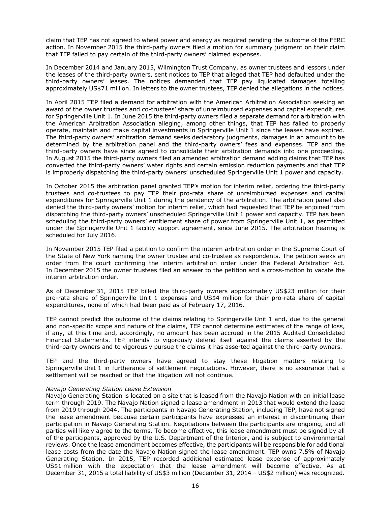claim that TEP has not agreed to wheel power and energy as required pending the outcome of the FERC action. In November 2015 the third-party owners filed a motion for summary judgment on their claim that TEP failed to pay certain of the third-party owners' claimed expenses.

In December 2014 and January 2015, Wilmington Trust Company, as owner trustees and lessors under the leases of the third-party owners, sent notices to TEP that alleged that TEP had defaulted under the third-party owners' leases. The notices demanded that TEP pay liquidated damages totalling approximately US\$71 million. In letters to the owner trustees, TEP denied the allegations in the notices.

In April 2015 TEP filed a demand for arbitration with the American Arbitration Association seeking an award of the owner trustees and co-trustees' share of unreimbursed expenses and capital expenditures for Springerville Unit 1. In June 2015 the third-party owners filed a separate demand for arbitration with the American Arbitration Association alleging, among other things, that TEP has failed to properly operate, maintain and make capital investments in Springerville Unit 1 since the leases have expired. The third-party owners' arbitration demand seeks declaratory judgments, damages in an amount to be determined by the arbitration panel and the third-party owners' fees and expenses. TEP and the third-party owners have since agreed to consolidate their arbitration demands into one proceeding. In August 2015 the third-party owners filed an amended arbitration demand adding claims that TEP has converted the third-party owners' water rights and certain emission reduction payments and that TEP is improperly dispatching the third-party owners' unscheduled Springerville Unit 1 power and capacity.

In October 2015 the arbitration panel granted TEP's motion for interim relief, ordering the third-party trustees and co-trustees to pay TEP their pro-rata share of unreimbursed expenses and capital expenditures for Springerville Unit 1 during the pendency of the arbitration. The arbitration panel also denied the third-party owners' motion for interim relief, which had requested that TEP be enjoined from dispatching the third-party owners' unscheduled Springerville Unit 1 power and capacity. TEP has been scheduling the third-party owners' entitlement share of power from Springerville Unit 1, as permitted under the Springerville Unit 1 facility support agreement, since June 2015. The arbitration hearing is scheduled for July 2016.

In November 2015 TEP filed a petition to confirm the interim arbitration order in the Supreme Court of the State of New York naming the owner trustee and co-trustee as respondents. The petition seeks an order from the court confirming the interim arbitration order under the Federal Arbitration Act. In December 2015 the owner trustees filed an answer to the petition and a cross-motion to vacate the interim arbitration order.

As of December 31, 2015 TEP billed the third-party owners approximately US\$23 million for their pro-rata share of Springerville Unit 1 expenses and US\$4 million for their pro-rata share of capital expenditures, none of which had been paid as of February 17, 2016.

TEP cannot predict the outcome of the claims relating to Springerville Unit 1 and, due to the general and non-specific scope and nature of the claims, TEP cannot determine estimates of the range of loss, if any, at this time and, accordingly, no amount has been accrued in the 2015 Audited Consolidated Financial Statements. TEP intends to vigorously defend itself against the claims asserted by the third-party owners and to vigorously pursue the claims it has asserted against the third-party owners.

TEP and the third-party owners have agreed to stay these litigation matters relating to Springerville Unit 1 in furtherance of settlement negotiations. However, there is no assurance that a settlement will be reached or that the litigation will not continue.

#### *Navajo Generating Station Lease Extension*

Navajo Generating Station is located on a site that is leased from the Navajo Nation with an initial lease term through 2019. The Navajo Nation signed a lease amendment in 2013 that would extend the lease from 2019 through 2044. The participants in Navajo Generating Station, including TEP, have not signed the lease amendment because certain participants have expressed an interest in discontinuing their participation in Navajo Generating Station. Negotiations between the participants are ongoing, and all parties will likely agree to the terms. To become effective, this lease amendment must be signed by all of the participants, approved by the U.S. Department of the Interior, and is subject to environmental reviews. Once the lease amendment becomes effective, the participants will be responsible for additional lease costs from the date the Navajo Nation signed the lease amendment. TEP owns 7.5% of Navajo Generating Station. In 2015, TEP recorded additional estimated lease expense of approximately US\$1 million with the expectation that the lease amendment will become effective. As at December 31, 2015 a total liability of US\$3 million (December 31, 2014 – US\$2 million) was recognized.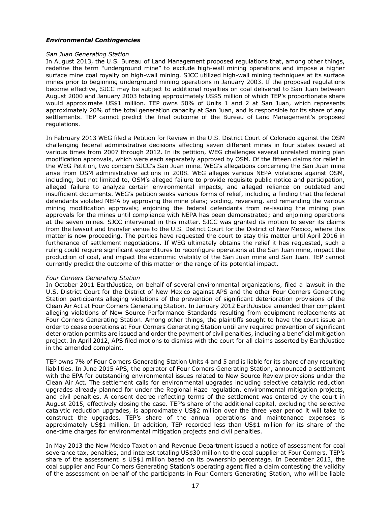### *Environmental Contingencies*

#### *San Juan Generating Station*

In August 2013, the U.S. Bureau of Land Management proposed regulations that, among other things, redefine the term "underground mine" to exclude high-wall mining operations and impose a higher surface mine coal royalty on high-wall mining. SJCC utilized high-wall mining techniques at its surface mines prior to beginning underground mining operations in January 2003. If the proposed regulations become effective, SJCC may be subject to additional royalties on coal delivered to San Juan between August 2000 and January 2003 totaling approximately US\$5 million of which TEP's proportionate share would approximate US\$1 million. TEP owns 50% of Units 1 and 2 at San Juan, which represents approximately 20% of the total generation capacity at San Juan, and is responsible for its share of any settlements. TEP cannot predict the final outcome of the Bureau of Land Management's proposed regulations.

In February 2013 WEG filed a Petition for Review in the U.S. District Court of Colorado against the OSM challenging federal administrative decisions affecting seven different mines in four states issued at various times from 2007 through 2012. In its petition, WEG challenges several unrelated mining plan modification approvals, which were each separately approved by OSM. Of the fifteen claims for relief in the WEG Petition, two concern SJCC's San Juan mine. WEG's allegations concerning the San Juan mine arise from OSM administrative actions in 2008. WEG alleges various NEPA violations against OSM, including, but not limited to, OSM's alleged failure to provide requisite public notice and participation, alleged failure to analyze certain environmental impacts, and alleged reliance on outdated and insufficient documents. WEG's petition seeks various forms of relief, including a finding that the federal defendants violated NEPA by approving the mine plans; voiding, reversing, and remanding the various mining modification approvals; enjoining the federal defendants from re-issuing the mining plan approvals for the mines until compliance with NEPA has been demonstrated; and enjoining operations at the seven mines. SJCC intervened in this matter. SJCC was granted its motion to sever its claims from the lawsuit and transfer venue to the U.S. District Court for the District of New Mexico, where this matter is now proceeding. The parties have requested the court to stay this matter until April 2016 in furtherance of settlement negotiations. If WEG ultimately obtains the relief it has requested, such a ruling could require significant expenditures to reconfigure operations at the San Juan mine, impact the production of coal, and impact the economic viability of the San Juan mine and San Juan. TEP cannot currently predict the outcome of this matter or the range of its potential impact.

### *Four Corners Generating Station*

In October 2011 EarthJustice, on behalf of several environmental organizations, filed a lawsuit in the U.S. District Court for the District of New Mexico against APS and the other Four Corners Generating Station participants alleging violations of the prevention of significant deterioration provisions of the Clean Air Act at Four Corners Generating Station. In January 2012 EarthJustice amended their complaint alleging violations of New Source Performance Standards resulting from equipment replacements at Four Corners Generating Station. Among other things, the plaintiffs sought to have the court issue an order to cease operations at Four Corners Generating Station until any required prevention of significant deterioration permits are issued and order the payment of civil penalties, including a beneficial mitigation project. In April 2012, APS filed motions to dismiss with the court for all claims asserted by EarthJustice in the amended complaint.

TEP owns 7% of Four Corners Generating Station Units 4 and 5 and is liable for its share of any resulting liabilities. In June 2015 APS, the operator of Four Corners Generating Station, announced a settlement with the EPA for outstanding environmental issues related to New Source Review provisions under the Clean Air Act. The settlement calls for environmental upgrades including selective catalytic reduction upgrades already planned for under the Regional Haze regulation, environmental mitigation projects, and civil penalties. A consent decree reflecting terms of the settlement was entered by the court in August 2015, effectively closing the case. TEP's share of the additional capital, excluding the selective catalytic reduction upgrades, is approximately US\$2 million over the three year period it will take to construct the upgrades. TEP's share of the annual operations and maintenance expenses is approximately US\$1 million. In addition, TEP recorded less than US\$1 million for its share of the one-time charges for environmental mitigation projects and civil penalties.

In May 2013 the New Mexico Taxation and Revenue Department issued a notice of assessment for coal severance tax, penalties, and interest totaling US\$30 million to the coal supplier at Four Corners. TEP's share of the assessment is US\$1 million based on its ownership percentage. In December 2013, the coal supplier and Four Corners Generating Station's operating agent filed a claim contesting the validity of the assessment on behalf of the participants in Four Corners Generating Station, who will be liable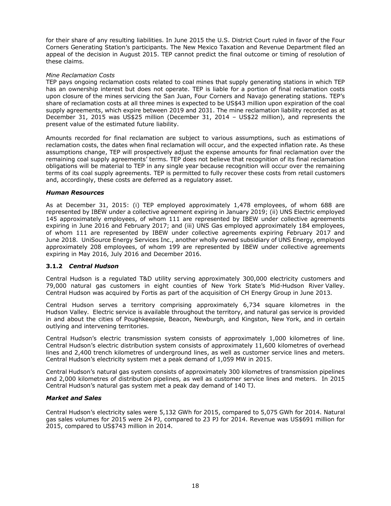for their share of any resulting liabilities. In June 2015 the U.S. District Court ruled in favor of the Four Corners Generating Station's participants. The New Mexico Taxation and Revenue Department filed an appeal of the decision in August 2015. TEP cannot predict the final outcome or timing of resolution of these claims.

### *Mine Reclamation Costs*

TEP pays ongoing reclamation costs related to coal mines that supply generating stations in which TEP has an ownership interest but does not operate. TEP is liable for a portion of final reclamation costs upon closure of the mines servicing the San Juan, Four Corners and Navajo generating stations. TEP's share of reclamation costs at all three mines is expected to be US\$43 million upon expiration of the coal supply agreements, which expire between 2019 and 2031. The mine reclamation liability recorded as at December 31, 2015 was US\$25 million (December 31, 2014 – US\$22 million), and represents the present value of the estimated future liability.

Amounts recorded for final reclamation are subject to various assumptions, such as estimations of reclamation costs, the dates when final reclamation will occur, and the expected inflation rate. As these assumptions change, TEP will prospectively adjust the expense amounts for final reclamation over the remaining coal supply agreements' terms. TEP does not believe that recognition of its final reclamation obligations will be material to TEP in any single year because recognition will occur over the remaining terms of its coal supply agreements. TEP is permitted to fully recover these costs from retail customers and, accordingly, these costs are deferred as a regulatory asset.

### *Human Resources*

As at December 31, 2015: (i) TEP employed approximately 1,478 employees, of whom 688 are represented by IBEW under a collective agreement expiring in January 2019; (ii) UNS Electric employed 145 approximately employees, of whom 111 are represented by IBEW under collective agreements expiring in June 2016 and February 2017; and (iii) UNS Gas employed approximately 184 employees, of whom 111 are represented by IBEW under collective agreements expiring February 2017 and June 2018. UniSource Energy Services Inc., another wholly owned subsidiary of UNS Energy, employed approximately 208 employees, of whom 199 are represented by IBEW under collective agreements expiring in May 2016, July 2016 and December 2016.

### **3.1.2** *Central Hudson*

Central Hudson is a regulated T&D utility serving approximately 300,000 electricity customers and 79,000 natural gas customers in eight counties of New York State's Mid-Hudson River Valley. Central Hudson was acquired by Fortis as part of the acquisition of CH Energy Group in June 2013.

Central Hudson serves a territory comprising approximately 6,734 square kilometres in the Hudson Valley. Electric service is available throughout the territory, and natural gas service is provided in and about the cities of Poughkeepsie, Beacon, Newburgh, and Kingston, New York, and in certain outlying and intervening territories.

Central Hudson's electric transmission system consists of approximately 1,000 kilometres of line. Central Hudson's electric distribution system consists of approximately 11,600 kilometres of overhead lines and 2,400 trench kilometres of underground lines, as well as customer service lines and meters. Central Hudson's electricity system met a peak demand of 1,059 MW in 2015.

Central Hudson's natural gas system consists of approximately 300 kilometres of transmission pipelines and 2,000 kilometres of distribution pipelines, as well as customer service lines and meters. In 2015 Central Hudson's natural gas system met a peak day demand of 140 TJ.

### *Market and Sales*

Central Hudson's electricity sales were 5,132 GWh for 2015, compared to 5,075 GWh for 2014. Natural gas sales volumes for 2015 were 24 PJ, compared to 23 PJ for 2014. Revenue was US\$691 million for 2015, compared to US\$743 million in 2014.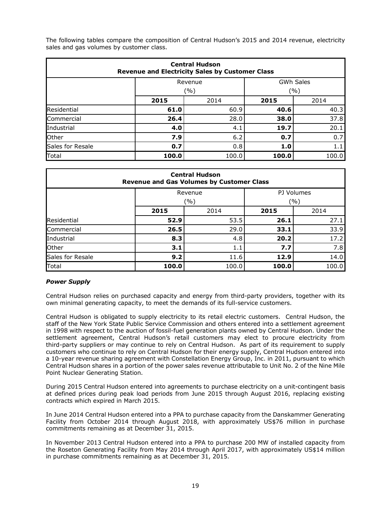The following tables compare the composition of Central Hudson's 2015 and 2014 revenue, electricity sales and gas volumes by customer class.

| <b>Central Hudson</b><br><b>Revenue and Electricity Sales by Customer Class</b> |                             |             |       |       |  |  |  |
|---------------------------------------------------------------------------------|-----------------------------|-------------|-------|-------|--|--|--|
|                                                                                 | <b>GWh Sales</b><br>Revenue |             |       |       |  |  |  |
|                                                                                 |                             | ( %)<br>(%) |       |       |  |  |  |
|                                                                                 | 2015                        | 2014        | 2015  | 2014  |  |  |  |
| Residential                                                                     | 61.0                        | 60.9        | 40.6  | 40.3  |  |  |  |
| Commercial                                                                      | 26.4                        | 28.0        | 38.0  | 37.8  |  |  |  |
| <b>Industrial</b>                                                               | 4.0                         | 4.1         | 19.7  | 20.1  |  |  |  |
| Other                                                                           | 7.9                         | 6.2         | 0.7   | 0.7   |  |  |  |
| Sales for Resale                                                                | 0.7                         | 0.8         | 1.0   | 1.1   |  |  |  |
| Total                                                                           | 100.0                       | 100.0       | 100.0 | 100.0 |  |  |  |

| <b>Central Hudson</b><br><b>Revenue and Gas Volumes by Customer Class</b> |       |       |       |       |  |  |  |
|---------------------------------------------------------------------------|-------|-------|-------|-------|--|--|--|
| PJ Volumes<br>Revenue                                                     |       |       |       |       |  |  |  |
|                                                                           | (%)   |       | (%)   |       |  |  |  |
|                                                                           | 2015  | 2014  | 2015  | 2014  |  |  |  |
| Residential                                                               | 52.9  | 53.5  | 26.1  | 27.1  |  |  |  |
| Commercial                                                                | 26.5  | 29.0  | 33.1  | 33.9  |  |  |  |
| Industrial                                                                | 8.3   | 4.8   | 20.2  | 17.2  |  |  |  |
| Other                                                                     | 3.1   | 1.1   | 7.7   | 7.8   |  |  |  |
| Sales for Resale                                                          | 9.2   | 11.6  | 12.9  | 14.0  |  |  |  |
| Total                                                                     | 100.0 | 100.0 | 100.0 | 100.0 |  |  |  |

### *Power Supply*

Central Hudson relies on purchased capacity and energy from third-party providers, together with its own minimal generating capacity, to meet the demands of its full-service customers.

Central Hudson is obligated to supply electricity to its retail electric customers. Central Hudson, the staff of the New York State Public Service Commission and others entered into a settlement agreement in 1998 with respect to the auction of fossil-fuel generation plants owned by Central Hudson. Under the settlement agreement, Central Hudson's retail customers may elect to procure electricity from third-party suppliers or may continue to rely on Central Hudson. As part of its requirement to supply customers who continue to rely on Central Hudson for their energy supply, Central Hudson entered into a 10-year revenue sharing agreement with Constellation Energy Group, Inc. in 2011, pursuant to which Central Hudson shares in a portion of the power sales revenue attributable to Unit No. 2 of the Nine Mile Point Nuclear Generating Station.

During 2015 Central Hudson entered into agreements to purchase electricity on a unit-contingent basis at defined prices during peak load periods from June 2015 through August 2016, replacing existing contracts which expired in March 2015.

In June 2014 Central Hudson entered into a PPA to purchase capacity from the Danskammer Generating Facility from October 2014 through August 2018, with approximately US\$76 million in purchase commitments remaining as at December 31, 2015.

In November 2013 Central Hudson entered into a PPA to purchase 200 MW of installed capacity from the Roseton Generating Facility from May 2014 through April 2017, with approximately US\$14 million in purchase commitments remaining as at December 31, 2015.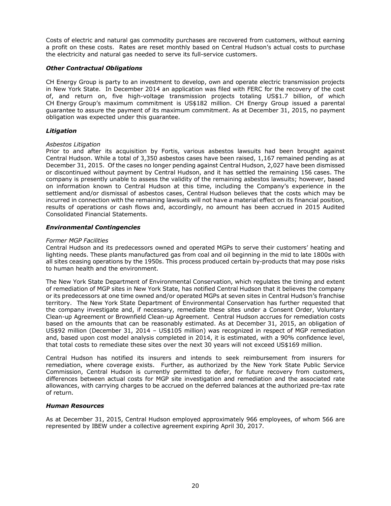Costs of electric and natural gas commodity purchases are recovered from customers, without earning a profit on these costs. Rates are reset monthly based on Central Hudson's actual costs to purchase the electricity and natural gas needed to serve its full-service customers.

### *Other Contractual Obligations*

CH Energy Group is party to an investment to develop, own and operate electric transmission projects in New York State. In December 2014 an application was filed with FERC for the recovery of the cost of, and return on, five high-voltage transmission projects totaling US\$1.7 billion, of which CH Energy Group's maximum commitment is US\$182 million. CH Energy Group issued a parental guarantee to assure the payment of its maximum commitment. As at December 31, 2015, no payment obligation was expected under this guarantee.

### *Litigation*

#### *Asbestos Litigation*

Prior to and after its acquisition by Fortis, various asbestos lawsuits had been brought against Central Hudson. While a total of 3,350 asbestos cases have been raised, 1,167 remained pending as at December 31, 2015. Of the cases no longer pending against Central Hudson, 2,027 have been dismissed or discontinued without payment by Central Hudson, and it has settled the remaining 156 cases. The company is presently unable to assess the validity of the remaining asbestos lawsuits; however, based on information known to Central Hudson at this time, including the Company's experience in the settlement and/or dismissal of asbestos cases, Central Hudson believes that the costs which may be incurred in connection with the remaining lawsuits will not have a material effect on its financial position, results of operations or cash flows and, accordingly, no amount has been accrued in 2015 Audited Consolidated Financial Statements.

#### *Environmental Contingencies*

#### *Former MGP Facilities*

Central Hudson and its predecessors owned and operated MGPs to serve their customers' heating and lighting needs. These plants manufactured gas from coal and oil beginning in the mid to late 1800s with all sites ceasing operations by the 1950s. This process produced certain by-products that may pose risks to human health and the environment.

The New York State Department of Environmental Conservation, which regulates the timing and extent of remediation of MGP sites in New York State, has notified Central Hudson that it believes the company or its predecessors at one time owned and/or operated MGPs at seven sites in Central Hudson's franchise territory. The New York State Department of Environmental Conservation has further requested that the company investigate and, if necessary, remediate these sites under a Consent Order, Voluntary Clean-up Agreement or Brownfield Clean-up Agreement. Central Hudson accrues for remediation costs based on the amounts that can be reasonably estimated. As at December 31, 2015, an obligation of US\$92 million (December 31, 2014 – US\$105 million) was recognized in respect of MGP remediation and, based upon cost model analysis completed in 2014, it is estimated, with a 90% confidence level, that total costs to remediate these sites over the next 30 years will not exceed US\$169 million.

Central Hudson has notified its insurers and intends to seek reimbursement from insurers for remediation, where coverage exists. Further, as authorized by the New York State Public Service Commission, Central Hudson is currently permitted to defer, for future recovery from customers, differences between actual costs for MGP site investigation and remediation and the associated rate allowances, with carrying charges to be accrued on the deferred balances at the authorized pre-tax rate of return.

#### *Human Resources*

As at December 31, 2015, Central Hudson employed approximately 966 employees, of whom 566 are represented by IBEW under a collective agreement expiring April 30, 2017.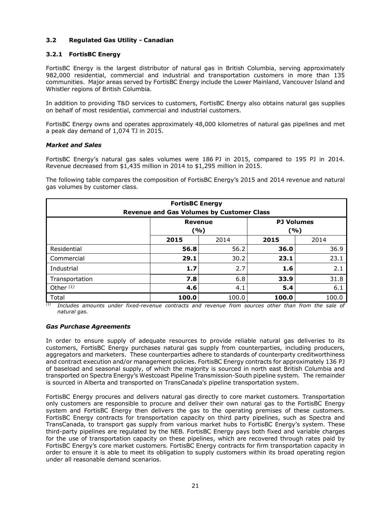### **3.2 Regulated Gas Utility - Canadian**

### **3.2.1 FortisBC Energy**

FortisBC Energy is the largest distributor of natural gas in British Columbia, serving approximately 982,000 residential, commercial and industrial and transportation customers in more than 135 communities. Major areas served by FortisBC Energy include the Lower Mainland, Vancouver Island and Whistler regions of British Columbia.

In addition to providing T&D services to customers, FortisBC Energy also obtains natural gas supplies on behalf of most residential, commercial and industrial customers.

FortisBC Energy owns and operates approximately 48,000 kilometres of natural gas pipelines and met a peak day demand of 1,074 TJ in 2015.

### *Market and Sales*

FortisBC Energy's natural gas sales volumes were 186 PJ in 2015, compared to 195 PJ in 2014. Revenue decreased from \$1,435 million in 2014 to \$1,295 million in 2015.

The following table compares the composition of FortisBC Energy's 2015 and 2014 revenue and natural gas volumes by customer class.

| <b>FortisBC Energy</b><br><b>Revenue and Gas Volumes by Customer Class</b> |                                                   |       |       |       |  |  |
|----------------------------------------------------------------------------|---------------------------------------------------|-------|-------|-------|--|--|
|                                                                            | <b>PJ Volumes</b><br><b>Revenue</b><br>(%)<br>(%) |       |       |       |  |  |
|                                                                            | 2015                                              | 2014  |       |       |  |  |
| Residential                                                                | 56.8                                              | 56.2  | 36.0  | 36.9  |  |  |
| Commercial                                                                 | 29.1                                              | 30.2  | 23.1  | 23.1  |  |  |
| Industrial                                                                 | 1.7                                               | 2.7   | 1.6   | 2.1   |  |  |
| Transportation                                                             | 7.8                                               | 6.8   | 33.9  | 31.8  |  |  |
| Other $(1)$                                                                | 4.6                                               | 4.1   | 5.4   | 6.1   |  |  |
| Total                                                                      | 100.0                                             | 100.0 | 100.0 | 100.0 |  |  |

*(1) Includes amounts under fixed-revenue contracts and revenue from sources other than from the sale of natural gas.* 

### *Gas Purchase Agreements*

In order to ensure supply of adequate resources to provide reliable natural gas deliveries to its customers, FortisBC Energy purchases natural gas supply from counterparties, including producers, aggregators and marketers. These counterparties adhere to standards of counterparty creditworthiness and contract execution and/or management policies. FortisBC Energy contracts for approximately 136 PJ of baseload and seasonal supply, of which the majority is sourced in north east British Columbia and transported on Spectra Energy's Westcoast Pipeline Transmission-South pipeline system. The remainder is sourced in Alberta and transported on TransCanada's pipeline transportation system.

FortisBC Energy procures and delivers natural gas directly to core market customers. Transportation only customers are responsible to procure and deliver their own natural gas to the FortisBC Energy system and FortisBC Energy then delivers the gas to the operating premises of these customers. FortisBC Energy contracts for transportation capacity on third party pipelines, such as Spectra and TransCanada, to transport gas supply from various market hubs to FortisBC Energy's system. These third-party pipelines are regulated by the NEB. FortisBC Energy pays both fixed and variable charges for the use of transportation capacity on these pipelines, which are recovered through rates paid by FortisBC Energy's core market customers. FortisBC Energy contracts for firm transportation capacity in order to ensure it is able to meet its obligation to supply customers within its broad operating region under all reasonable demand scenarios.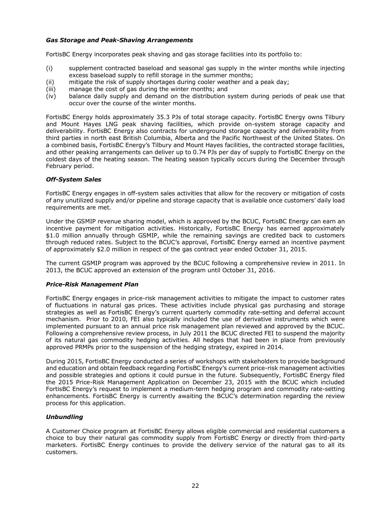## *Gas Storage and Peak-Shaving Arrangements*

FortisBC Energy incorporates peak shaving and gas storage facilities into its portfolio to:

- (i) supplement contracted baseload and seasonal gas supply in the winter months while injecting excess baseload supply to refill storage in the summer months;
- (ii) mitigate the risk of supply shortages during cooler weather and a peak day;
- (iii) manage the cost of gas during the winter months; and
- (iv) balance daily supply and demand on the distribution system during periods of peak use that occur over the course of the winter months.

FortisBC Energy holds approximately 35.3 PJs of total storage capacity. FortisBC Energy owns Tilbury and Mount Hayes LNG peak shaving facilities, which provide on-system storage capacity and deliverability. FortisBC Energy also contracts for underground storage capacity and deliverability from third parties in north east British Columbia, Alberta and the Pacific Northwest of the United States. On a combined basis, FortisBC Energy's Tilbury and Mount Hayes facilities, the contracted storage facilities, and other peaking arrangements can deliver up to 0.74 PJs per day of supply to FortisBC Energy on the coldest days of the heating season. The heating season typically occurs during the December through February period.

### *Off-System Sales*

FortisBC Energy engages in off-system sales activities that allow for the recovery or mitigation of costs of any unutilized supply and/or pipeline and storage capacity that is available once customers' daily load requirements are met.

Under the GSMIP revenue sharing model, which is approved by the BCUC, FortisBC Energy can earn an incentive payment for mitigation activities. Historically, FortisBC Energy has earned approximately \$1.0 million annually through GSMIP, while the remaining savings are credited back to customers through reduced rates. Subject to the BCUC's approval, FortisBC Energy earned an incentive payment of approximately \$2.0 million in respect of the gas contract year ended October 31, 2015.

The current GSMIP program was approved by the BCUC following a comprehensive review in 2011. In 2013, the BCUC approved an extension of the program until October 31, 2016.

### *Price-Risk Management Plan*

FortisBC Energy engages in price-risk management activities to mitigate the impact to customer rates of fluctuations in natural gas prices. These activities include physical gas purchasing and storage strategies as well as FortisBC Energy's current quarterly commodity rate-setting and deferral account mechanism. Prior to 2010, FEI also typically included the use of derivative instruments which were implemented pursuant to an annual price risk management plan reviewed and approved by the BCUC. Following a comprehensive review process, in July 2011 the BCUC directed FEI to suspend the majority of its natural gas commodity hedging activities. All hedges that had been in place from previously approved PRMPs prior to the suspension of the hedging strategy, expired in 2014.

During 2015, FortisBC Energy conducted a series of workshops with stakeholders to provide background and education and obtain feedback regarding FortisBC Energy's current price-risk management activities and possible strategies and options it could pursue in the future. Subsequently, FortisBC Energy filed the 2015 Price-Risk Management Application on December 23, 2015 with the BCUC which included FortisBC Energy's request to implement a medium-term hedging program and commodity rate-setting enhancements. FortisBC Energy is currently awaiting the BCUC's determination regarding the review process for this application.

### *Unbundling*

A Customer Choice program at FortisBC Energy allows eligible commercial and residential customers a choice to buy their natural gas commodity supply from FortisBC Energy or directly from third-party marketers. FortisBC Energy continues to provide the delivery service of the natural gas to all its customers.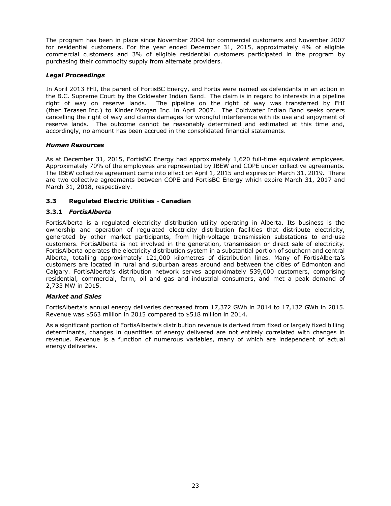The program has been in place since November 2004 for commercial customers and November 2007 for residential customers. For the year ended December 31, 2015, approximately 4% of eligible commercial customers and 3% of eligible residential customers participated in the program by purchasing their commodity supply from alternate providers.

### *Legal Proceedings*

In April 2013 FHI, the parent of FortisBC Energy, and Fortis were named as defendants in an action in the B.C. Supreme Court by the Coldwater Indian Band. The claim is in regard to interests in a pipeline right of way on reserve lands. The pipeline on the right of way was transferred by FHI (then Terasen Inc.) to Kinder Morgan Inc. in April 2007. The Coldwater Indian Band seeks orders cancelling the right of way and claims damages for wrongful interference with its use and enjoyment of reserve lands. The outcome cannot be reasonably determined and estimated at this time and, accordingly, no amount has been accrued in the consolidated financial statements.

### *Human Resources*

As at December 31, 2015, FortisBC Energy had approximately 1,620 full-time equivalent employees. Approximately 70% of the employees are represented by IBEW and COPE under collective agreements. The IBEW collective agreement came into effect on April 1, 2015 and expires on March 31, 2019. There are two collective agreements between COPE and FortisBC Energy which expire March 31, 2017 and March 31, 2018, respectively.

### **3.3 Regulated Electric Utilities - Canadian**

### **3.3.1** *FortisAlberta*

FortisAlberta is a regulated electricity distribution utility operating in Alberta. Its business is the ownership and operation of regulated electricity distribution facilities that distribute electricity, generated by other market participants, from high-voltage transmission substations to end-use customers. FortisAlberta is not involved in the generation, transmission or direct sale of electricity. FortisAlberta operates the electricity distribution system in a substantial portion of southern and central Alberta, totalling approximately 121,000 kilometres of distribution lines. Many of FortisAlberta's customers are located in rural and suburban areas around and between the cities of Edmonton and Calgary. FortisAlberta's distribution network serves approximately 539,000 customers, comprising residential, commercial, farm, oil and gas and industrial consumers, and met a peak demand of 2,733 MW in 2015.

### *Market and Sales*

FortisAlberta's annual energy deliveries decreased from 17,372 GWh in 2014 to 17,132 GWh in 2015. Revenue was \$563 million in 2015 compared to \$518 million in 2014.

As a significant portion of FortisAlberta's distribution revenue is derived from fixed or largely fixed billing determinants, changes in quantities of energy delivered are not entirely correlated with changes in revenue. Revenue is a function of numerous variables, many of which are independent of actual energy deliveries.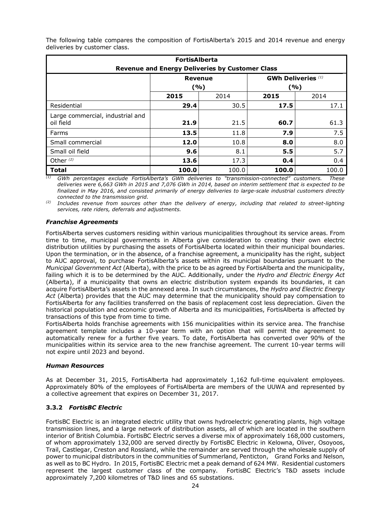| <b>FortisAlberta</b><br><b>Revenue and Energy Deliveries by Customer Class</b> |       |                 |                           |       |  |  |  |
|--------------------------------------------------------------------------------|-------|-----------------|---------------------------|-------|--|--|--|
|                                                                                |       | Revenue<br>( %) | <b>GWh Deliveries</b> (1) | ( %)  |  |  |  |
|                                                                                | 2015  | 2014            | 2015                      | 2014  |  |  |  |
| Residential                                                                    | 29.4  | 30.5            | 17.5                      | 17.1  |  |  |  |
| Large commercial, industrial and<br>oil field                                  | 21.9  | 21.5            | 60.7                      | 61.3  |  |  |  |
| Farms                                                                          | 13.5  | 11.8            | 7.9                       | 7.5   |  |  |  |
| Small commercial                                                               | 12.0  | 10.8            | 8.0                       | 8.0   |  |  |  |
| Small oil field                                                                | 9.6   | 8.1             | 5.5                       | 5.7   |  |  |  |
| Other <sup>(2)</sup>                                                           | 13.6  | 17.3            | 0.4                       | 0.4   |  |  |  |
| <b>Total</b>                                                                   | 100.0 | 100.0           | 100.0                     | 100.0 |  |  |  |

The following table compares the composition of FortisAlberta's 2015 and 2014 revenue and energy deliveries by customer class.

*(1) GWh percentages exclude FortisAlberta's GWh deliveries to "transmission-connected" customers. These deliveries were 6,663 GWh in 2015 and 7,076 GWh in 2014, based on interim settlement that is expected to be finalized in May 2016, and consisted primarily of energy deliveries to large-scale industrial customers directly connected to the transmission grid.* 

*(2) Includes revenue from sources other than the delivery of energy, including that related to street-lighting services, rate riders, deferrals and adjustments.* 

# *Franchise Agreements*

FortisAlberta serves customers residing within various municipalities throughout its service areas. From time to time, municipal governments in Alberta give consideration to creating their own electric distribution utilities by purchasing the assets of FortisAlberta located within their municipal boundaries. Upon the termination, or in the absence, of a franchise agreement, a municipality has the right, subject to AUC approval, to purchase FortisAlberta's assets within its municipal boundaries pursuant to the *Municipal Government Act* (Alberta), with the price to be as agreed by FortisAlberta and the municipality, failing which it is to be determined by the AUC. Additionally, under the *Hydro and Electric Energy Act* (Alberta), if a municipality that owns an electric distribution system expands its boundaries, it can acquire FortisAlberta's assets in the annexed area. In such circumstances, the *Hydro and Electric Energy Act* (Alberta) provides that the AUC may determine that the municipality should pay compensation to FortisAlberta for any facilities transferred on the basis of replacement cost less depreciation. Given the historical population and economic growth of Alberta and its municipalities, FortisAlberta is affected by transactions of this type from time to time.

FortisAlberta holds franchise agreements with 156 municipalities within its service area. The franchise agreement template includes a 10-year term with an option that will permit the agreement to automatically renew for a further five years. To date, FortisAlberta has converted over 90% of the municipalities within its service area to the new franchise agreement. The current 10-year terms will not expire until 2023 and beyond.

# *Human Resources*

As at December 31, 2015, FortisAlberta had approximately 1,162 full-time equivalent employees. Approximately 80% of the employees of FortisAlberta are members of the UUWA and represented by a collective agreement that expires on December 31, 2017.

# **3.3.2** *FortisBC Electric*

FortisBC Electric is an integrated electric utility that owns hydroelectric generating plants, high voltage transmission lines, and a large network of distribution assets, all of which are located in the southern interior of British Columbia. FortisBC Electric serves a diverse mix of approximately 168,000 customers, of whom approximately 132,000 are served directly by FortisBC Electric in Kelowna, Oliver, Osoyoos, Trail, Castlegar, Creston and Rossland, while the remainder are served through the wholesale supply of power to municipal distributors in the communities of Summerland, Penticton, Grand Forks and Nelson, as well as to BC Hydro. In 2015, FortisBC Electric met a peak demand of 624 MW. Residential customers represent the largest customer class of the company. FortisBC Electric's T&D assets include approximately 7,200 kilometres of T&D lines and 65 substations.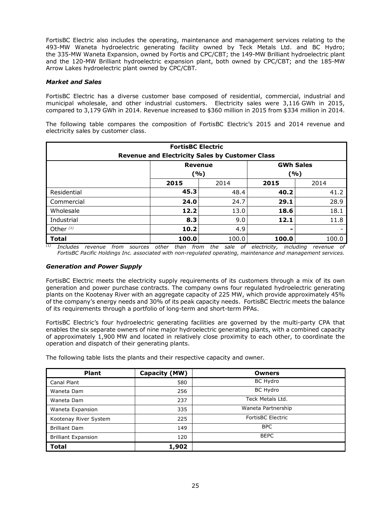FortisBC Electric also includes the operating, maintenance and management services relating to the 493-MW Waneta hydroelectric generating facility owned by Teck Metals Ltd. and BC Hydro; the 335-MW Waneta Expansion, owned by Fortis and CPC/CBT; the 149-MW Brilliant hydroelectric plant and the 120-MW Brilliant hydroelectric expansion plant, both owned by CPC/CBT; and the 185-MW Arrow Lakes hydroelectric plant owned by CPC/CBT.

### *Market and Sales*

FortisBC Electric has a diverse customer base composed of residential, commercial, industrial and municipal wholesale, and other industrial customers. Electricity sales were 3,116 GWh in 2015, compared to 3,179 GWh in 2014. Revenue increased to \$360 million in 2015 from \$334 million in 2014.

The following table compares the composition of FortisBC Electric's 2015 and 2014 revenue and electricity sales by customer class.

| <b>FortisBC Electric</b><br><b>Revenue and Electricity Sales by Customer Class</b> |                                                  |       |              |       |  |  |
|------------------------------------------------------------------------------------|--------------------------------------------------|-------|--------------|-------|--|--|
|                                                                                    | <b>GWh Sales</b><br><b>Revenue</b><br>(%)<br>(%) |       |              |       |  |  |
|                                                                                    | 2015                                             | 2014  | 2015<br>2014 |       |  |  |
| Residential                                                                        | 45.3                                             | 48.4  | 40.2         | 41.2  |  |  |
| Commercial                                                                         | 24.0                                             | 24.7  | 29.1         | 28.9  |  |  |
| Wholesale                                                                          | 12.2                                             | 13.0  | 18.6         | 18.1  |  |  |
| Industrial                                                                         | 8.3                                              | 9.0   | 12.1         | 11.8  |  |  |
| Other $(1)$                                                                        | 10.2                                             | 4.9   |              |       |  |  |
| <b>Total</b>                                                                       | 100.0                                            | 100.0 | 100.0        | 100.0 |  |  |

*(1) Includes revenue from sources other than from the sale of electricity, including revenue of FortisBC Pacific Holdings Inc. associated with non-regulated operating, maintenance and management services.*

### *Generation and Power Supply*

FortisBC Electric meets the electricity supply requirements of its customers through a mix of its own generation and power purchase contracts. The company owns four regulated hydroelectric generating plants on the Kootenay River with an aggregate capacity of 225 MW, which provide approximately 45% of the company's energy needs and 30% of its peak capacity needs. FortisBC Electric meets the balance of its requirements through a portfolio of long-term and short-term PPAs.

FortisBC Electric's four hydroelectric generating facilities are governed by the multi-party CPA that enables the six separate owners of nine major hydroelectric generating plants, with a combined capacity of approximately 1,900 MW and located in relatively close proximity to each other, to coordinate the operation and dispatch of their generating plants.

The following table lists the plants and their respective capacity and owner.

| <b>Plant</b>               | Capacity (MW) | <b>Owners</b>            |
|----------------------------|---------------|--------------------------|
| Canal Plant                | 580           | BC Hydro                 |
| Waneta Dam                 | 256           | BC Hydro                 |
| Waneta Dam                 | 237           | Teck Metals Ltd.         |
| Waneta Expansion           | 335           | Waneta Partnership       |
| Kootenay River System      | 225           | <b>FortisBC Electric</b> |
| <b>Brilliant Dam</b>       | 149           | <b>BPC</b>               |
| <b>Brilliant Expansion</b> | 120           | <b>BEPC</b>              |
| <b>Total</b>               | 1,902         |                          |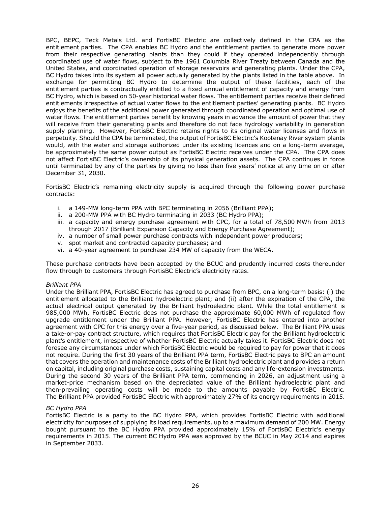BPC, BEPC, Teck Metals Ltd. and FortisBC Electric are collectively defined in the CPA as the entitlement parties. The CPA enables BC Hydro and the entitlement parties to generate more power from their respective generating plants than they could if they operated independently through coordinated use of water flows, subject to the 1961 Columbia River Treaty between Canada and the United States, and coordinated operation of storage reservoirs and generating plants. Under the CPA, BC Hydro takes into its system all power actually generated by the plants listed in the table above. In exchange for permitting BC Hydro to determine the output of these facilities, each of the entitlement parties is contractually entitled to a fixed annual entitlement of capacity and energy from BC Hydro, which is based on 50-year historical water flows. The entitlement parties receive their defined entitlements irrespective of actual water flows to the entitlement parties' generating plants. BC Hydro enjoys the benefits of the additional power generated through coordinated operation and optimal use of water flows. The entitlement parties benefit by knowing years in advance the amount of power that they will receive from their generating plants and therefore do not face hydrology variability in generation supply planning. However, FortisBC Electric retains rights to its original water licenses and flows in perpetuity. Should the CPA be terminated, the output of FortisBC Electric's Kootenay River system plants would, with the water and storage authorized under its existing licences and on a long-term average, be approximately the same power output as FortisBC Electric receives under the CPA. The CPA does not affect FortisBC Electric's ownership of its physical generation assets. The CPA continues in force until terminated by any of the parties by giving no less than five years' notice at any time on or after December 31, 2030.

FortisBC Electric's remaining electricity supply is acquired through the following power purchase contracts:

- i. a 149-MW long-term PPA with BPC terminating in 2056 (Brilliant PPA);
- ii. a 200-MW PPA with BC Hydro terminating in 2033 (BC Hydro PPA);
- iii. a capacity and energy purchase agreement with CPC, for a total of 78,500 MWh from 2013 through 2017 (Brilliant Expansion Capacity and Energy Purchase Agreement);
- iv. a number of small power purchase contracts with independent power producers;
- v. spot market and contracted capacity purchases; and
- vi. a 40-year agreement to purchase 234 MW of capacity from the WECA.

These purchase contracts have been accepted by the BCUC and prudently incurred costs thereunder flow through to customers through FortisBC Electric's electricity rates.

#### *Brilliant PPA*

Under the Brilliant PPA, FortisBC Electric has agreed to purchase from BPC, on a long-term basis: (i) the entitlement allocated to the Brilliant hydroelectric plant; and (ii) after the expiration of the CPA, the actual electrical output generated by the Brilliant hydroelectric plant. While the total entitlement is 985,000 MWh, FortisBC Electric does not purchase the approximate 60,000 MWh of regulated flow upgrade entitlement under the Brilliant PPA. However, FortisBC Electric has entered into another agreement with CPC for this energy over a five-year period, as discussed below. The Brilliant PPA uses a take-or-pay contract structure, which requires that FortisBC Electric pay for the Brilliant hydroelectric plant's entitlement, irrespective of whether FortisBC Electric actually takes it. FortisBC Electric does not foresee any circumstances under which FortisBC Electric would be required to pay for power that it does not require. During the first 30 years of the Brilliant PPA term, FortisBC Electric pays to BPC an amount that covers the operation and maintenance costs of the Brilliant hydroelectric plant and provides a return on capital, including original purchase costs, sustaining capital costs and any life-extension investments. During the second 30 years of the Brilliant PPA term, commencing in 2026, an adjustment using a market-price mechanism based on the depreciated value of the Brilliant hydroelectric plant and then-prevailing operating costs will be made to the amounts payable by FortisBC Electric. The Brilliant PPA provided FortisBC Electric with approximately 27% of its energy requirements in 2015.

#### *BC Hydro PPA*

FortisBC Electric is a party to the BC Hydro PPA, which provides FortisBC Electric with additional electricity for purposes of supplying its load requirements, up to a maximum demand of 200 MW. Energy bought pursuant to the BC Hydro PPA provided approximately 15% of FortisBC Electric's energy requirements in 2015. The current BC Hydro PPA was approved by the BCUC in May 2014 and expires in September 2033.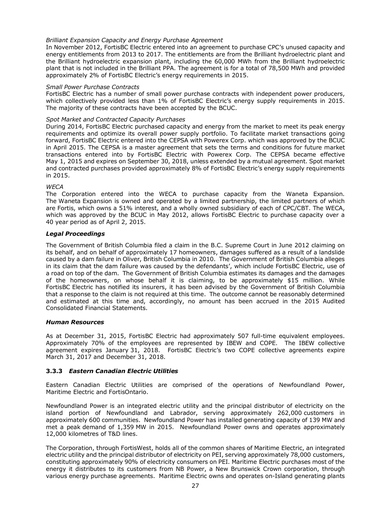### *Brilliant Expansion Capacity and Energy Purchase Agreement*

In November 2012, FortisBC Electric entered into an agreement to purchase CPC's unused capacity and energy entitlements from 2013 to 2017. The entitlements are from the Brilliant hydroelectric plant and the Brilliant hydroelectric expansion plant, including the 60,000 MWh from the Brilliant hydroelectric plant that is not included in the Brilliant PPA. The agreement is for a total of 78,500 MWh and provided approximately 2% of FortisBC Electric's energy requirements in 2015.

### *Small Power Purchase Contracts*

FortisBC Electric has a number of small power purchase contracts with independent power producers, which collectively provided less than 1% of FortisBC Electric's energy supply requirements in 2015. The majority of these contracts have been accepted by the BCUC.

### *Spot Market and Contracted Capacity Purchases*

During 2014, FortisBC Electric purchased capacity and energy from the market to meet its peak energy requirements and optimize its overall power supply portfolio. To facilitate market transactions going forward, FortisBC Electric entered into the CEPSA with Powerex Corp. which was approved by the BCUC in April 2015. The CEPSA is a master agreement that sets the terms and conditions for future market transactions entered into by FortisBC Electric with Powerex Corp. The CEPSA became effective May 1, 2015 and expires on September 30, 2018, unless extended by a mutual agreement. Spot market and contracted purchases provided approximately 8% of FortisBC Electric's energy supply requirements in 2015.

### *WECA*

The Corporation entered into the WECA to purchase capacity from the Waneta Expansion. The Waneta Expansion is owned and operated by a limited partnership, the limited partners of which are Fortis, which owns a 51% interest, and a wholly owned subsidiary of each of CPC/CBT. The WECA, which was approved by the BCUC in May 2012, allows FortisBC Electric to purchase capacity over a 40 year period as of April 2, 2015.

### *Legal Proceedings*

The Government of British Columbia filed a claim in the B.C. Supreme Court in June 2012 claiming on its behalf, and on behalf of approximately 17 homeowners, damages suffered as a result of a landslide caused by a dam failure in Oliver, British Columbia in 2010. The Government of British Columbia alleges in its claim that the dam failure was caused by the defendants', which include FortisBC Electric, use of a road on top of the dam. The Government of British Columbia estimates its damages and the damages of the homeowners, on whose behalf it is claiming, to be approximately \$15 million. While FortisBC Electric has notified its insurers, it has been advised by the Government of British Columbia that a response to the claim is not required at this time. The outcome cannot be reasonably determined and estimated at this time and, accordingly, no amount has been accrued in the 2015 Audited Consolidated Financial Statements.

#### *Human Resources*

As at December 31, 2015, FortisBC Electric had approximately 507 full-time equivalent employees. Approximately 70% of the employees are represented by IBEW and COPE. The IBEW collective agreement expires January 31, 2018. FortisBC Electric's two COPE collective agreements expire March 31, 2017 and December 31, 2018.

### **3.3.3** *Eastern Canadian Electric Utilities*

Eastern Canadian Electric Utilities are comprised of the operations of Newfoundland Power, Maritime Electric and FortisOntario.

Newfoundland Power is an integrated electric utility and the principal distributor of electricity on the island portion of Newfoundland and Labrador, serving approximately 262,000 customers in approximately 600 communities. Newfoundland Power has installed generating capacity of 139 MW and met a peak demand of 1,359 MW in 2015. Newfoundland Power owns and operates approximately 12,000 kilometres of T&D lines.

The Corporation, through FortisWest, holds all of the common shares of Maritime Electric, an integrated electric utility and the principal distributor of electricity on PEI, serving approximately 78,000 customers, constituting approximately 90% of electricity consumers on PEI. Maritime Electric purchases most of the energy it distributes to its customers from NB Power, a New Brunswick Crown corporation, through various energy purchase agreements. Maritime Electric owns and operates on-Island generating plants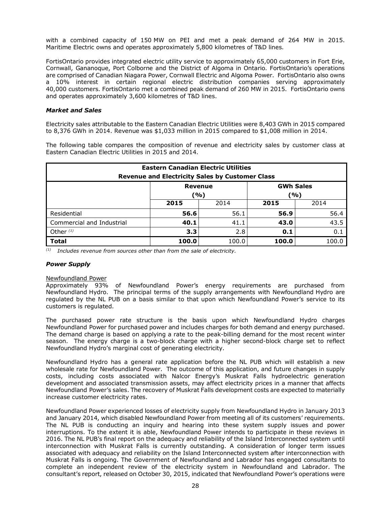with a combined capacity of 150 MW on PEI and met a peak demand of 264 MW in 2015. Maritime Electric owns and operates approximately 5,800 kilometres of T&D lines.

FortisOntario provides integrated electric utility service to approximately 65,000 customers in Fort Erie, Cornwall, Gananoque, Port Colborne and the District of Algoma in Ontario. FortisOntario's operations are comprised of Canadian Niagara Power, Cornwall Electric and Algoma Power. FortisOntario also owns a 10% interest in certain regional electric distribution companies serving approximately 40,000 customers. FortisOntario met a combined peak demand of 260 MW in 2015. FortisOntario owns and operates approximately 3,600 kilometres of T&D lines.

### *Market and Sales*

Electricity sales attributable to the Eastern Canadian Electric Utilities were 8,403 GWh in 2015 compared to 8,376 GWh in 2014. Revenue was \$1,033 million in 2015 compared to \$1,008 million in 2014.

The following table compares the composition of revenue and electricity sales by customer class at Eastern Canadian Electric Utilities in 2015 and 2014.

| <b>Eastern Canadian Electric Utilities</b><br><b>Revenue and Electricity Sales by Customer Class</b> |                                                  |       |       |       |  |
|------------------------------------------------------------------------------------------------------|--------------------------------------------------|-------|-------|-------|--|
|                                                                                                      | <b>GWh Sales</b><br><b>Revenue</b><br>(%)<br>(%) |       |       |       |  |
|                                                                                                      | 2015                                             | 2014  | 2015  | 2014  |  |
| Residential                                                                                          | 56.6                                             | 56.1  | 56.9  | 56.4  |  |
| Commercial and Industrial                                                                            | 40.1                                             | 41.1  | 43.0  | 43.5  |  |
| Other $(1)$                                                                                          | 3.3 <sub>2</sub>                                 | 2.8   | 0.1   | 0.1   |  |
| <b>Total</b>                                                                                         | 100.0                                            | 100.0 | 100.0 | 100.0 |  |

*(1) Includes revenue from sources other than from the sale of electricity.*

### *Power Supply*

#### Newfoundland Power

Approximately 93% of Newfoundland Power's energy requirements are purchased from Newfoundland Hydro. The principal terms of the supply arrangements with Newfoundland Hydro are regulated by the NL PUB on a basis similar to that upon which Newfoundland Power's service to its customers is regulated.

The purchased power rate structure is the basis upon which Newfoundland Hydro charges Newfoundland Power for purchased power and includes charges for both demand and energy purchased. The demand charge is based on applying a rate to the peak-billing demand for the most recent winter season. The energy charge is a two-block charge with a higher second-block charge set to reflect Newfoundland Hydro's marginal cost of generating electricity.

Newfoundland Hydro has a general rate application before the NL PUB which will establish a new wholesale rate for Newfoundland Power. The outcome of this application, and future changes in supply costs, including costs associated with Nalcor Energy's Muskrat Falls hydroelectric generation development and associated transmission assets, may affect electricity prices in a manner that affects Newfoundland Power's sales. The recovery of Muskrat Falls development costs are expected to materially increase customer electricity rates.

Newfoundland Power experienced losses of electricity supply from Newfoundland Hydro in January 2013 and January 2014, which disabled Newfoundland Power from meeting all of its customers' requirements. The NL PUB is conducting an inquiry and hearing into these system supply issues and power interruptions. To the extent it is able, Newfoundland Power intends to participate in these reviews in 2016. The NL PUB's final report on the adequacy and reliability of the Island Interconnected system until interconnection with Muskrat Falls is currently outstanding. A consideration of longer term issues associated with adequacy and reliability on the Island Interconnected system after interconnection with Muskrat Falls is ongoing. The Government of Newfoundland and Labrador has engaged consultants to complete an independent review of the electricity system in Newfoundland and Labrador. The consultant's report, released on October 30, 2015, indicated that Newfoundland Power's operations were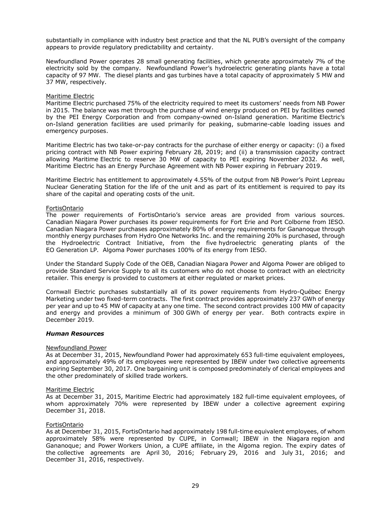substantially in compliance with industry best practice and that the NL PUB's oversight of the company appears to provide regulatory predictability and certainty.

Newfoundland Power operates 28 small generating facilities, which generate approximately 7% of the electricity sold by the company. Newfoundland Power's hydroelectric generating plants have a total capacity of 97 MW. The diesel plants and gas turbines have a total capacity of approximately 5 MW and 37 MW, respectively.

#### Maritime Electric

Maritime Electric purchased 75% of the electricity required to meet its customers' needs from NB Power in 2015. The balance was met through the purchase of wind energy produced on PEI by facilities owned by the PEI Energy Corporation and from company-owned on-Island generation. Maritime Electric's on-Island generation facilities are used primarily for peaking, submarine-cable loading issues and emergency purposes.

Maritime Electric has two take-or-pay contracts for the purchase of either energy or capacity: (i) a fixed pricing contract with NB Power expiring February 28, 2019; and (ii) a transmission capacity contract allowing Maritime Electric to reserve 30 MW of capacity to PEI expiring November 2032. As well, Maritime Electric has an Energy Purchase Agreement with NB Power expiring in February 2019.

Maritime Electric has entitlement to approximately 4.55% of the output from NB Power's Point Lepreau Nuclear Generating Station for the life of the unit and as part of its entitlement is required to pay its share of the capital and operating costs of the unit.

### **FortisOntario**

The power requirements of FortisOntario's service areas are provided from various sources. Canadian Niagara Power purchases its power requirements for Fort Erie and Port Colborne from IESO. Canadian Niagara Power purchases approximately 80% of energy requirements for Gananoque through monthly energy purchases from Hydro One Networks Inc. and the remaining 20% is purchased, through the Hydroelectric Contract Initiative, from the five hydroelectric generating plants of the EO Generation LP. Algoma Power purchases 100% of its energy from IESO.

Under the Standard Supply Code of the OEB, Canadian Niagara Power and Algoma Power are obliged to provide Standard Service Supply to all its customers who do not choose to contract with an electricity retailer. This energy is provided to customers at either regulated or market prices.

Cornwall Electric purchases substantially all of its power requirements from Hydro-Québec Energy Marketing under two fixed-term contracts. The first contract provides approximately 237 GWh of energy per year and up to 45 MW of capacity at any one time. The second contract provides 100 MW of capacity and energy and provides a minimum of 300 GWh of energy per year. Both contracts expire in December 2019.

#### *Human Resources*

#### Newfoundland Power

As at December 31, 2015, Newfoundland Power had approximately 653 full-time equivalent employees, and approximately 49% of its employees were represented by IBEW under two collective agreements expiring September 30, 2017. One bargaining unit is composed predominately of clerical employees and the other predominately of skilled trade workers.

#### Maritime Electric

As at December 31, 2015, Maritime Electric had approximately 182 full-time equivalent employees, of whom approximately 70% were represented by IBEW under a collective agreement expiring December 31, 2018.

#### FortisOntario

As at December 31, 2015, FortisOntario had approximately 198 full-time equivalent employees, of whom approximately 58% were represented by CUPE, in Cornwall; IBEW in the Niagara region and Gananoque; and Power Workers Union, a CUPE affiliate, in the Algoma region. The expiry dates of the collective agreements are April 30, 2016; February 29, 2016 and July 31, 2016; and December 31, 2016, respectively.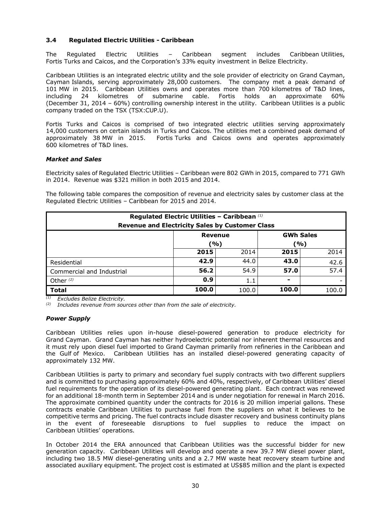### **3.4 Regulated Electric Utilities - Caribbean**

The Regulated Electric Utilities – Caribbean segment includes Caribbean Utilities, Fortis Turks and Caicos, and the Corporation's 33% equity investment in Belize Electricity.

Caribbean Utilities is an integrated electric utility and the sole provider of electricity on Grand Cayman, Cayman Islands, serving approximately 28,000 customers. The company met a peak demand of 101 MW in 2015. Caribbean Utilities owns and operates more than 700 kilometres of T&D lines, including 24 kilometres of submarine cable. Fortis holds an approximate 60% (December 31, 2014 – 60%) controlling ownership interest in the utility. Caribbean Utilities is a public company traded on the TSX (TSX:CUP.U).

Fortis Turks and Caicos is comprised of two integrated electric utilities serving approximately 14,000 customers on certain islands in Turks and Caicos. The utilities met a combined peak demand of approximately 38 MW in 2015. Fortis Turks and Caicos owns and operates approximately 600 kilometres of T&D lines.

### *Market and Sales*

Electricity sales of Regulated Electric Utilities – Caribbean were 802 GWh in 2015, compared to 771 GWh in 2014. Revenue was \$321 million in both 2015 and 2014.

The following table compares the composition of revenue and electricity sales by customer class at the Regulated Electric Utilities – Caribbean for 2015 and 2014.

| Regulated Electric Utilities - Caribbean (1)<br><b>Revenue and Electricity Sales by Customer Class</b> |            |       |       |       |  |
|--------------------------------------------------------------------------------------------------------|------------|-------|-------|-------|--|
| <b>GWh Sales</b><br><b>Revenue</b>                                                                     |            |       |       |       |  |
|                                                                                                        | (%)<br>(%) |       |       |       |  |
|                                                                                                        | 2015       | 2014  | 2015  | 2014  |  |
| Residential                                                                                            | 42.9       | 44.0  | 43.0  | 42.6  |  |
| Commercial and Industrial                                                                              | 56.2       | 54.9  | 57.0  | 57.4  |  |
| Other $(2)$                                                                                            | 0.9        | 1.1   | ۰     |       |  |
| <b>Total</b>                                                                                           | 100.0      | 100.0 | 100.0 | 100.0 |  |

*(1) Excludes Belize Electricity.* 

*(2) Includes revenue from sources other than from the sale of electricity.* 

#### *Power Supply*

Caribbean Utilities relies upon in-house diesel-powered generation to produce electricity for Grand Cayman. Grand Cayman has neither hydroelectric potential nor inherent thermal resources and it must rely upon diesel fuel imported to Grand Cayman primarily from refineries in the Caribbean and the Gulf of Mexico. Caribbean Utilities has an installed diesel-powered generating capacity of approximately 132 MW.

Caribbean Utilities is party to primary and secondary fuel supply contracts with two different suppliers and is committed to purchasing approximately 60% and 40%, respectively, of Caribbean Utilities' diesel fuel requirements for the operation of its diesel-powered generating plant. Each contract was renewed for an additional 18-month term in September 2014 and is under negotiation for renewal in March 2016. The approximate combined quantity under the contracts for 2016 is 20 million imperial gallons. These contracts enable Caribbean Utilities to purchase fuel from the suppliers on what it believes to be competitive terms and pricing. The fuel contracts include disaster recovery and business continuity plans in the event of foreseeable disruptions to fuel supplies to reduce the impact on Caribbean Utilities' operations.

In October 2014 the ERA announced that Caribbean Utilities was the successful bidder for new generation capacity. Caribbean Utilities will develop and operate a new 39.7 MW diesel power plant, including two 18.5 MW diesel-generating units and a 2.7 MW waste heat recovery steam turbine and associated auxiliary equipment. The project cost is estimated at US\$85 million and the plant is expected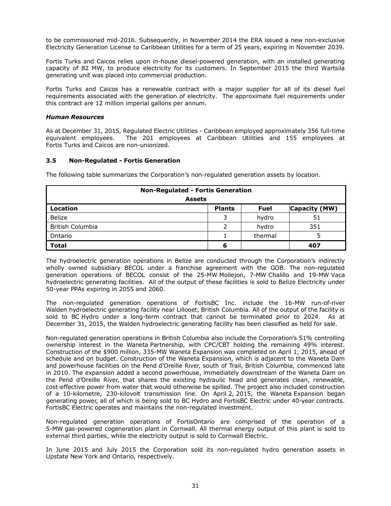to be commissioned mid-2016. Subsequently, in November 2014 the ERA issued a new non-exclusive Electricity Generation License to Caribbean Utilities for a term of 25 years, expiring in November 2039.

Fortis Turks and Caicos relies upon in-house diesel-powered generation, with an installed generating capacity of 82 MW, to produce electricity for its customers. In September 2015 the third Wartsila generating unit was placed into commercial production.

Fortis Turks and Caicos has a renewable contract with a major supplier for all of its diesel fuel requirements associated with the generation of electricity. The approximate fuel requirements under this contract are 12 million imperial gallons per annum.

#### *Human Resources*

As at December 31, 2015, Regulated Electric Utilities - Caribbean employed approximately 356 full-time equivalent employees. The 201 employees at Caribbean Utilities and 155 employees at Fortis Turks and Caicos are non-unionized.

### **3.5 Non-Regulated - Fortis Generation**

The following table summarizes the Corporation's non-regulated generation assets by location.

| <b>Non-Regulated - Fortis Generation</b> |               |             |               |  |
|------------------------------------------|---------------|-------------|---------------|--|
| <b>Assets</b>                            |               |             |               |  |
| <b>Location</b>                          | <b>Plants</b> | <b>Fuel</b> | Capacity (MW) |  |
| Belize                                   | 3             | hydro       | 51            |  |
| British Columbia                         |               | hydro       | 351           |  |
| Ontario                                  |               | thermal     | 5             |  |
| <b>Total</b>                             | 6             |             | 407           |  |

The hydroelectric generation operations in Belize are conducted through the Corporation's indirectly wholly owned subsidiary BECOL under a franchise agreement with the GOB. The non-regulated generation operations of BECOL consist of the 25-MW Mollejon, 7-MW Chalillo and 19-MW Vaca hydroelectric generating facilities. All of the output of these facilities is sold to Belize Electricity under 50-year PPAs expiring in 2055 and 2060.

The non-regulated generation operations of FortisBC Inc. include the 16-MW run-of-river Walden hydroelectric generating facility near Lillooet, British Columbia. All of the output of the facility is sold to BC Hydro under a long-term contract that cannot be terminated prior to 2024. As at December 31, 2015, the Walden hydroelectric generating facility has been classified as held for sale.

Non-regulated generation operations in British Columbia also include the Corporation's 51% controlling ownership interest in the Waneta Partnership, with CPC/CBT holding the remaining 49% interest. Construction of the \$900 million, 335-MW Waneta Expansion was completed on April 1, 2015, ahead of schedule and on budget. Construction of the Waneta Expansion, which is adjacent to the Waneta Dam and powerhouse facilities on the Pend d'Oreille River, south of Trail, British Columbia, commenced late in 2010. The expansion added a second powerhouse, immediately downstream of the Waneta Dam on the Pend d'Oreille River, that shares the existing hydraulic head and generates clean, renewable, cost-effective power from water that would otherwise be spilled. The project also included construction of a 10-kilometre, 230-kilovolt transmission line. On April 2, 2015, the Waneta Expansion began generating power, all of which is being sold to BC Hydro and FortisBC Electric under 40-year contracts. FortisBC Electric operates and maintains the non-regulated investment.

Non-regulated generation operations of FortisOntario are comprised of the operation of a 5-MW gas-powered cogeneration plant in Cornwall. All thermal energy output of this plant is sold to external third parties, while the electricity output is sold to Cornwall Electric.

In June 2015 and July 2015 the Corporation sold its non-regulated hydro generation assets in Upstate New York and Ontario, respectively.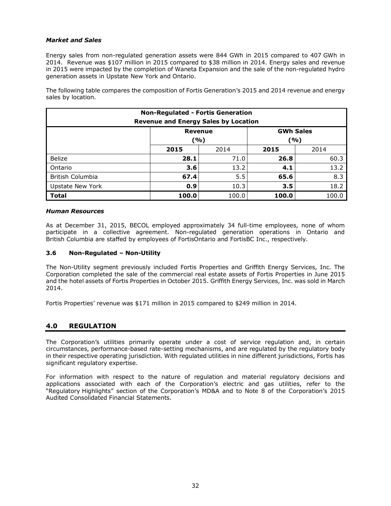### *Market and Sales*

Energy sales from non-regulated generation assets were 844 GWh in 2015 compared to 407 GWh in 2014. Revenue was \$107 million in 2015 compared to \$38 million in 2014. Energy sales and revenue in 2015 were impacted by the completion of Waneta Expansion and the sale of the non-regulated hydro generation assets in Upstate New York and Ontario.

The following table compares the composition of Fortis Generation's 2015 and 2014 revenue and energy sales by location.

| <b>Non-Regulated - Fortis Generation</b><br><b>Revenue and Energy Sales by Location</b> |       |       |       |       |  |
|-----------------------------------------------------------------------------------------|-------|-------|-------|-------|--|
| <b>GWh Sales</b><br>Revenue<br>(%)<br>(%)                                               |       |       |       |       |  |
|                                                                                         | 2015  | 2014  | 2015  | 2014  |  |
| <b>Belize</b>                                                                           | 28.1  | 71.0  | 26.8  | 60.3  |  |
| Ontario                                                                                 | 3.6   | 13.2  | 4.1   | 13.2  |  |
| British Columbia                                                                        | 67.4  | 5.5   | 65.6  | 8.3   |  |
| <b>Upstate New York</b>                                                                 | 0.9   | 10.3  | 3.5   | 18.2  |  |
| <b>Total</b>                                                                            | 100.0 | 100.0 | 100.0 | 100.0 |  |

### *Human Resources*

As at December 31, 2015, BECOL employed approximately 34 full-time employees, none of whom participate in a collective agreement. Non-regulated generation operations in Ontario and British Columbia are staffed by employees of FortisOntario and FortisBC Inc., respectively.

### **3.6 Non-Regulated – Non-Utility**

The Non-Utility segment previously included Fortis Properties and Griffith Energy Services, Inc. The Corporation completed the sale of the commercial real estate assets of Fortis Properties in June 2015 and the hotel assets of Fortis Properties in October 2015. Griffith Energy Services, Inc. was sold in March 2014.

Fortis Properties' revenue was \$171 million in 2015 compared to \$249 million in 2014.

# **4.0 REGULATION**

The Corporation's utilities primarily operate under a cost of service regulation and, in certain circumstances, performance-based rate-setting mechanisms, and are regulated by the regulatory body in their respective operating jurisdiction. With regulated utilities in nine different jurisdictions, Fortis has significant regulatory expertise.

For information with respect to the nature of regulation and material regulatory decisions and applications associated with each of the Corporation's electric and gas utilities, refer to the "Regulatory Highlights" section of the Corporation's MD&A and to Note 8 of the Corporation's 2015 Audited Consolidated Financial Statements.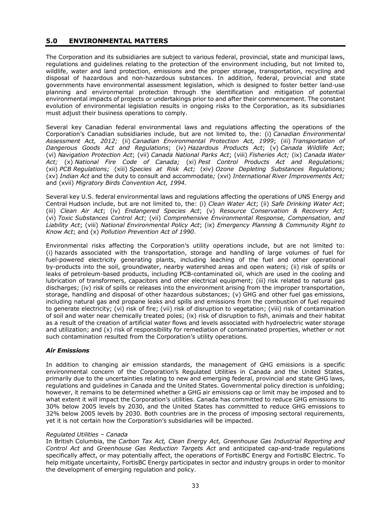### **5.0 ENVIRONMENTAL MATTERS**

The Corporation and its subsidiaries are subject to various federal, provincial, state and municipal laws, regulations and guidelines relating to the protection of the environment including, but not limited to, wildlife, water and land protection, emissions and the proper storage, transportation, recycling and disposal of hazardous and non-hazardous substances. In addition, federal, provincial and state governments have environmental assessment legislation, which is designed to foster better land-use planning and environmental protection through the identification and mitigation of potential environmental impacts of projects or undertakings prior to and after their commencement. The constant evolution of environmental legislation results in ongoing risks to the Corporation, as its subsidiaries must adjust their business operations to comply.

Several key Canadian federal environmental laws and regulations affecting the operations of the Corporation's Canadian subsidiaries include, but are not limited to, the: (i) *Canadian Environmental Assessment Act, 2012;* (ii) *Canadian Environmental Protection Act, 1999*; (iii) *Transportation of Dangerous Goods Act and Regulations*; (iv) *Hazardous Products Act*; (v) *Canada Wildlife Act*; (vi) *Navigation Protection Act*; (vii) *Canada National Parks Act*; (viii) *Fisheries Act;* (ix) *Canada Water Act;* (x) *National Fire Code of Canada;* (xi) *Pest Control Products Act and Regulations;*  (xii) *PCB Regulations;* (xiii) *Species at Risk Act;* (xiv) *Ozone Depleting Substances Regulations;*  (xv) *Indian Act* and the duty to consult and accommodate*;* (xvi) *International River Improvements Act;* and (xvii) *Migratory Birds Convention Act, 1994.*

Several key U.S. federal environmental laws and regulations affecting the operations of UNS Energy and Central Hudson include, but are not limited to, the: (i) *Clean Water Act*; (ii) *Safe Drinking Water Act*; (iii) *Clean Air Act*; (iv) *Endangered Species Act*; (v) *Resource Conservation & Recovery Act*; (vi) *Toxic Substances Control Act*; (vii) *Comprehensive Environmental Response, Compensation, and Liability Act*; (viii) *National Environmental Policy Act*; (ix) *Emergency Planning & Community Right to Know Act*; and (x) *Pollution Prevention Act of 1990*.

Environmental risks affecting the Corporation's utility operations include, but are not limited to: (i) hazards associated with the transportation, storage and handling of large volumes of fuel for fuel-powered electricity generating plants, including leaching of the fuel and other operational by-products into the soil, groundwater, nearby watershed areas and open waters; (ii) risk of spills or leaks of petroleum-based products, including PCB-contaminated oil, which are used in the cooling and lubrication of transformers, capacitors and other electrical equipment; (iii) risk related to natural gas discharges; (iv) risk of spills or releases into the environment arising from the improper transportation, storage, handling and disposal of other hazardous substances; (v) GHG and other fuel gas emissions, including natural gas and propane leaks and spills and emissions from the combustion of fuel required to generate electricity; (vi) risk of fire; (vii) risk of disruption to vegetation; (viii) risk of contamination of soil and water near chemically treated poles; (ix) risk of disruption to fish, animals and their habitat as a result of the creation of artificial water flows and levels associated with hydroelectric water storage and utilization; and (x) risk of responsibility for remediation of contaminated properties, whether or not such contamination resulted from the Corporation's utility operations.

### *Air Emissions*

In addition to changing air emission standards, the management of GHG emissions is a specific environmental concern of the Corporation's Regulated Utilities in Canada and the United States, primarily due to the uncertainties relating to new and emerging federal, provincial and state GHG laws, regulations and guidelines in Canada and the United States. Governmental policy direction is unfolding; however, it remains to be determined whether a GHG air emissions cap or limit may be imposed and to what extent it will impact the Corporation's utilities. Canada has committed to reduce GHG emissions to 30% below 2005 levels by 2030, and the United States has committed to reduce GHG emissions to 32% below 2005 levels by 2030. Both countries are in the process of imposing sectoral requirements, yet it is not certain how the Corporation's subsidiaries will be impacted.

### *Regulated Utilities – Canada*

In British Columbia, the *Carbon Tax Act, Clean Energy Act, Greenhouse Gas Industrial Reporting and Control Act* and *Greenhouse Gas Reduction Targets Act* and anticipated cap-and-trade regulations specifically affect, or may potentially affect, the operations of FortisBC Energy and FortisBC Electric. To help mitigate uncertainty, FortisBC Energy participates in sector and industry groups in order to monitor the development of emerging regulation and policy.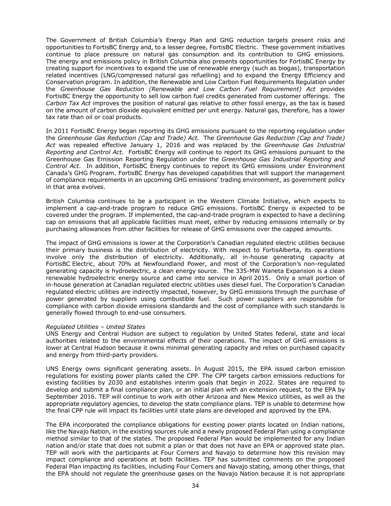The Government of British Columbia's Energy Plan and GHG reduction targets present risks and opportunities to FortisBC Energy and, to a lesser degree, FortisBC Electric. These government initiatives continue to place pressure on natural gas consumption and its contribution to GHG emissions. The energy and emissions policy in British Columbia also presents opportunities for FortisBC Energy by creating support for incentives to expand the use of renewable energy (such as biogas), transportation related incentives (LNG/compressed natural gas refuelling) and to expand the Energy Efficiency and Conservation program. In addition, the Renewable and Low Carbon Fuel Requirements Regulation under the *Greenhouse Gas Reduction (Renewable and Low Carbon Fuel Requirement) Act* provides FortisBC Energy the opportunity to sell low carbon fuel credits generated from customer offerings. The *Carbon Tax Act* improves the position of natural gas relative to other fossil energy, as the tax is based on the amount of carbon dioxide equivalent emitted per unit energy. Natural gas, therefore, has a lower tax rate than oil or coal products.

In 2011 FortisBC Energy began reporting its GHG emissions pursuant to the reporting regulation under the *Greenhouse Gas Reduction (Cap and Trade) Act.* The *Greenhouse Gas Reduction (Cap and Trade) Act* was repealed effective January 1, 2016 and was replaced by the *Greenhouse Gas Industrial Reporting and Control Act*. FortisBC Energy will continue to report its GHG emissions pursuant to the Greenhouse Gas Emission Reporting Regulation under the *Greenhouse Gas Industrial Reporting and Control Act*. In addition, FortisBC Energy continues to report its GHG emissions under Environment Canada's GHG Program. FortisBC Energy has developed capabilities that will support the management of compliance requirements in an upcoming GHG emissions' trading environment, as government policy in that area evolves.

British Columbia continues to be a participant in the Western Climate Initiative, which expects to implement a cap-and-trade program to reduce GHG emissions. FortisBC Energy is expected to be covered under the program. If implemented, the cap-and-trade program is expected to have a declining cap on emissions that all applicable facilities must meet, either by reducing emissions internally or by purchasing allowances from other facilities for release of GHG emissions over the capped amounts.

The impact of GHG emissions is lower at the Corporation's Canadian regulated electric utilities because their primary business is the distribution of electricity. With respect to FortisAlberta, its operations involve only the distribution of electricity. Additionally, all in-house generating capacity at FortisBC Electric, about 70% at Newfoundland Power, and most of the Corporation's non-regulated generating capacity is hydroelectric, a clean energy source. The 335-MW Waneta Expansion is a clean renewable hydroelectric energy source and came into service in April 2015. Only a small portion of in-house generation at Canadian regulated electric utilities uses diesel fuel. The Corporation's Canadian regulated electric utilities are indirectly impacted, however, by GHG emissions through the purchase of power generated by suppliers using combustible fuel. Such power suppliers are responsible for compliance with carbon dioxide emissions standards and the cost of compliance with such standards is generally flowed through to end-use consumers.

#### *Regulated Utilities – United States*

UNS Energy and Central Hudson are subject to regulation by United States federal, state and local authorities related to the environmental effects of their operations. The impact of GHG emissions is lower at Central Hudson because it owns minimal generating capacity and relies on purchased capacity and energy from third-party providers.

UNS Energy owns significant generating assets. In August 2015, the EPA issued carbon emission regulations for existing power plants called the CPP. The CPP targets carbon emissions reductions for existing facilities by 2030 and establishes interim goals that begin in 2022. States are required to develop and submit a final compliance plan, or an initial plan with an extension request, to the EPA by September 2016. TEP will continue to work with other Arizona and New Mexico utilities, as well as the appropriate regulatory agencies, to develop the state compliance plans. TEP is unable to determine how the final CPP rule will impact its facilities until state plans are developed and approved by the EPA.

The EPA incorporated the compliance obligations for existing power plants located on Indian nations, like the Navajo Nation, in the existing sources rule and a newly proposed Federal Plan using a compliance method similar to that of the states. The proposed Federal Plan would be implemented for any Indian nation and/or state that does not submit a plan or that does not have an EPA or approved state plan. TEP will work with the participants at Four Corners and Navajo to determine how this revision may impact compliance and operations at both facilities. TEP has submitted comments on the proposed Federal Plan impacting its facilities, including Four Corners and Navajo stating, among other things, that the EPA should not regulate the greenhouse gases on the Navajo Nation because it is not appropriate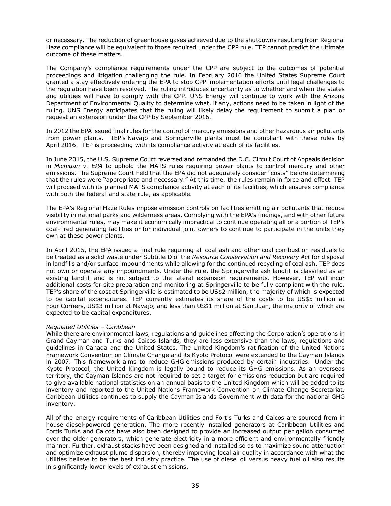or necessary. The reduction of greenhouse gases achieved due to the shutdowns resulting from Regional Haze compliance will be equivalent to those required under the CPP rule. TEP cannot predict the ultimate outcome of these matters.

The Company's compliance requirements under the CPP are subject to the outcomes of potential proceedings and litigation challenging the rule. In February 2016 the United States Supreme Court granted a stay effectively ordering the EPA to stop CPP implementation efforts until legal challenges to the regulation have been resolved. The ruling introduces uncertainty as to whether and when the states and utilities will have to comply with the CPP. UNS Energy will continue to work with the Arizona Department of Environmental Quality to determine what, if any, actions need to be taken in light of the ruling. UNS Energy anticipates that the ruling will likely delay the requirement to submit a plan or request an extension under the CPP by September 2016.

In 2012 the EPA issued final rules for the control of mercury emissions and other hazardous air pollutants from power plants. TEP's Navajo and Springerville plants must be compliant with these rules by April 2016. TEP is proceeding with its compliance activity at each of its facilities.

In June 2015, the U.S. Supreme Court reversed and remanded the D.C. Circuit Court of Appeals decision in *Michigan v. EPA* to uphold the MATS rules requiring power plants to control mercury and other emissions. The Supreme Court held that the EPA did not adequately consider "costs" before determining that the rules were "appropriate and necessary." At this time, the rules remain in force and effect. TEP will proceed with its planned MATS compliance activity at each of its facilities, which ensures compliance with both the federal and state rule, as applicable.

The EPA's Regional Haze Rules impose emission controls on facilities emitting air pollutants that reduce visibility in national parks and wilderness areas. Complying with the EPA's findings, and with other future environmental rules, may make it economically impractical to continue operating all or a portion of TEP's coal-fired generating facilities or for individual joint owners to continue to participate in the units they own at these power plants.

In April 2015, the EPA issued a final rule requiring all coal ash and other coal combustion residuals to be treated as a solid waste under Subtitle D of the *Resource Conservation and Recovery Act* for disposal in landfills and/or surface impoundments while allowing for the continued recycling of coal ash. TEP does not own or operate any impoundments. Under the rule, the Springerville ash landfill is classified as an existing landfill and is not subject to the lateral expansion requirements. However, TEP will incur additional costs for site preparation and monitoring at Springerville to be fully compliant with the rule. TEP's share of the cost at Springerville is estimated to be US\$2 million, the majority of which is expected to be capital expenditures. TEP currently estimates its share of the costs to be US\$5 million at Four Corners, US\$3 million at Navajo, and less than US\$1 million at San Juan, the majority of which are expected to be capital expenditures.

### *Regulated Utilities – Caribbean*

While there are environmental laws, regulations and guidelines affecting the Corporation's operations in Grand Cayman and Turks and Caicos Islands, they are less extensive than the laws, regulations and guidelines in Canada and the United States. The United Kingdom's ratification of the United Nations Framework Convention on Climate Change and its Kyoto Protocol were extended to the Cayman Islands in 2007. This framework aims to reduce GHG emissions produced by certain industries. Under the Kyoto Protocol, the United Kingdom is legally bound to reduce its GHG emissions. As an overseas territory, the Cayman Islands are not required to set a target for emissions reduction but are required to give available national statistics on an annual basis to the United Kingdom which will be added to its inventory and reported to the United Nations Framework Convention on Climate Change Secretariat. Caribbean Utilities continues to supply the Cayman Islands Government with data for the national GHG inventory.

All of the energy requirements of Caribbean Utilities and Fortis Turks and Caicos are sourced from in house diesel-powered generation. The more recently installed generators at Caribbean Utilities and Fortis Turks and Caicos have also been designed to provide an increased output per gallon consumed over the older generators, which generate electricity in a more efficient and environmentally friendly manner. Further, exhaust stacks have been designed and installed so as to maximize sound attenuation and optimize exhaust plume dispersion, thereby improving local air quality in accordance with what the utilities believe to be the best industry practice. The use of diesel oil versus heavy fuel oil also results in significantly lower levels of exhaust emissions.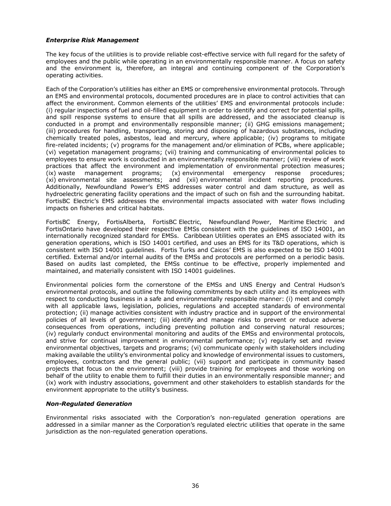### *Enterprise Risk Management*

The key focus of the utilities is to provide reliable cost-effective service with full regard for the safety of employees and the public while operating in an environmentally responsible manner. A focus on safety and the environment is, therefore, an integral and continuing component of the Corporation's operating activities.

Each of the Corporation's utilities has either an EMS or comprehensive environmental protocols. Through an EMS and environmental protocols, documented procedures are in place to control activities that can affect the environment. Common elements of the utilities' EMS and environmental protocols include: (i) regular inspections of fuel and oil-filled equipment in order to identify and correct for potential spills, and spill response systems to ensure that all spills are addressed, and the associated cleanup is conducted in a prompt and environmentally responsible manner; (ii) GHG emissions management; (iii) procedures for handling, transporting, storing and disposing of hazardous substances, including chemically treated poles, asbestos, lead and mercury, where applicable; (iv) programs to mitigate fire-related incidents; (v) programs for the management and/or elimination of PCBs, where applicable; (vi) vegetation management programs; (vii) training and communicating of environmental policies to employees to ensure work is conducted in an environmentally responsible manner; (viii) review of work practices that affect the environment and implementation of environmental protection measures;<br>(ix) waste management programs; (x) environmental emergency response procedures; (ix) waste management programs; (x) environmental emergency response procedures; (xi) environmental site assessments; and (xii) environmental incident reporting procedures. Additionally, Newfoundland Power's EMS addresses water control and dam structure, as well as hydroelectric generating facility operations and the impact of such on fish and the surrounding habitat. FortisBC Electric's EMS addresses the environmental impacts associated with water flows including impacts on fisheries and critical habitats.

FortisBC Energy, FortisAlberta, FortisBC Electric, Newfoundland Power, Maritime Electric and FortisOntario have developed their respective EMSs consistent with the guidelines of ISO 14001, an internationally recognized standard for EMSs. Caribbean Utilities operates an EMS associated with its generation operations, which is ISO 14001 certified, and uses an EMS for its T&D operations, which is consistent with ISO 14001 guidelines. Fortis Turks and Caicos' EMS is also expected to be ISO 14001 certified*.* External and/or internal audits of the EMSs and protocols are performed on a periodic basis. Based on audits last completed, the EMSs continue to be effective, properly implemented and maintained, and materially consistent with ISO 14001 guidelines.

Environmental policies form the cornerstone of the EMSs and UNS Energy and Central Hudson's environmental protocols, and outline the following commitments by each utility and its employees with respect to conducting business in a safe and environmentally responsible manner: (i) meet and comply with all applicable laws, legislation, policies, regulations and accepted standards of environmental protection; (ii) manage activities consistent with industry practice and in support of the environmental policies of all levels of government; (iii) identify and manage risks to prevent or reduce adverse consequences from operations, including preventing pollution and conserving natural resources; (iv) regularly conduct environmental monitoring and audits of the EMSs and environmental protocols, and strive for continual improvement in environmental performance; (v) regularly set and review environmental objectives, targets and programs; (vi) communicate openly with stakeholders including making available the utility's environmental policy and knowledge of environmental issues to customers, employees, contractors and the general public; (vii) support and participate in community based projects that focus on the environment; (viii) provide training for employees and those working on behalf of the utility to enable them to fulfill their duties in an environmentally responsible manner; and (ix) work with industry associations, government and other stakeholders to establish standards for the environment appropriate to the utility's business.

### *Non-Regulated Generation*

Environmental risks associated with the Corporation's non-regulated generation operations are addressed in a similar manner as the Corporation's regulated electric utilities that operate in the same jurisdiction as the non-regulated generation operations.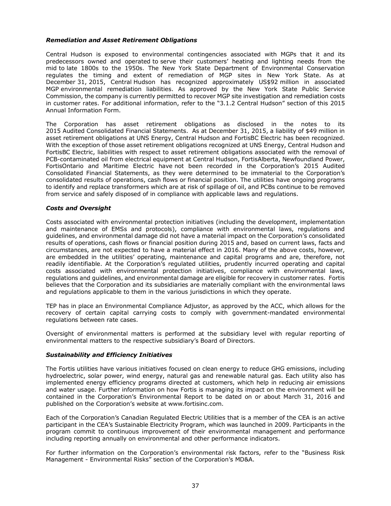### *Remediation and Asset Retirement Obligations*

Central Hudson is exposed to environmental contingencies associated with MGPs that it and its predecessors owned and operated to serve their customers' heating and lighting needs from the mid to late 1800s to the 1950s. The New York State Department of Environmental Conservation regulates the timing and extent of remediation of MGP sites in New York State. As at December 31, 2015, Central Hudson has recognized approximately US\$92 million in associated MGP environmental remediation liabilities. As approved by the New York State Public Service Commission, the company is currently permitted to recover MGP site investigation and remediation costs in customer rates. For additional information, refer to the "3.1.2 Central Hudson" section of this 2015 Annual Information Form.

The Corporation has asset retirement obligations as disclosed in the notes to its 2015 Audited Consolidated Financial Statements. As at December 31, 2015, a liability of \$49 million in asset retirement obligations at UNS Energy, Central Hudson and FortisBC Electric has been recognized. With the exception of those asset retirement obligations recognized at UNS Energy, Central Hudson and FortisBC Electric, liabilities with respect to asset retirement obligations associated with the removal of PCB-contaminated oil from electrical equipment at Central Hudson, FortisAlberta, Newfoundland Power, FortisOntario and Maritime Electric have not been recorded in the Corporation's 2015 Audited Consolidated Financial Statements, as they were determined to be immaterial to the Corporation's consolidated results of operations, cash flows or financial position. The utilities have ongoing programs to identify and replace transformers which are at risk of spillage of oil, and PCBs continue to be removed from service and safely disposed of in compliance with applicable laws and regulations.

### *Costs and Oversight*

Costs associated with environmental protection initiatives (including the development, implementation and maintenance of EMSs and protocols), compliance with environmental laws, regulations and guidelines, and environmental damage did not have a material impact on the Corporation's consolidated results of operations, cash flows or financial position during 2015 and, based on current laws, facts and circumstances, are not expected to have a material effect in 2016. Many of the above costs, however, are embedded in the utilities' operating, maintenance and capital programs and are, therefore, not readily identifiable. At the Corporation's regulated utilities, prudently incurred operating and capital costs associated with environmental protection initiatives, compliance with environmental laws, regulations and guidelines, and environmental damage are eligible for recovery in customer rates. Fortis believes that the Corporation and its subsidiaries are materially compliant with the environmental laws and regulations applicable to them in the various jurisdictions in which they operate.

TEP has in place an Environmental Compliance Adjustor, as approved by the ACC, which allows for the recovery of certain capital carrying costs to comply with government-mandated environmental regulations between rate cases.

Oversight of environmental matters is performed at the subsidiary level with regular reporting of environmental matters to the respective subsidiary's Board of Directors.

### *Sustainability and Efficiency Initiatives*

The Fortis utilities have various initiatives focused on clean energy to reduce GHG emissions, including hydroelectric, solar power, wind energy, natural gas and renewable natural gas. Each utility also has implemented energy efficiency programs directed at customers, which help in reducing air emissions and water usage. Further information on how Fortis is managing its impact on the environment will be contained in the Corporation's Environmental Report to be dated on or about March 31, 2016 and published on the Corporation's website at www.fortisinc.com.

Each of the Corporation's Canadian Regulated Electric Utilities that is a member of the CEA is an active participant in the CEA's Sustainable Electricity Program, which was launched in 2009. Participants in the program commit to continuous improvement of their environmental management and performance including reporting annually on environmental and other performance indicators.

For further information on the Corporation's environmental risk factors, refer to the "Business Risk Management - Environmental Risks" section of the Corporation's MD&A.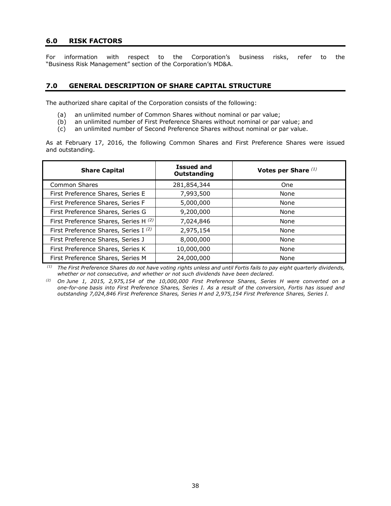### **6.0 RISK FACTORS**

For information with respect to the Corporation's business risks, refer to the "Business Risk Management" section of the Corporation's MD&A.

# **7.0 GENERAL DESCRIPTION OF SHARE CAPITAL STRUCTURE**

The authorized share capital of the Corporation consists of the following:

- (a) an unlimited number of Common Shares without nominal or par value;
- (b) an unlimited number of First Preference Shares without nominal or par value; and
- (c) an unlimited number of Second Preference Shares without nominal or par value.

As at February 17, 2016, the following Common Shares and First Preference Shares were issued and outstanding.

| <b>Share Capital</b>                             | <b>Issued and</b><br>Outstanding | Votes per Share $(1)$ |
|--------------------------------------------------|----------------------------------|-----------------------|
| <b>Common Shares</b>                             | 281,854,344                      | <b>One</b>            |
| First Preference Shares, Series E                | 7,993,500                        | None                  |
| First Preference Shares, Series F                | 5,000,000                        | None                  |
| First Preference Shares, Series G                | 9,200,000                        | None                  |
| First Preference Shares, Series H (2)            | 7,024,846                        | None                  |
| First Preference Shares, Series I <sup>(2)</sup> | 2,975,154                        | None                  |
| First Preference Shares, Series J                | 8,000,000                        | None                  |
| First Preference Shares, Series K                | 10,000,000                       | None                  |
| First Preference Shares, Series M                | 24,000,000                       | None                  |

 *(1) The First Preference Shares do not have voting rights unless and until Fortis fails to pay eight quarterly dividends, whether or not consecutive, and whether or not such dividends have been declared.* 

*(2) On June 1, 2015, 2,975,154 of the 10,000,000 First Preference Shares, Series H were converted on a one-for-one basis into First Preference Shares, Series I. As a result of the conversion, Fortis has issued and outstanding 7,024,846 First Preference Shares, Series H and 2,975,154 First Preference Shares, Series I.*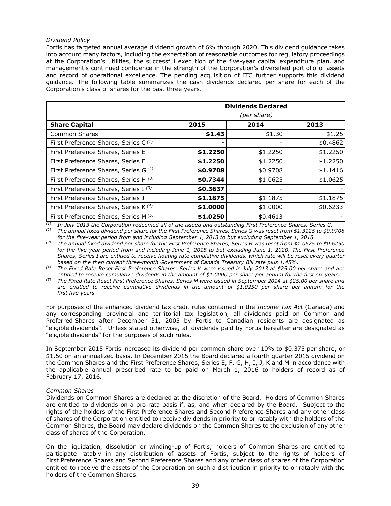### *Dividend Policy*

Fortis has targeted annual average dividend growth of 6% through 2020. This dividend guidance takes into account many factors, including the expectation of reasonable outcomes for regulatory proceedings at the Corporation's utilities, the successful execution of the five-year capital expenditure plan, and management's continued confidence in the strength of the Corporation's diversified portfolio of assets and record of operational excellence. The pending acquisition of ITC further supports this dividend guidance. The following table summarizes the cash dividends declared per share for each of the Corporation's class of shares for the past three years.

| <b>Dividends Declared</b><br>(per share)         |          |          |          |  |
|--------------------------------------------------|----------|----------|----------|--|
| <b>Share Capital</b>                             | 2015     | 2014     | 2013     |  |
| Common Shares                                    | \$1.43   | \$1.30   | \$1.25   |  |
| First Preference Shares, Series C <sup>(1)</sup> |          |          | \$0.4862 |  |
| First Preference Shares, Series E                | \$1.2250 | \$1.2250 | \$1.2250 |  |
| First Preference Shares, Series F                | \$1.2250 | \$1.2250 | \$1.2250 |  |
| First Preference Shares, Series G <sup>(2)</sup> | \$0.9708 | \$0.9708 | \$1.1416 |  |
| First Preference Shares, Series H (3)            | \$0.7344 | \$1.0625 | \$1.0625 |  |
| First Preference Shares, Series I (3)            | \$0.3637 |          |          |  |
| First Preference Shares, Series J                | \$1.1875 | \$1.1875 | \$1.1875 |  |
| First Preference Shares, Series K <sup>(4)</sup> | \$1.0000 | \$1.0000 | \$0.6233 |  |
| First Preference Shares, Series M (5)            | \$1,0250 | \$0.4613 |          |  |

*(1) In July 2013 the Corporation redeemed all of the issued and outstanding First Preference Shares, Series C. (2) The annual fixed dividend per share for the First Preference Shares, Series G was reset from \$1.3125 to \$0.9708 for the five-year period from and including September 1, 2013 to but excluding September 1, 2018.* 

*(3) The annual fixed dividend per share for the First Preference Shares, Series H was reset from \$1.0625 to \$0.6250 for the five-year period from and including June 1, 2015 to but excluding June 1, 2020. The First Preference Shares, Series I are entitled to receive floating rate cumulative dividends, which rate will be reset every quarter based on the then current three-month Government of Canada Treasury Bill rate plus 1.45%.* 

*(4) The Fixed Rate Reset First Preference Shares, Series K were issued in July 2013 at \$25.00 per share and are entitled to receive cumulative dividends in the amount of \$1.0000 per share per annum for the first six years.* 

*(5) The Fixed Rate Reset First Preference Shares, Series M were issued in September 2014 at \$25.00 per share and are entitled to receive cumulative dividends in the amount of \$1.0250 per share per annum for the first five years.* 

For purposes of the enhanced dividend tax credit rules contained in the *Income Tax Act* (Canada) and any corresponding provincial and territorial tax legislation, all dividends paid on Common and Preferred Shares after December 31, 2005 by Fortis to Canadian residents are designated as "eligible dividends". Unless stated otherwise, all dividends paid by Fortis hereafter are designated as "eligible dividends" for the purposes of such rules.

In September 2015 Fortis increased its dividend per common share over 10% to \$0.375 per share, or \$1.50 on an annualized basis. In December 2015 the Board declared a fourth quarter 2015 dividend on the Common Shares and the First Preference Shares, Series E, F, G, H, I, J, K and M in accordance with the applicable annual prescribed rate to be paid on March 1, 2016 to holders of record as of February 17, 2016.

#### *Common Shares*

Dividends on Common Shares are declared at the discretion of the Board. Holders of Common Shares are entitled to dividends on a pro rata basis if, as, and when declared by the Board. Subject to the rights of the holders of the First Preference Shares and Second Preference Shares and any other class of shares of the Corporation entitled to receive dividends in priority to or ratably with the holders of the Common Shares, the Board may declare dividends on the Common Shares to the exclusion of any other class of shares of the Corporation.

On the liquidation, dissolution or winding-up of Fortis, holders of Common Shares are entitled to participate ratably in any distribution of assets of Fortis, subject to the rights of holders of First Preference Shares and Second Preference Shares and any other class of shares of the Corporation entitled to receive the assets of the Corporation on such a distribution in priority to or ratably with the holders of the Common Shares.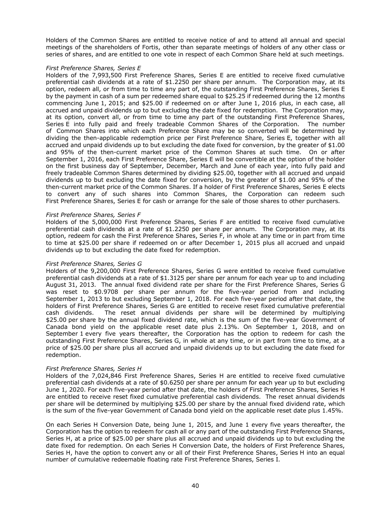Holders of the Common Shares are entitled to receive notice of and to attend all annual and special meetings of the shareholders of Fortis, other than separate meetings of holders of any other class or series of shares, and are entitled to one vote in respect of each Common Share held at such meetings.

#### *First Preference Shares, Series E*

Holders of the 7,993,500 First Preference Shares, Series E are entitled to receive fixed cumulative preferential cash dividends at a rate of \$1.2250 per share per annum. The Corporation may, at its option, redeem all, or from time to time any part of, the outstanding First Preference Shares, Series E by the payment in cash of a sum per redeemed share equal to \$25.25 if redeemed during the 12 months commencing June 1, 2015; and \$25.00 if redeemed on or after June 1, 2016 plus, in each case, all accrued and unpaid dividends up to but excluding the date fixed for redemption. The Corporation may, at its option, convert all, or from time to time any part of the outstanding First Preference Shares, Series E into fully paid and freely tradeable Common Shares of the Corporation. The number of Common Shares into which each Preference Share may be so converted will be determined by dividing the then-applicable redemption price per First Preference Share, Series E, together with all accrued and unpaid dividends up to but excluding the date fixed for conversion, by the greater of \$1.00 and 95% of the then-current market price of the Common Shares at such time. On or after September 1, 2016, each First Preference Share, Series E will be convertible at the option of the holder on the first business day of September, December, March and June of each year, into fully paid and freely tradeable Common Shares determined by dividing \$25.00, together with all accrued and unpaid dividends up to but excluding the date fixed for conversion, by the greater of \$1.00 and 95% of the then-current market price of the Common Shares. If a holder of First Preference Shares, Series E elects to convert any of such shares into Common Shares, the Corporation can redeem such First Preference Shares, Series E for cash or arrange for the sale of those shares to other purchasers.

#### *First Preference Shares, Series F*

Holders of the 5,000,000 First Preference Shares, Series F are entitled to receive fixed cumulative preferential cash dividends at a rate of \$1.2250 per share per annum. The Corporation may, at its option, redeem for cash the First Preference Shares, Series F, in whole at any time or in part from time to time at \$25.00 per share if redeemed on or after December 1, 2015 plus all accrued and unpaid dividends up to but excluding the date fixed for redemption.

#### *First Preference Shares, Series G*

Holders of the 9,200,000 First Preference Shares, Series G were entitled to receive fixed cumulative preferential cash dividends at a rate of \$1.3125 per share per annum for each year up to and including August 31, 2013. The annual fixed dividend rate per share for the First Preference Shares, Series G was reset to \$0.9708 per share per annum for the five-year period from and including September 1, 2013 to but excluding September 1, 2018. For each five-year period after that date, the holders of First Preference Shares, Series G are entitled to receive reset fixed cumulative preferential cash dividends. The reset annual dividends per share will be determined by multiplying \$25.00 per share by the annual fixed dividend rate, which is the sum of the five-year Government of Canada bond yield on the applicable reset date plus 2.13%. On September 1, 2018, and on September 1 every five years thereafter, the Corporation has the option to redeem for cash the outstanding First Preference Shares, Series G, in whole at any time, or in part from time to time, at a price of \$25.00 per share plus all accrued and unpaid dividends up to but excluding the date fixed for redemption.

#### *First Preference Shares, Series H*

Holders of the 7,024,846 First Preference Shares, Series H are entitled to receive fixed cumulative preferential cash dividends at a rate of \$0.6250 per share per annum for each year up to but excluding June 1, 2020. For each five-year period after that date, the holders of First Preference Shares, Series H are entitled to receive reset fixed cumulative preferential cash dividends. The reset annual dividends per share will be determined by multiplying \$25.00 per share by the annual fixed dividend rate, which is the sum of the five-year Government of Canada bond yield on the applicable reset date plus 1.45%.

On each Series H Conversion Date, being June 1, 2015, and June 1 every five years thereafter, the Corporation has the option to redeem for cash all or any part of the outstanding First Preference Shares, Series H, at a price of \$25.00 per share plus all accrued and unpaid dividends up to but excluding the date fixed for redemption. On each Series H Conversion Date, the holders of First Preference Shares, Series H, have the option to convert any or all of their First Preference Shares, Series H into an equal number of cumulative redeemable floating rate First Preference Shares, Series I.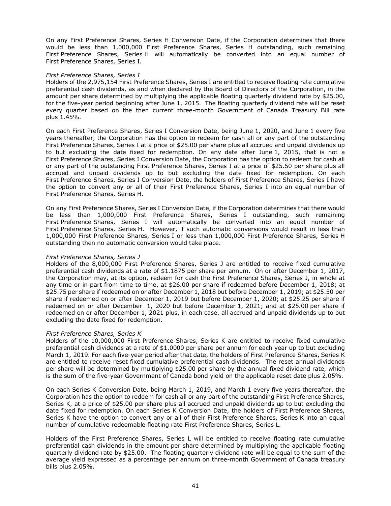On any First Preference Shares, Series H Conversion Date, if the Corporation determines that there would be less than 1,000,000 First Preference Shares, Series H outstanding, such remaining First Preference Shares, Series H will automatically be converted into an equal number of First Preference Shares, Series I.

#### *First Preference Shares, Series I*

Holders of the 2,975,154 First Preference Shares, Series I are entitled to receive floating rate cumulative preferential cash dividends, as and when declared by the Board of Directors of the Corporation, in the amount per share determined by multiplying the applicable floating quarterly dividend rate by \$25.00, for the five-year period beginning after June 1, 2015. The floating quarterly dividend rate will be reset every quarter based on the then current three-month Government of Canada Treasury Bill rate plus 1.45%.

On each First Preference Shares, Series I Conversion Date, being June 1, 2020, and June 1 every five years thereafter, the Corporation has the option to redeem for cash all or any part of the outstanding First Preference Shares, Series I at a price of \$25.00 per share plus all accrued and unpaid dividends up to but excluding the date fixed for redemption. On any date after June 1, 2015, that is not a First Preference Shares, Series I Conversion Date, the Corporation has the option to redeem for cash all or any part of the outstanding First Preference Shares, Series I at a price of \$25.50 per share plus all accrued and unpaid dividends up to but excluding the date fixed for redemption. On each First Preference Shares, Series I Conversion Date, the holders of First Preference Shares, Series I have the option to convert any or all of their First Preference Shares, Series I into an equal number of First Preference Shares, Series H.

On any First Preference Shares, Series I Conversion Date, if the Corporation determines that there would be less than 1,000,000 First Preference Shares, Series I outstanding, such remaining First Preference Shares, Series I will automatically be converted into an equal number of First Preference Shares, Series H. However, if such automatic conversions would result in less than 1,000,000 First Preference Shares, Series I or less than 1,000,000 First Preference Shares, Series H outstanding then no automatic conversion would take place.

#### *First Preference Shares, Series J*

Holders of the 8,000,000 First Preference Shares, Series J are entitled to receive fixed cumulative preferential cash dividends at a rate of \$1.1875 per share per annum. On or after December 1, 2017, the Corporation may, at its option, redeem for cash the First Preference Shares, Series J, in whole at any time or in part from time to time, at \$26.00 per share if redeemed before December 1, 2018; at \$25.75 per share if redeemed on or after December 1, 2018 but before December 1, 2019; at \$25.50 per share if redeemed on or after December 1, 2019 but before December 1, 2020; at \$25.25 per share if redeemed on or after December 1, 2020 but before December 1, 2021; and at \$25.00 per share if redeemed on or after December 1, 2021 plus, in each case, all accrued and unpaid dividends up to but excluding the date fixed for redemption.

#### *First Preference Shares, Series K*

Holders of the 10,000,000 First Preference Shares, Series K are entitled to receive fixed cumulative preferential cash dividends at a rate of \$1.0000 per share per annum for each year up to but excluding March 1, 2019. For each five-year period after that date, the holders of First Preference Shares, Series K are entitled to receive reset fixed cumulative preferential cash dividends. The reset annual dividends per share will be determined by multiplying \$25.00 per share by the annual fixed dividend rate, which is the sum of the five-year Government of Canada bond yield on the applicable reset date plus 2.05%.

On each Series K Conversion Date, being March 1, 2019, and March 1 every five years thereafter, the Corporation has the option to redeem for cash all or any part of the outstanding First Preference Shares, Series K, at a price of \$25.00 per share plus all accrued and unpaid dividends up to but excluding the date fixed for redemption. On each Series K Conversion Date, the holders of First Preference Shares, Series K have the option to convert any or all of their First Preference Shares, Series K into an equal number of cumulative redeemable floating rate First Preference Shares, Series L.

Holders of the First Preference Shares, Series L will be entitled to receive floating rate cumulative preferential cash dividends in the amount per share determined by multiplying the applicable floating quarterly dividend rate by \$25.00. The floating quarterly dividend rate will be equal to the sum of the average yield expressed as a percentage per annum on three-month Government of Canada treasury bills plus 2.05%.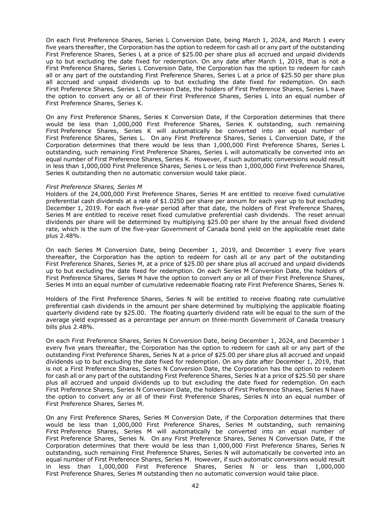On each First Preference Shares, Series L Conversion Date, being March 1, 2024, and March 1 every five years thereafter, the Corporation has the option to redeem for cash all or any part of the outstanding First Preference Shares, Series L at a price of \$25.00 per share plus all accrued and unpaid dividends up to but excluding the date fixed for redemption. On any date after March 1, 2019, that is not a First Preference Shares, Series L Conversion Date, the Corporation has the option to redeem for cash all or any part of the outstanding First Preference Shares, Series L at a price of \$25.50 per share plus all accrued and unpaid dividends up to but excluding the date fixed for redemption. On each First Preference Shares, Series L Conversion Date, the holders of First Preference Shares, Series L have the option to convert any or all of their First Preference Shares, Series L into an equal number of First Preference Shares, Series K.

On any First Preference Shares, Series K Conversion Date, if the Corporation determines that there would be less than 1,000,000 First Preference Shares, Series K outstanding, such remaining First Preference Shares, Series K will automatically be converted into an equal number of First Preference Shares, Series L. On any First Preference Shares, Series L Conversion Date, if the Corporation determines that there would be less than 1,000,000 First Preference Shares, Series L outstanding, such remaining First Preference Shares, Series L will automatically be converted into an equal number of First Preference Shares, Series K. However, if such automatic conversions would result in less than 1,000,000 First Preference Shares, Series L or less than 1,000,000 First Preference Shares, Series K outstanding then no automatic conversion would take place.

#### *First Preference Shares, Series M*

Holders of the 24,000,000 First Preference Shares, Series M are entitled to receive fixed cumulative preferential cash dividends at a rate of \$1.0250 per share per annum for each year up to but excluding December 1, 2019. For each five-year period after that date, the holders of First Preference Shares, Series M are entitled to receive reset fixed cumulative preferential cash dividends. The reset annual dividends per share will be determined by multiplying \$25.00 per share by the annual fixed dividend rate, which is the sum of the five-year Government of Canada bond yield on the applicable reset date plus 2.48%.

On each Series M Conversion Date, being December 1, 2019, and December 1 every five years thereafter, the Corporation has the option to redeem for cash all or any part of the outstanding First Preference Shares, Series M, at a price of \$25.00 per share plus all accrued and unpaid dividends up to but excluding the date fixed for redemption. On each Series M Conversion Date, the holders of First Preference Shares, Series M have the option to convert any or all of their First Preference Shares, Series M into an equal number of cumulative redeemable floating rate First Preference Shares, Series N.

Holders of the First Preference Shares, Series N will be entitled to receive floating rate cumulative preferential cash dividends in the amount per share determined by multiplying the applicable floating quarterly dividend rate by \$25.00. The floating quarterly dividend rate will be equal to the sum of the average yield expressed as a percentage per annum on three-month Government of Canada treasury bills plus 2.48%.

On each First Preference Shares, Series N Conversion Date, being December 1, 2024, and December 1 every five years thereafter, the Corporation has the option to redeem for cash all or any part of the outstanding First Preference Shares, Series N at a price of \$25.00 per share plus all accrued and unpaid dividends up to but excluding the date fixed for redemption. On any date after December 1, 2019, that is not a First Preference Shares, Series N Conversion Date, the Corporation has the option to redeem for cash all or any part of the outstanding First Preference Shares, Series N at a price of \$25.50 per share plus all accrued and unpaid dividends up to but excluding the date fixed for redemption. On each First Preference Shares, Series N Conversion Date, the holders of First Preference Shares, Series N have the option to convert any or all of their First Preference Shares, Series N into an equal number of First Preference Shares, Series M.

On any First Preference Shares, Series M Conversion Date, if the Corporation determines that there would be less than 1,000,000 First Preference Shares, Series M outstanding, such remaining First Preference Shares, Series M will automatically be converted into an equal number of First Preference Shares, Series N. On any First Preference Shares, Series N Conversion Date, if the Corporation determines that there would be less than 1,000,000 First Preference Shares, Series N outstanding, such remaining First Preference Shares, Series N will automatically be converted into an equal number of First Preference Shares, Series M. However, if such automatic conversions would result in less than 1,000,000 First Preference Shares, Series N or less than 1,000,000 First Preference Shares, Series M outstanding then no automatic conversion would take place.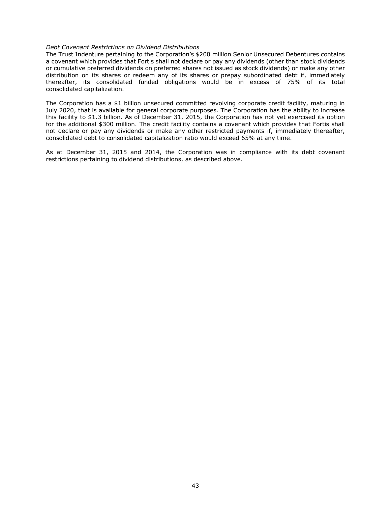#### *Debt Covenant Restrictions on Dividend Distributions*

The Trust Indenture pertaining to the Corporation's \$200 million Senior Unsecured Debentures contains a covenant which provides that Fortis shall not declare or pay any dividends (other than stock dividends or cumulative preferred dividends on preferred shares not issued as stock dividends) or make any other distribution on its shares or redeem any of its shares or prepay subordinated debt if, immediately thereafter, its consolidated funded obligations would be in excess of 75% of its total consolidated capitalization.

The Corporation has a \$1 billion unsecured committed revolving corporate credit facility, maturing in July 2020, that is available for general corporate purposes. The Corporation has the ability to increase this facility to \$1.3 billion. As of December 31, 2015, the Corporation has not yet exercised its option for the additional \$300 million. The credit facility contains a covenant which provides that Fortis shall not declare or pay any dividends or make any other restricted payments if, immediately thereafter, consolidated debt to consolidated capitalization ratio would exceed 65% at any time.

As at December 31, 2015 and 2014, the Corporation was in compliance with its debt covenant restrictions pertaining to dividend distributions, as described above.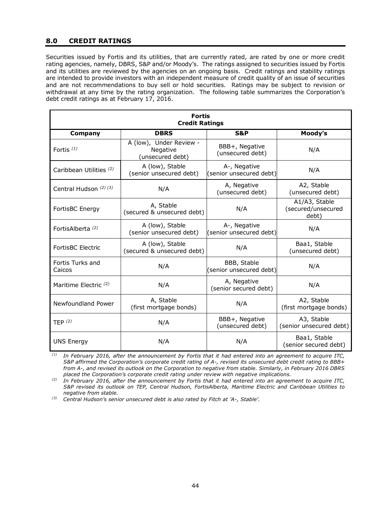## **8.0 CREDIT RATINGS**

Securities issued by Fortis and its utilities, that are currently rated, are rated by one or more credit rating agencies, namely, DBRS, S&P and/or Moody's. The ratings assigned to securities issued by Fortis and its utilities are reviewed by the agencies on an ongoing basis. Credit ratings and stability ratings are intended to provide investors with an independent measure of credit quality of an issue of securities and are not recommendations to buy sell or hold securities. Ratings may be subject to revision or withdrawal at any time by the rating organization. The following table summarizes the Corporation's debt credit ratings as at February 17, 2016.

| <b>Fortis</b><br><b>Credit Ratings</b> |                                                         |                                         |                                              |  |  |
|----------------------------------------|---------------------------------------------------------|-----------------------------------------|----------------------------------------------|--|--|
| Company                                | <b>DBRS</b>                                             | <b>S&amp;P</b>                          | Moody's                                      |  |  |
| Fortis $(1)$                           | A (low), Under Review -<br>Negative<br>(unsecured debt) | BBB+, Negative<br>(unsecured debt)      | N/A                                          |  |  |
| Caribbean Utilities (2)                | A (low), Stable<br>(senior unsecured debt)              | A-, Negative<br>(senior unsecured debt) | N/A                                          |  |  |
| Central Hudson (2) (3)                 | N/A                                                     | A, Negative<br>(unsecured debt)         | A2, Stable<br>(unsecured debt)               |  |  |
| FortisBC Energy                        | A, Stable<br>(secured & unsecured debt)                 | N/A                                     | A1/A3, Stable<br>(secured/unsecured<br>debt) |  |  |
| FortisAlberta <sup>(2)</sup>           | A (low), Stable<br>(senior unsecured debt)              | A-, Negative<br>(senior unsecured debt) | N/A                                          |  |  |
| FortisBC Electric                      | A (low), Stable<br>(secured & unsecured debt)           | N/A                                     | Baa1, Stable<br>(unsecured debt)             |  |  |
| Fortis Turks and<br>Caicos             | N/A                                                     | BBB, Stable<br>(senior unsecured debt)  | N/A                                          |  |  |
| Maritime Electric <sup>(2)</sup>       | N/A                                                     | A, Negative<br>(senior secured debt)    | N/A                                          |  |  |
| Newfoundland Power                     | A, Stable<br>(first mortgage bonds)                     | N/A                                     | A2, Stable<br>(first mortgage bonds)         |  |  |
| TFP $(2)$                              | N/A                                                     | BBB+, Negative<br>(unsecured debt)      | A3, Stable<br>(senior unsecured debt)        |  |  |
| <b>UNS Energy</b>                      | N/A                                                     | N/A                                     | Baa1, Stable<br>(senior secured debt)        |  |  |

*(1) In February 2016, after the announcement by Fortis that it had entered into an agreement to acquire ITC, S&P affirmed the Corporation's corporate credit rating of A-, revised its unsecured debt credit rating to BBB+ from A-, and revised its outlook on the Corporation to negative from stable. Similarly, in February 2016 DBRS placed the Corporation's corporate credit rating under review with negative implications.* 

*(2) In February 2016, after the announcement by Fortis that it had entered into an agreement to acquire ITC, S&P revised its outlook on TEP, Central Hudson, FortisAlberta, Maritime Electric and Caribbean Utilities to negative from stable.* 

*(3) Central Hudson's senior unsecured debt is also rated by Fitch at 'A-, Stable'.*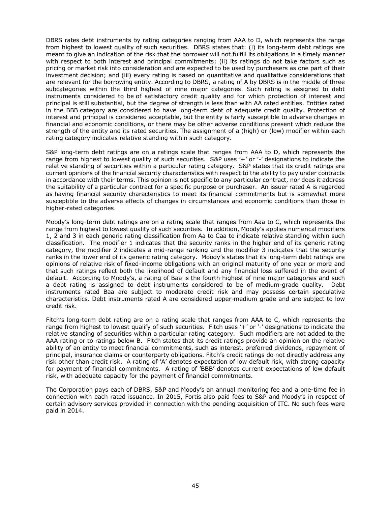DBRS rates debt instruments by rating categories ranging from AAA to D, which represents the range from highest to lowest quality of such securities. DBRS states that: (i) its long-term debt ratings are meant to give an indication of the risk that the borrower will not fulfill its obligations in a timely manner with respect to both interest and principal commitments; (ii) its ratings do not take factors such as pricing or market risk into consideration and are expected to be used by purchasers as one part of their investment decision; and (iii) every rating is based on quantitative and qualitative considerations that are relevant for the borrowing entity. According to DBRS, a rating of A by DBRS is in the middle of three subcategories within the third highest of nine major categories. Such rating is assigned to debt instruments considered to be of satisfactory credit quality and for which protection of interest and principal is still substantial, but the degree of strength is less than with AA rated entities. Entities rated in the BBB category are considered to have long-term debt of adequate credit quality. Protection of interest and principal is considered acceptable, but the entity is fairly susceptible to adverse changes in financial and economic conditions, or there may be other adverse conditions present which reduce the strength of the entity and its rated securities. The assignment of a (high) or (low) modifier within each rating category indicates relative standing within such category.

S&P long-term debt ratings are on a ratings scale that ranges from AAA to D, which represents the range from highest to lowest quality of such securities. S&P uses '+' or '-' designations to indicate the relative standing of securities within a particular rating category. S&P states that its credit ratings are current opinions of the financial security characteristics with respect to the ability to pay under contracts in accordance with their terms. This opinion is not specific to any particular contract, nor does it address the suitability of a particular contract for a specific purpose or purchaser. An issuer rated A is regarded as having financial security characteristics to meet its financial commitments but is somewhat more susceptible to the adverse effects of changes in circumstances and economic conditions than those in higher-rated categories.

Moody's long-term debt ratings are on a rating scale that ranges from Aaa to C, which represents the range from highest to lowest quality of such securities. In addition, Moody's applies numerical modifiers 1, 2 and 3 in each generic rating classification from Aa to Caa to indicate relative standing within such classification. The modifier 1 indicates that the security ranks in the higher end of its generic rating category, the modifier 2 indicates a mid-range ranking and the modifier 3 indicates that the security ranks in the lower end of its generic rating category. Moody's states that its long-term debt ratings are opinions of relative risk of fixed-income obligations with an original maturity of one year or more and that such ratings reflect both the likelihood of default and any financial loss suffered in the event of default. According to Moody's, a rating of Baa is the fourth highest of nine major categories and such a debt rating is assigned to debt instruments considered to be of medium-grade quality. Debt instruments rated Baa are subject to moderate credit risk and may possess certain speculative characteristics. Debt instruments rated A are considered upper-medium grade and are subject to low credit risk.

Fitch's long-term debt rating are on a rating scale that ranges from AAA to C, which represents the range from highest to lowest qualify of such securities. Fitch uses '+' or '-' designations to indicate the relative standing of securities within a particular rating category. Such modifiers are not added to the AAA rating or to ratings below B. Fitch states that its credit ratings provide an opinion on the relative ability of an entity to meet financial commitments, such as interest, preferred dividends, repayment of principal, insurance claims or counterparty obligations. Fitch's credit ratings do not directly address any risk other than credit risk. A rating of 'A' denotes expectation of low default risk, with strong capacity for payment of financial commitments. A rating of 'BBB' denotes current expectations of low default risk, with adequate capacity for the payment of financial commitments.

The Corporation pays each of DBRS, S&P and Moody's an annual monitoring fee and a one-time fee in connection with each rated issuance. In 2015, Fortis also paid fees to S&P and Moody's in respect of certain advisory services provided in connection with the pending acquisition of ITC. No such fees were paid in 2014.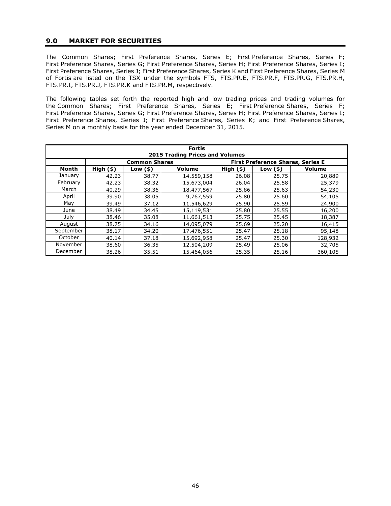### **9.0 MARKET FOR SECURITIES**

The Common Shares; First Preference Shares, Series E; First Preference Shares, Series F; First Preference Shares, Series G; First Preference Shares, Series H; First Preference Shares, Series I; First Preference Shares, Series J; First Preference Shares, Series K and First Preference Shares, Series M of Fortis are listed on the TSX under the symbols FTS, FTS.PR.E, FTS.PR.F, FTS.PR.G, FTS.PR.H, FTS.PR.I, FTS.PR.J, FTS.PR.K and FTS.PR.M, respectively.

The following tables set forth the reported high and low trading prices and trading volumes for the Common Shares; First Preference Shares, Series E; First Preference Shares, Series F; First Preference Shares, Series G; First Preference Shares, Series H; First Preference Shares, Series I; First Preference Shares, Series J; First Preference Shares, Series K; and First Preference Shares, Series M on a monthly basis for the year ended December 31, 2015.

| <b>Fortis</b><br><b>2015 Trading Prices and Volumes</b> |             |                      |               |             |                                          |         |
|---------------------------------------------------------|-------------|----------------------|---------------|-------------|------------------------------------------|---------|
|                                                         |             | <b>Common Shares</b> |               |             | <b>First Preference Shares, Series E</b> |         |
| Month                                                   | $High($ \$) | Low $($ \$ $)$       | <b>Volume</b> | $High($ \$) | Low $($ \$ $)$                           | Volume  |
| January                                                 | 42.23       | 38.77                | 14,559,158    | 26.08       | 25.75                                    | 20,889  |
| February                                                | 42.23       | 38.32                | 15,673,004    | 26.04       | 25.58                                    | 25,379  |
| March                                                   | 40.29       | 38.36                | 18,477,567    | 25.86       | 25.63                                    | 54,230  |
| April                                                   | 39.90       | 38.05                | 9,767,559     | 25.80       | 25.60                                    | 54,105  |
| May                                                     | 39.49       | 37.12                | 11,546,629    | 25.90       | 25.59                                    | 24,900  |
| June                                                    | 38.49       | 34.45                | 15,119,531    | 25.80       | 25.55                                    | 16,200  |
| July                                                    | 38.46       | 35.08                | 11,661,513    | 25.75       | 25.45                                    | 18,387  |
| August                                                  | 38.75       | 34.16                | 14,095,079    | 25.69       | 25.20                                    | 16,415  |
| September                                               | 38.17       | 34.20                | 17,476,551    | 25.47       | 25.18                                    | 95,148  |
| October                                                 | 40.14       | 37.18                | 15,692,958    | 25.47       | 25.30                                    | 128,932 |
| November                                                | 38.60       | 36.35                | 12,504,209    | 25.49       | 25.06                                    | 32,705  |
| December                                                | 38.26       | 35.51                | 15,464,056    | 25.35       | 25.16                                    | 360,105 |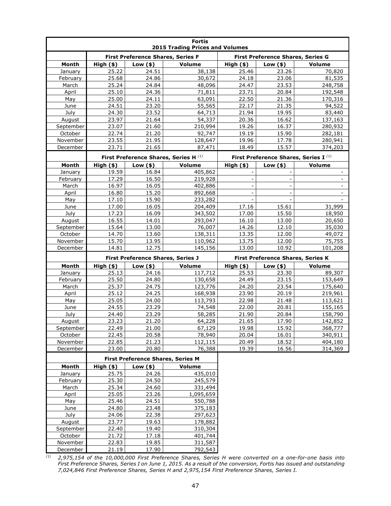| <b>Fortis</b><br><b>2015 Trading Prices and Volumes</b> |                |                                          |                                                  |                                   |                                   |                                                  |
|---------------------------------------------------------|----------------|------------------------------------------|--------------------------------------------------|-----------------------------------|-----------------------------------|--------------------------------------------------|
|                                                         |                | <b>First Preference Shares, Series F</b> |                                                  | First Preference Shares, Series G |                                   |                                                  |
| Month                                                   | High (\$)      | Low $(*)$                                | Volume                                           | $High($ \$)                       | Low $(*)$                         | Volume                                           |
| January                                                 | 25.22          | 24.51                                    | 38,138                                           | 25.46                             | 23.26                             | 70,820                                           |
| February                                                | 25.68          | 24.86                                    | 30,672                                           | 24.18                             | 23.06                             | 81,535                                           |
| March                                                   | 25.24          | 24.84                                    | 48,096                                           | 24.47                             | 23.53                             | 248,758                                          |
| April                                                   | 25.10          | 24.36                                    | 71,811                                           | 23.71                             | 20.84                             | 192,548                                          |
| May                                                     | 25.00          | 24.11                                    | 63,091                                           | 22.50                             | 21.36                             | 170,316                                          |
| <b>June</b>                                             | 24.51          | 23.20                                    | 55,565                                           | 22.17                             | 21.35                             | 94,522                                           |
| July                                                    | 24.30          | 23.52                                    | 64,713                                           | 21.94                             | 19.95                             | 83,440                                           |
| August                                                  | 23.97          | 21.64                                    | 54,337                                           | 20.36                             | 16.62                             | 137,163                                          |
| September                                               | 23.07          | 21.60                                    | 210,994                                          | 19.26                             | 16.37                             | 280,932                                          |
| October                                                 | 22.74          | 21.20                                    | 92,747                                           | 19.19                             | 15.90                             | 282,181                                          |
| November                                                | 23.55          | 21.95                                    | 128,647                                          | 19.96                             | 17.78                             | 280,941                                          |
| December                                                | 23.71          | 21.65                                    | 87,471                                           | 18.49                             | 15.57                             | 374,203                                          |
|                                                         |                |                                          | First Preference Shares, Series H <sup>(1)</sup> |                                   |                                   | First Preference Shares, Series I <sup>(1)</sup> |
| Month                                                   | $High($ \$)    | Low $(*)$                                | Volume                                           | $High($ \$)                       | Low $(*)$                         | Volume                                           |
| January                                                 | 19.59          | 16.84                                    | 405,862                                          |                                   |                                   | $\blacksquare$                                   |
| February                                                | 17.29          | 16.50                                    | 219,928                                          |                                   | $\overline{\phantom{a}}$          | $\overline{\phantom{a}}$                         |
| March                                                   | 16.97          | 16.05                                    | 402,886                                          |                                   |                                   |                                                  |
| April                                                   | 16.80          | 15.20                                    | 892,668                                          |                                   | $\frac{1}{2}$                     | $\blacksquare$                                   |
| May                                                     | 17.10          | 15.90                                    | 233,282                                          |                                   |                                   |                                                  |
| June                                                    | 17.00          | 16.05                                    | 204,409                                          | 17.16                             | 15.61                             | 31,999                                           |
| July                                                    | 17.23          | 16.09                                    | 343,502                                          | 17.00                             | 15.50                             | 18,950                                           |
| August                                                  | 16.55          | 14.01                                    | 293,047                                          | 16.10                             | 13.00                             | 20,650                                           |
| September                                               | 15.64          | 13.00                                    | 76,007                                           | 14.26                             | 12.10                             | 35,030                                           |
| October                                                 | 14.70          | 13.60                                    | 138,311                                          | 13.35                             | 12.00                             | 49,072                                           |
| November                                                | 15.70          | 13.95<br>12.75                           | 110,962                                          | 13.75<br>13.00                    | 12.00<br>10.92                    | 75,755                                           |
| December                                                | 14.81          |                                          | 145,156                                          |                                   |                                   | 101,208                                          |
|                                                         |                | <b>First Preference Shares, Series J</b> |                                                  |                                   | First Preference Shares, Series K |                                                  |
| Month                                                   | High (\$)      | Low $($ \$)                              | Volume                                           | $High($ \$)                       | Low $($ \$ $)$                    | Volume                                           |
| January                                                 | 25.13          | 24.16                                    | 117,712                                          | 25.53                             | 23.30                             | 89,307                                           |
| February                                                | 25.50          | 24.80                                    | 130,658                                          | 24.49                             | 23.15                             | 153,649                                          |
| March                                                   | 25.37          | 24.75                                    | 123,776                                          | 24.20                             | 23.54                             | 175,640                                          |
| April                                                   | 25.12          | 24.25                                    | 168,938                                          | 23.90                             | 20.19                             | 219,961                                          |
| May                                                     | 25.05          | 24.00                                    | 113,793                                          | 22.98                             | 21.48                             | 113,621                                          |
| June                                                    | 24.55          | 23.29                                    | 74,548                                           | 22.00                             | 20.81                             | 155,165                                          |
| July                                                    | 24.40          | 23.29                                    | 58,285<br>64,228                                 | 21.90                             | 20.84<br>17.90                    | 158,790                                          |
| August<br>September                                     | 23.23<br>22.49 | 21.20<br>21.00                           | 67,129                                           | 21.65<br>19.98                    | 15.92                             | 142,852                                          |
| October                                                 | 22.45          | 20.58                                    | 78,940                                           | 20.04                             | 16.01                             | 368,777<br>340,911                               |
| November                                                | 22.85          | 21.23                                    | 112,115                                          | 20.49                             | 18.52                             | 404,180                                          |
| December                                                | 23.00          | 20.80                                    | 76,388                                           | 19.39                             | 16.56                             | 314,369                                          |
|                                                         |                | First Preference Shares, Series M        |                                                  |                                   |                                   |                                                  |
| <b>Month</b>                                            | $High($ \$)    | Low $(*)$                                | Volume                                           |                                   |                                   |                                                  |
| January                                                 | 25.75          | 24.26                                    | 435,010                                          |                                   |                                   |                                                  |
| February                                                | 25.30          | 24.50                                    | 245,579                                          |                                   |                                   |                                                  |
| March                                                   | 25.34          | 24.60                                    | 331,494                                          |                                   |                                   |                                                  |
| April                                                   | 25.05          | 23.26                                    | 1,095,659                                        |                                   |                                   |                                                  |
| May                                                     | 25.46          | 24.51                                    | 550,788                                          |                                   |                                   |                                                  |
| June                                                    | 24.80          | 23.48                                    | 375,183                                          |                                   |                                   |                                                  |
| July                                                    | 24.06          | 22.38                                    | 297,623                                          |                                   |                                   |                                                  |
| August                                                  | 23.77          | 19.63                                    | 178,882                                          |                                   |                                   |                                                  |
| September                                               | 22.40          | 19.40                                    | 310,304                                          |                                   |                                   |                                                  |
| October                                                 | 21.72          | 17.18                                    | 401,744                                          |                                   |                                   |                                                  |
| November                                                | 22.83          | 19.85                                    | 311,587                                          |                                   |                                   |                                                  |
| December                                                | 21.19          | 17.90                                    | 792,543                                          |                                   |                                   |                                                  |

*(1) 2,975,154 of the 10,000,000 First Preference Shares, Series H were converted on a one-for-one basis into First Preference Shares, Series I on June 1, 2015. As a result of the conversion, Fortis has issued and outstanding 7,024,846 First Preference Shares, Series H and 2,975,154 First Preference Shares, Series I.*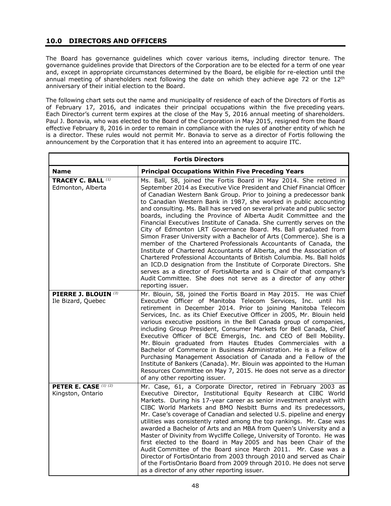# **10.0 DIRECTORS AND OFFICERS**

The Board has governance guidelines which cover various items, including director tenure. The governance guidelines provide that Directors of the Corporation are to be elected for a term of one year and, except in appropriate circumstances determined by the Board, be eligible for re-election until the annual meeting of shareholders next following the date on which they achieve age 72 or the  $12<sup>th</sup>$ anniversary of their initial election to the Board.

The following chart sets out the name and municipality of residence of each of the Directors of Fortis as of February 17, 2016, and indicates their principal occupations within the five preceding years. Each Director's current term expires at the close of the May 5, 2016 annual meeting of shareholders. Paul J. Bonavia, who was elected to the Board of the Corporation in May 2015, resigned from the Board effective February 8, 2016 in order to remain in compliance with the rules of another entity of which he is a director. These rules would not permit Mr. Bonavia to serve as a director of Fortis following the announcement by the Corporation that it has entered into an agreement to acquire ITC.

| <b>Fortis Directors</b>                        |                                                                                                                                                                                                                                                                                                                                                                                                                                                                                                                                                                                                                                                                                                                                                                                                                                                                                                                                                                                                                                                                                                                          |  |  |
|------------------------------------------------|--------------------------------------------------------------------------------------------------------------------------------------------------------------------------------------------------------------------------------------------------------------------------------------------------------------------------------------------------------------------------------------------------------------------------------------------------------------------------------------------------------------------------------------------------------------------------------------------------------------------------------------------------------------------------------------------------------------------------------------------------------------------------------------------------------------------------------------------------------------------------------------------------------------------------------------------------------------------------------------------------------------------------------------------------------------------------------------------------------------------------|--|--|
| <b>Name</b>                                    | <b>Principal Occupations Within Five Preceding Years</b>                                                                                                                                                                                                                                                                                                                                                                                                                                                                                                                                                                                                                                                                                                                                                                                                                                                                                                                                                                                                                                                                 |  |  |
| <b>TRACEY C. BALL (1)</b><br>Edmonton, Alberta | Ms. Ball, 58, joined the Fortis Board in May 2014. She retired in<br>September 2014 as Executive Vice President and Chief Financial Officer<br>of Canadian Western Bank Group. Prior to joining a predecessor bank<br>to Canadian Western Bank in 1987, she worked in public accounting<br>and consulting. Ms. Ball has served on several private and public sector<br>boards, including the Province of Alberta Audit Committee and the<br>Financial Executives Institute of Canada. She currently serves on the<br>City of Edmonton LRT Governance Board. Ms. Ball graduated from<br>Simon Fraser University with a Bachelor of Arts (Commerce). She is a<br>member of the Chartered Professionals Accountants of Canada, the<br>Institute of Chartered Accountants of Alberta, and the Association of<br>Chartered Professional Accountants of British Columbia. Ms. Ball holds<br>an ICD.D designation from the Institute of Corporate Directors. She<br>serves as a director of FortisAlberta and is Chair of that company's<br>Audit Committee. She does not serve as a director of any other<br>reporting issuer. |  |  |
| PIERRE J. BLOUIN (3)<br>Ile Bizard, Quebec     | Mr. Blouin, 58, joined the Fortis Board in May 2015. He was Chief<br>Executive Officer of Manitoba Telecom Services, Inc. until his<br>retirement in December 2014. Prior to joining Manitoba Telecom<br>Services, Inc. as its Chief Executive Officer in 2005, Mr. Blouin held<br>various executive positions in the Bell Canada group of companies,<br>including Group President, Consumer Markets for Bell Canada, Chief<br>Executive Officer of BCE Emergis, Inc. and CEO of Bell Mobility.<br>Mr. Blouin graduated from Hautes Etudes Commerciales with a<br>Bachelor of Commerce in Business Administration. He is a Fellow of<br>Purchasing Management Association of Canada and a Fellow of the<br>Institute of Bankers (Canada). Mr. Blouin was appointed to the Human<br>Resources Committee on May 7, 2015. He does not serve as a director<br>of any other reporting issuer.                                                                                                                                                                                                                                 |  |  |
| PETER E. CASE (1) (2)<br>Kingston, Ontario     | Mr. Case, 61, a Corporate Director, retired in February 2003 as<br>Executive Director, Institutional Equity Research at CIBC World<br>Markets. During his 17-year career as senior investment analyst with<br>CIBC World Markets and BMO Nesbitt Burns and its predecessors,<br>Mr. Case's coverage of Canadian and selected U.S. pipeline and energy<br>utilities was consistently rated among the top rankings. Mr. Case was<br>awarded a Bachelor of Arts and an MBA from Queen's University and a<br>Master of Divinity from Wycliffe College, University of Toronto. He was<br>first elected to the Board in May 2005 and has been Chair of the<br>Audit Committee of the Board since March 2011. Mr. Case was a<br>Director of FortisOntario from 2003 through 2010 and served as Chair<br>of the FortisOntario Board from 2009 through 2010. He does not serve<br>as a director of any other reporting issuer.                                                                                                                                                                                                    |  |  |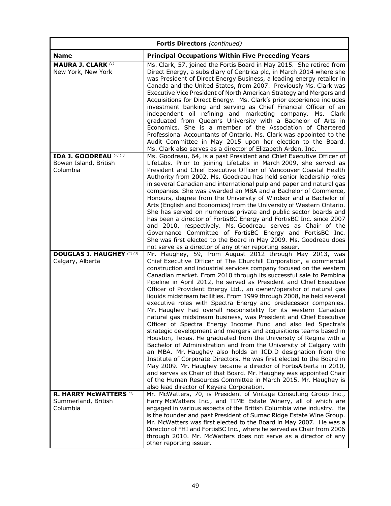| <b>Fortis Directors</b> (continued)                              |                                                                                                                                                                                                                                                                                                                                                                                                                                                                                                                                                                                                                                                                                                                                                                                                                                                                                                                                                                                                                                                                                                                                                                                                                                                                                                                                                                                              |  |  |
|------------------------------------------------------------------|----------------------------------------------------------------------------------------------------------------------------------------------------------------------------------------------------------------------------------------------------------------------------------------------------------------------------------------------------------------------------------------------------------------------------------------------------------------------------------------------------------------------------------------------------------------------------------------------------------------------------------------------------------------------------------------------------------------------------------------------------------------------------------------------------------------------------------------------------------------------------------------------------------------------------------------------------------------------------------------------------------------------------------------------------------------------------------------------------------------------------------------------------------------------------------------------------------------------------------------------------------------------------------------------------------------------------------------------------------------------------------------------|--|--|
| <b>Name</b>                                                      | <b>Principal Occupations Within Five Preceding Years</b>                                                                                                                                                                                                                                                                                                                                                                                                                                                                                                                                                                                                                                                                                                                                                                                                                                                                                                                                                                                                                                                                                                                                                                                                                                                                                                                                     |  |  |
| <b>MAURA J. CLARK (1)</b><br>New York, New York                  | Ms. Clark, 57, joined the Fortis Board in May 2015. She retired from<br>Direct Energy, a subsidiary of Centrica plc, in March 2014 where she<br>was President of Direct Energy Business, a leading energy retailer in<br>Canada and the United States, from 2007. Previously Ms. Clark was<br>Executive Vice President of North American Strategy and Mergers and<br>Acquisitions for Direct Energy. Ms. Clark's prior experience includes<br>investment banking and serving as Chief Financial Officer of an<br>independent oil refining and marketing company. Ms. Clark<br>graduated from Queen's University with a Bachelor of Arts in<br>Economics. She is a member of the Association of Chartered<br>Professional Accountants of Ontario. Ms. Clark was appointed to the<br>Audit Committee in May 2015 upon her election to the Board.<br>Ms. Clark also serves as a director of Elizabeth Arden, Inc.                                                                                                                                                                                                                                                                                                                                                                                                                                                                               |  |  |
| IDA J. GOODREAU (2) (3)<br>Bowen Island, British<br>Columbia     | Ms. Goodreau, 64, is a past President and Chief Executive Officer of<br>LifeLabs. Prior to joining LifeLabs in March 2009, she served as<br>President and Chief Executive Officer of Vancouver Coastal Health<br>Authority from 2002. Ms. Goodreau has held senior leadership roles<br>in several Canadian and international pulp and paper and natural gas<br>companies. She was awarded an MBA and a Bachelor of Commerce,<br>Honours, degree from the University of Windsor and a Bachelor of<br>Arts (English and Economics) from the University of Western Ontario.<br>She has served on numerous private and public sector boards and<br>has been a director of FortisBC Energy and FortisBC Inc. since 2007<br>and 2010, respectively. Ms. Goodreau serves as Chair of the<br>Governance Committee of FortisBC Energy and FortisBC Inc.<br>She was first elected to the Board in May 2009. Ms. Goodreau does<br>not serve as a director of any other reporting issuer.                                                                                                                                                                                                                                                                                                                                                                                                                |  |  |
| <b>DOUGLAS J. HAUGHEY (1) (3)</b><br>Calgary, Alberta            | Mr. Haughey, 59, from August 2012 through May 2013, was<br>Chief Executive Officer of The Churchill Corporation, a commercial<br>construction and industrial services company focused on the western<br>Canadian market. From 2010 through its successful sale to Pembina<br>Pipeline in April 2012, he served as President and Chief Executive<br>Officer of Provident Energy Ltd., an owner/operator of natural gas<br>liquids midstream facilities. From 1999 through 2008, he held several<br>executive roles with Spectra Energy and predecessor companies.<br>Mr. Haughey had overall responsibility for its western Canadian<br>natural gas midstream business, was President and Chief Executive<br>Officer of Spectra Energy Income Fund and also led Spectra's<br>strategic development and mergers and acquisitions teams based in<br>Houston, Texas. He graduated from the University of Regina with a<br>Bachelor of Administration and from the University of Calgary with<br>an MBA. Mr. Haughey also holds an ICD.D designation from the<br>Institute of Corporate Directors. He was first elected to the Board in<br>May 2009. Mr. Haughey became a director of FortisAlberta in 2010,<br>and serves as Chair of that Board. Mr. Haughey was appointed Chair<br>of the Human Resources Committee in March 2015. Mr. Haughey is<br>also lead director of Keyera Corporation. |  |  |
| <b>R. HARRY MCWATTERS (2)</b><br>Summerland, British<br>Columbia | Mr. McWatters, 70, is President of Vintage Consulting Group Inc.,<br>Harry McWatters Inc., and TIME Estate Winery, all of which are<br>engaged in various aspects of the British Columbia wine industry. He<br>is the founder and past President of Sumac Ridge Estate Wine Group.<br>Mr. McWatters was first elected to the Board in May 2007. He was a<br>Director of FHI and FortisBC Inc., where he served as Chair from 2006<br>through 2010. Mr. McWatters does not serve as a director of any<br>other reporting issuer.                                                                                                                                                                                                                                                                                                                                                                                                                                                                                                                                                                                                                                                                                                                                                                                                                                                              |  |  |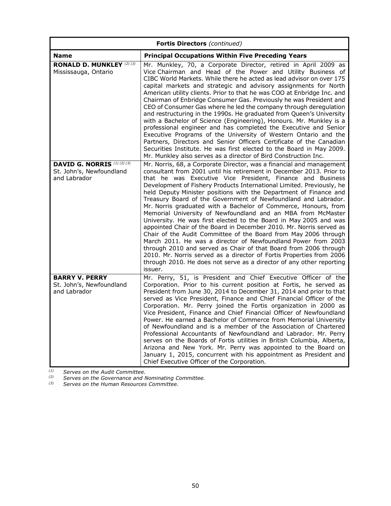| <b>Fortis Directors</b> (continued)                                            |                                                                                                                                                                                                                                                                                                                                                                                                                                                                                                                                                                                                                                                                                                                                                                                                                                                                                                                                                                                                                                                                              |  |  |
|--------------------------------------------------------------------------------|------------------------------------------------------------------------------------------------------------------------------------------------------------------------------------------------------------------------------------------------------------------------------------------------------------------------------------------------------------------------------------------------------------------------------------------------------------------------------------------------------------------------------------------------------------------------------------------------------------------------------------------------------------------------------------------------------------------------------------------------------------------------------------------------------------------------------------------------------------------------------------------------------------------------------------------------------------------------------------------------------------------------------------------------------------------------------|--|--|
| <b>Name</b>                                                                    | <b>Principal Occupations Within Five Preceding Years</b>                                                                                                                                                                                                                                                                                                                                                                                                                                                                                                                                                                                                                                                                                                                                                                                                                                                                                                                                                                                                                     |  |  |
| <b>RONALD D. MUNKLEY</b> (2) (3)<br>Mississauga, Ontario                       | Mr. Munkley, 70, a Corporate Director, retired in April 2009 as<br>Vice Chairman and Head of the Power and Utility Business of<br>CIBC World Markets. While there he acted as lead advisor on over 175<br>capital markets and strategic and advisory assignments for North<br>American utility clients. Prior to that he was COO at Enbridge Inc. and<br>Chairman of Enbridge Consumer Gas. Previously he was President and<br>CEO of Consumer Gas where he led the company through deregulation<br>and restructuring in the 1990s. He graduated from Queen's University<br>with a Bachelor of Science (Engineering), Honours. Mr. Munkley is a<br>professional engineer and has completed the Executive and Senior<br>Executive Programs of the University of Western Ontario and the<br>Partners, Directors and Senior Officers Certificate of the Canadian<br>Securities Institute. He was first elected to the Board in May 2009.<br>Mr. Munkley also serves as a director of Bird Construction Inc.                                                                     |  |  |
| <b>DAVID G. NORRIS</b> (1) (2) (3)<br>St. John's, Newfoundland<br>and Labrador | Mr. Norris, 68, a Corporate Director, was a financial and management<br>consultant from 2001 until his retirement in December 2013. Prior to<br>that he was Executive Vice President, Finance and Business<br>Development of Fishery Products International Limited. Previously, he<br>held Deputy Minister positions with the Department of Finance and<br>Treasury Board of the Government of Newfoundland and Labrador.<br>Mr. Norris graduated with a Bachelor of Commerce, Honours, from<br>Memorial University of Newfoundland and an MBA from McMaster<br>University. He was first elected to the Board in May 2005 and was<br>appointed Chair of the Board in December 2010. Mr. Norris served as<br>Chair of the Audit Committee of the Board from May 2006 through<br>March 2011. He was a director of Newfoundland Power from 2003<br>through 2010 and served as Chair of that Board from 2006 through<br>2010. Mr. Norris served as a director of Fortis Properties from 2006<br>through 2010. He does not serve as a director of any other reporting<br>issuer. |  |  |
| <b>BARRY V. PERRY</b><br>St. John's, Newfoundland<br>and Labrador              | Mr. Perry, 51, is President and Chief Executive Officer of the<br>Corporation. Prior to his current position at Fortis, he served as<br>President from June 30, 2014 to December 31, 2014 and prior to that<br>served as Vice President, Finance and Chief Financial Officer of the<br>Corporation. Mr. Perry joined the Fortis organization in 2000 as<br>Vice President, Finance and Chief Financial Officer of Newfoundland<br>Power. He earned a Bachelor of Commerce from Memorial University<br>of Newfoundland and is a member of the Association of Chartered<br>Professional Accountants of Newfoundland and Labrador. Mr. Perry<br>serves on the Boards of Fortis utilities in British Columbia, Alberta,<br>Arizona and New York. Mr. Perry was appointed to the Board on<br>January 1, 2015, concurrent with his appointment as President and<br>Chief Executive Officer of the Corporation.                                                                                                                                                                     |  |  |

*(1) Serves on the Audit Committee.* 

*(2) Serves on the Governance and Nominating Committee.* 

*(3) Serves on the Human Resources Committee.*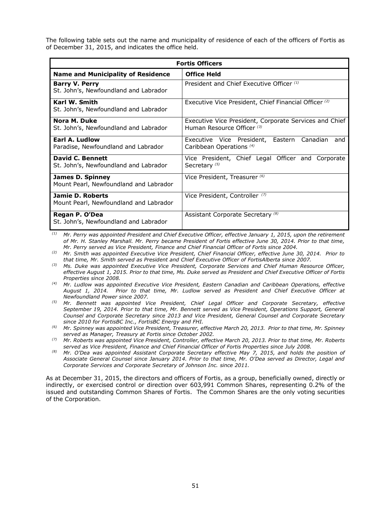The following table sets out the name and municipality of residence of each of the officers of Fortis as of December 31, 2015, and indicates the office held.

| <b>Fortis Officers</b>                                           |                                                                                      |  |  |  |
|------------------------------------------------------------------|--------------------------------------------------------------------------------------|--|--|--|
| <b>Name and Municipality of Residence</b>                        | <b>Office Held</b>                                                                   |  |  |  |
| <b>Barry V. Perry</b><br>St. John's, Newfoundland and Labrador   | President and Chief Executive Officer (1)                                            |  |  |  |
| Karl W. Smith<br>St. John's, Newfoundland and Labrador           | Executive Vice President, Chief Financial Officer <sup>(2)</sup>                     |  |  |  |
| Nora M. Duke<br>St. John's, Newfoundland and Labrador            | Executive Vice President, Corporate Services and Chief<br>Human Resource Officer (3) |  |  |  |
| Earl A. Ludlow<br>Paradise, Newfoundland and Labrador            | Executive Vice President, Eastern Canadian<br>and<br>Caribbean Operations (4)        |  |  |  |
| <b>David C. Bennett</b><br>St. John's, Newfoundland and Labrador | Vice President, Chief Legal Officer and<br>Corporate<br>Secretary <sup>(5)</sup>     |  |  |  |
| James D. Spinney<br>Mount Pearl, Newfoundland and Labrador       | Vice President, Treasurer (6)                                                        |  |  |  |
| Jamie D. Roberts<br>Mount Pearl, Newfoundland and Labrador       | Vice President, Controller (7)                                                       |  |  |  |
| Regan P. O'Dea<br>St. John's, Newfoundland and Labrador          | Assistant Corporate Secretary (8)                                                    |  |  |  |

*(1) Mr. Perry was appointed President and Chief Executive Officer, effective January 1, 2015, upon the retirement of Mr. H. Stanley Marshall. Mr. Perry became President of Fortis effective June 30, 2014. Prior to that time, Mr. Perry served as Vice President, Finance and Chief Financial Officer of Fortis since 2004.* 

*(2) Mr. Smith was appointed Executive Vice President, Chief Financial Officer, effective June 30, 2014. Prior to that time, Mr. Smith served as President and Chief Executive Officer of FortisAlberta since 2007.* 

- *(3) Ms. Duke was appointed Executive Vice President, Corporate Services and Chief Human Resource Officer, effective August 1, 2015. Prior to that time, Ms. Duke served as President and Chief Executive Officer of Fortis Properties since 2008.*
- *(4) Mr. Ludlow was appointed Executive Vice President, Eastern Canadian and Caribbean Operations, effective August 1, 2014. Prior to that time, Mr. Ludlow served as President and Chief Executive Officer at Newfoundland Power since 2007.*
- *(5) Mr. Bennett was appointed Vice President, Chief Legal Officer and Corporate Secretary, effective September 19, 2014. Prior to that time, Mr. Bennett served as Vice President, Operations Support, General Counsel and Corporate Secretary since 2013 and Vice President, General Counsel and Corporate Secretary since 2010 for FortisBC Inc., FortisBC Energy and FHI.*
- *(6) Mr. Spinney was appointed Vice President, Treasurer, effective March 20, 2013. Prior to that time, Mr. Spinney served as Manager, Treasury at Fortis since October 2002.*
- *(7) Mr. Roberts was appointed Vice President, Controller, effective March 20, 2013. Prior to that time, Mr. Roberts served as Vice President, Finance and Chief Financial Officer of Fortis Properties since July 2008.*
- *(8) Mr. O'Dea was appointed Assistant Corporate Secretary effective May 7, 2015, and holds the position of Associate General Counsel since January 2014. Prior to that time, Mr. O'Dea served as Director, Legal and Corporate Services and Corporate Secretary of Johnson Inc. since 2011.*

As at December 31, 2015, the directors and officers of Fortis, as a group, beneficially owned, directly or indirectly, or exercised control or direction over 603,991 Common Shares, representing 0.2% of the issued and outstanding Common Shares of Fortis. The Common Shares are the only voting securities of the Corporation.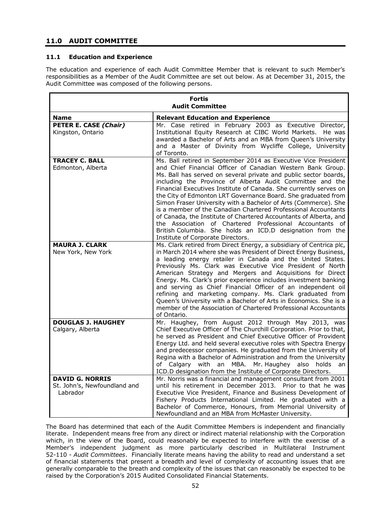# **11.0 AUDIT COMMITTEE**

### **11.1 Education and Experience**

The education and experience of each Audit Committee Member that is relevant to such Member's responsibilities as a Member of the Audit Committee are set out below. As at December 31, 2015, the Audit Committee was composed of the following persons.

| <b>Fortis</b><br><b>Audit Committee</b>                            |                                                                                                                                                                                                                                                                                                                                                                                                                                                                                                                                                                                                                                                                                                                                                                              |  |  |
|--------------------------------------------------------------------|------------------------------------------------------------------------------------------------------------------------------------------------------------------------------------------------------------------------------------------------------------------------------------------------------------------------------------------------------------------------------------------------------------------------------------------------------------------------------------------------------------------------------------------------------------------------------------------------------------------------------------------------------------------------------------------------------------------------------------------------------------------------------|--|--|
|                                                                    |                                                                                                                                                                                                                                                                                                                                                                                                                                                                                                                                                                                                                                                                                                                                                                              |  |  |
| <b>Name</b><br>PETER E. CASE (Chair)<br>Kingston, Ontario          | <b>Relevant Education and Experience</b><br>Mr. Case retired in February 2003 as Executive Director,<br>Institutional Equity Research at CIBC World Markets. He was<br>awarded a Bachelor of Arts and an MBA from Queen's University<br>and a Master of Divinity from Wycliffe College, University<br>of Toronto.                                                                                                                                                                                                                                                                                                                                                                                                                                                            |  |  |
| <b>TRACEY C. BALL</b><br>Edmonton, Alberta                         | Ms. Ball retired in September 2014 as Executive Vice President<br>and Chief Financial Officer of Canadian Western Bank Group.<br>Ms. Ball has served on several private and public sector boards,<br>including the Province of Alberta Audit Committee and the<br>Financial Executives Institute of Canada. She currently serves on<br>the City of Edmonton LRT Governance Board. She graduated from<br>Simon Fraser University with a Bachelor of Arts (Commerce). She<br>is a member of the Canadian Chartered Professional Accountants<br>of Canada, the Institute of Chartered Accountants of Alberta, and<br>the Association of Chartered Professional Accountants of<br>British Columbia. She holds an ICD.D designation from the<br>Institute of Corporate Directors. |  |  |
| <b>MAURA J. CLARK</b><br>New York, New York                        | Ms. Clark retired from Direct Energy, a subsidiary of Centrica plc,<br>in March 2014 where she was President of Direct Energy Business,<br>a leading energy retailer in Canada and the United States.<br>Previously Ms. Clark was Executive Vice President of North<br>American Strategy and Mergers and Acquisitions for Direct<br>Energy. Ms. Clark's prior experience includes investment banking<br>and serving as Chief Financial Officer of an independent oil<br>refining and marketing company. Ms. Clark graduated from<br>Queen's University with a Bachelor of Arts in Economics. She is a<br>member of the Association of Chartered Professional Accountants<br>of Ontario.                                                                                      |  |  |
| <b>DOUGLAS J. HAUGHEY</b><br>Calgary, Alberta                      | Mr. Haughey, from August 2012 through May 2013, was<br>Chief Executive Officer of The Churchill Corporation. Prior to that,<br>he served as President and Chief Executive Officer of Provident<br>Energy Ltd. and held several executive roles with Spectra Energy<br>and predecessor companies. He graduated from the University of<br>Regina with a Bachelor of Administration and from the University<br>of Calgary with an MBA. Mr. Haughey also holds<br>an<br>ICD.D designation from the Institute of Corporate Directors.                                                                                                                                                                                                                                             |  |  |
| <b>DAVID G. NORRIS</b><br>St. John's, Newfoundland and<br>Labrador | Mr. Norris was a financial and management consultant from 2001<br>until his retirement in December 2013. Prior to that he was<br>Executive Vice President, Finance and Business Development of<br>Fishery Products International Limited. He graduated with a<br>Bachelor of Commerce, Honours, from Memorial University of<br>Newfoundland and an MBA from McMaster University.                                                                                                                                                                                                                                                                                                                                                                                             |  |  |

The Board has determined that each of the Audit Committee Members is independent and financially literate. Independent means free from any direct or indirect material relationship with the Corporation which, in the view of the Board, could reasonably be expected to interfere with the exercise of a Member's independent judgment as more particularly described in Multilateral Instrument 52-110 - *Audit Committees*. Financially literate means having the ability to read and understand a set of financial statements that present a breadth and level of complexity of accounting issues that are generally comparable to the breath and complexity of the issues that can reasonably be expected to be raised by the Corporation's 2015 Audited Consolidated Financial Statements.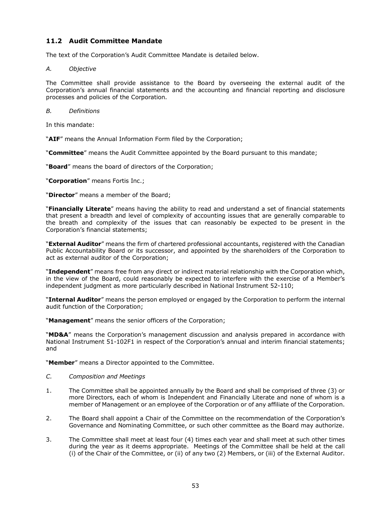# **11.2 Audit Committee Mandate**

The text of the Corporation's Audit Committee Mandate is detailed below.

### *A. Objective*

The Committee shall provide assistance to the Board by overseeing the external audit of the Corporation's annual financial statements and the accounting and financial reporting and disclosure processes and policies of the Corporation.

### *B. Definitions*

In this mandate:

"**AIF**" means the Annual Information Form filed by the Corporation;

"**Committee**" means the Audit Committee appointed by the Board pursuant to this mandate;

"**Board**" means the board of directors of the Corporation;

"**Corporation**" means Fortis Inc.;

"**Director**" means a member of the Board;

"**Financially Literate**" means having the ability to read and understand a set of financial statements that present a breadth and level of complexity of accounting issues that are generally comparable to the breath and complexity of the issues that can reasonably be expected to be present in the Corporation's financial statements;

"**External Auditor**" means the firm of chartered professional accountants, registered with the Canadian Public Accountability Board or its successor, and appointed by the shareholders of the Corporation to act as external auditor of the Corporation;

"**Independent**" means free from any direct or indirect material relationship with the Corporation which, in the view of the Board, could reasonably be expected to interfere with the exercise of a Member's independent judgment as more particularly described in National Instrument 52-110;

"**Internal Auditor**" means the person employed or engaged by the Corporation to perform the internal audit function of the Corporation;

"**Management**" means the senior officers of the Corporation;

"**MD&A**" means the Corporation's management discussion and analysis prepared in accordance with National Instrument 51-102F1 in respect of the Corporation's annual and interim financial statements; and

"**Member**" means a Director appointed to the Committee.

- *C. Composition and Meetings*
- 1. The Committee shall be appointed annually by the Board and shall be comprised of three (3) or more Directors, each of whom is Independent and Financially Literate and none of whom is a member of Management or an employee of the Corporation or of any affiliate of the Corporation.
- 2. The Board shall appoint a Chair of the Committee on the recommendation of the Corporation's Governance and Nominating Committee, or such other committee as the Board may authorize.
- 3. The Committee shall meet at least four (4) times each year and shall meet at such other times during the year as it deems appropriate. Meetings of the Committee shall be held at the call (i) of the Chair of the Committee, or (ii) of any two (2) Members, or (iii) of the External Auditor.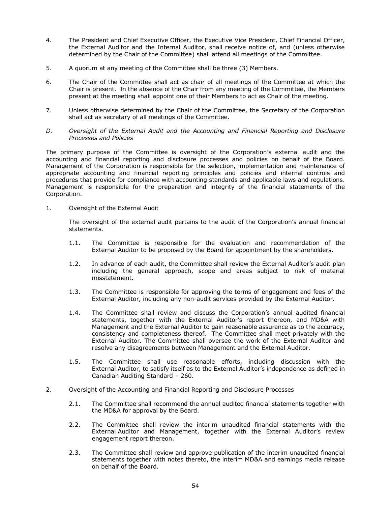- 4. The President and Chief Executive Officer, the Executive Vice President, Chief Financial Officer, the External Auditor and the Internal Auditor, shall receive notice of, and (unless otherwise determined by the Chair of the Committee) shall attend all meetings of the Committee.
- 5. A quorum at any meeting of the Committee shall be three (3) Members.
- 6. The Chair of the Committee shall act as chair of all meetings of the Committee at which the Chair is present. In the absence of the Chair from any meeting of the Committee, the Members present at the meeting shall appoint one of their Members to act as Chair of the meeting.
- 7. Unless otherwise determined by the Chair of the Committee, the Secretary of the Corporation shall act as secretary of all meetings of the Committee.
- *D. Oversight of the External Audit and the Accounting and Financial Reporting and Disclosure Processes and Policies*

The primary purpose of the Committee is oversight of the Corporation's external audit and the accounting and financial reporting and disclosure processes and policies on behalf of the Board. Management of the Corporation is responsible for the selection, implementation and maintenance of appropriate accounting and financial reporting principles and policies and internal controls and procedures that provide for compliance with accounting standards and applicable laws and regulations. Management is responsible for the preparation and integrity of the financial statements of the Corporation.

1. Oversight of the External Audit

The oversight of the external audit pertains to the audit of the Corporation's annual financial statements.

- 1.1. The Committee is responsible for the evaluation and recommendation of the External Auditor to be proposed by the Board for appointment by the shareholders.
- 1.2. In advance of each audit, the Committee shall review the External Auditor's audit plan including the general approach, scope and areas subject to risk of material misstatement.
- 1.3. The Committee is responsible for approving the terms of engagement and fees of the External Auditor, including any non-audit services provided by the External Auditor.
- 1.4. The Committee shall review and discuss the Corporation's annual audited financial statements, together with the External Auditor's report thereon, and MD&A with Management and the External Auditor to gain reasonable assurance as to the accuracy, consistency and completeness thereof. The Committee shall meet privately with the External Auditor. The Committee shall oversee the work of the External Auditor and resolve any disagreements between Management and the External Auditor.
- 1.5. The Committee shall use reasonable efforts, including discussion with the External Auditor, to satisfy itself as to the External Auditor's independence as defined in Canadian Auditing Standard – 260.
- 2. Oversight of the Accounting and Financial Reporting and Disclosure Processes
	- 2.1. The Committee shall recommend the annual audited financial statements together with the MD&A for approval by the Board.
	- 2.2. The Committee shall review the interim unaudited financial statements with the External Auditor and Management, together with the External Auditor's review engagement report thereon.
	- 2.3. The Committee shall review and approve publication of the interim unaudited financial statements together with notes thereto, the interim MD&A and earnings media release on behalf of the Board.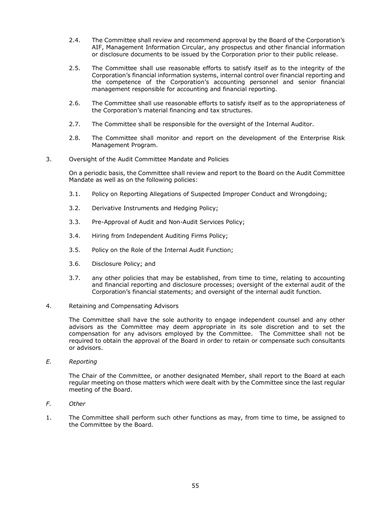- 2.4. The Committee shall review and recommend approval by the Board of the Corporation's AIF, Management Information Circular, any prospectus and other financial information or disclosure documents to be issued by the Corporation prior to their public release.
- 2.5. The Committee shall use reasonable efforts to satisfy itself as to the integrity of the Corporation's financial information systems, internal control over financial reporting and the competence of the Corporation's accounting personnel and senior financial management responsible for accounting and financial reporting.
- 2.6. The Committee shall use reasonable efforts to satisfy itself as to the appropriateness of the Corporation's material financing and tax structures.
- 2.7. The Committee shall be responsible for the oversight of the Internal Auditor.
- 2.8. The Committee shall monitor and report on the development of the Enterprise Risk Management Program.
- 3. Oversight of the Audit Committee Mandate and Policies

On a periodic basis, the Committee shall review and report to the Board on the Audit Committee Mandate as well as on the following policies:

- 3.1. Policy on Reporting Allegations of Suspected Improper Conduct and Wrongdoing;
- 3.2. Derivative Instruments and Hedging Policy;
- 3.3. Pre-Approval of Audit and Non-Audit Services Policy;
- 3.4. Hiring from Independent Auditing Firms Policy;
- 3.5. Policy on the Role of the Internal Audit Function;
- 3.6. Disclosure Policy; and
- 3.7. any other policies that may be established, from time to time, relating to accounting and financial reporting and disclosure processes; oversight of the external audit of the Corporation's financial statements; and oversight of the internal audit function.
- 4. Retaining and Compensating Advisors

The Committee shall have the sole authority to engage independent counsel and any other advisors as the Committee may deem appropriate in its sole discretion and to set the compensation for any advisors employed by the Committee. The Committee shall not be required to obtain the approval of the Board in order to retain or compensate such consultants or advisors.

*E. Reporting* 

The Chair of the Committee, or another designated Member, shall report to the Board at each regular meeting on those matters which were dealt with by the Committee since the last regular meeting of the Board.

- *F. Other*
- 1. The Committee shall perform such other functions as may, from time to time, be assigned to the Committee by the Board.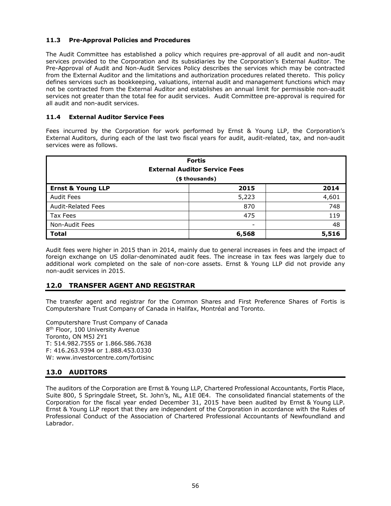# **11.3 Pre-Approval Policies and Procedures**

The Audit Committee has established a policy which requires pre-approval of all audit and non-audit services provided to the Corporation and its subsidiaries by the Corporation's External Auditor. The Pre-Approval of Audit and Non-Audit Services Policy describes the services which may be contracted from the External Auditor and the limitations and authorization procedures related thereto. This policy defines services such as bookkeeping, valuations, internal audit and management functions which may not be contracted from the External Auditor and establishes an annual limit for permissible non-audit services not greater than the total fee for audit services. Audit Committee pre-approval is required for all audit and non-audit services.

### **11.4 External Auditor Service Fees**

Fees incurred by the Corporation for work performed by Ernst & Young LLP, the Corporation's External Auditors, during each of the last two fiscal years for audit, audit-related, tax, and non-audit services were as follows.

| <b>Fortis</b><br><b>External Auditor Service Fees</b> |       |       |  |  |
|-------------------------------------------------------|-------|-------|--|--|
| (\$ thousands)                                        |       |       |  |  |
| <b>Ernst &amp; Young LLP</b>                          | 2015  | 2014  |  |  |
| <b>Audit Fees</b>                                     | 5,223 | 4,601 |  |  |
| <b>Audit-Related Fees</b>                             | 870   | 748   |  |  |
| Tax Fees                                              | 475   | 119   |  |  |
| Non-Audit Fees                                        | ۰     | 48    |  |  |
| <b>Total</b>                                          | 6,568 | 5,516 |  |  |

Audit fees were higher in 2015 than in 2014, mainly due to general increases in fees and the impact of foreign exchange on US dollar-denominated audit fees. The increase in tax fees was largely due to additional work completed on the sale of non-core assets. Ernst & Young LLP did not provide any non-audit services in 2015.

# **12.0 TRANSFER AGENT AND REGISTRAR**

The transfer agent and registrar for the Common Shares and First Preference Shares of Fortis is Computershare Trust Company of Canada in Halifax, Montréal and Toronto.

Computershare Trust Company of Canada 8<sup>th</sup> Floor, 100 University Avenue Toronto, ON M5J 2Y1 T: 514.982.7555 or 1.866.586.7638 F: 416.263.9394 or 1.888.453.0330 W: www.investorcentre.com/fortisinc

# **13.0 AUDITORS**

The auditors of the Corporation are Ernst & Young LLP, Chartered Professional Accountants, Fortis Place, Suite 800, 5 Springdale Street, St. John's, NL, A1E 0E4. The consolidated financial statements of the Corporation for the fiscal year ended December 31, 2015 have been audited by Ernst & Young LLP. Ernst & Young LLP report that they are independent of the Corporation in accordance with the Rules of Professional Conduct of the Association of Chartered Professional Accountants of Newfoundland and Labrador.